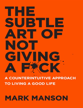## **MARK MANSON**

## A COUNTERINTUITIVE APPROACH **TO LIVING A GOOD LIFE**

# THE SUBTLE ART OF NOT GIVING AFXCK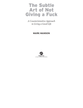### **The Subtle Art of Not Giving a Fuck**

A Counterintuitive Approach to Living a Good Life

#### **MARK MANSON**

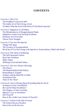#### **CONTENTS**

<span id="page-2-2"></span><span id="page-2-1"></span><span id="page-2-0"></span>CHAPTER 1: [Don't](#page-4-0) Try The [Feedback](#page-6-0) Loop from Hell The Subtle Art of Not [Giving](#page-9-0) a Fuck So Mark, What the Fuck Is the Point of This Book [Anyway?](#page-12-0)

<span id="page-2-6"></span><span id="page-2-5"></span><span id="page-2-4"></span><span id="page-2-3"></span>CHAPTER 2: [Happiness](#page-13-0) Is a Problem The Misadventures of [Disappointment](#page-14-0) Panda [Happiness](#page-16-0) Comes from Solving Problems Emotions Are [Overrated](#page-17-0) Choose Your [Struggle](#page-18-0)

<span id="page-2-11"></span><span id="page-2-10"></span><span id="page-2-9"></span><span id="page-2-8"></span><span id="page-2-7"></span>CHAPTER 3: You Are Not [Special](#page-21-0) [Things](#page-23-0) Fall Apart The Tyranny of [Exceptionalism](#page-27-0) B-b-b-but, If I'm Not Going to Be Special or [Extraordinary,](#page-28-0) What's the Point?

<span id="page-2-15"></span><span id="page-2-14"></span><span id="page-2-13"></span><span id="page-2-12"></span>CHAPTER 4: The Value of [Suffering](#page-30-0) The [Self-Awareness](#page-32-0) Onion Rock Star [Problems](#page-35-0) Shitty [Values](#page-37-0) [Defining](#page-39-0) Good and Bad Values

CHAPTER 5: You Are Always [Choosing](#page-42-0) The [Choice](#page-42-1) The [Responsibility/Fault](#page-44-0) Fallacy [Responding](#page-47-0) to Tragedy [Genetics](#page-48-0) and the Hand We're Dealt [Victimhood](#page-50-0) Chic There Is No ["How"](#page-51-0)

CHAPTER 6: You're Wrong About [Everything](#page-53-0) (But So Am I) [Architects](#page-55-0) of Our Own Beliefs Be Careful What You [Believe](#page-56-0) The Dangers of Pure [Certainty](#page-58-0) Manson's Law of [Avoidance](#page-61-0) Kill [Yourself](#page-62-0) How to Be a Little Less Certain of [Yourself](#page-63-0)

CHAPTER 7: Failure Is the Way [Forward](#page-66-0) The [Failure/Success](#page-67-0) Paradox Pain Is Part of the [Process](#page-68-0)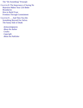The "Do [Something"](#page-70-0) Principle

CHAPTER 8: The [Importance](#page-73-0) of Saying No [Rejection](#page-75-0) Makes Your Life Better **[Boundaries](#page-76-0)** How to [Build](#page-80-0) Trust Freedom Through [Commitment](#page-81-0)

C[HAPTER](#page-84-0) 9: . . . And Then You Die [Something](#page-86-0) Beyond Our Selves The [Sunny](#page-88-0) Side of Death

*[Acknowledgments](#page-93-0) About the [Author](#page-94-0) [Credits](#page-96-0) [Copyright](#page-97-0) About the [Publisher](#page-98-0)*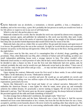#### **[CHAPTER](#page-2-0)** 1

#### **[Don't](#page-2-0) Try**

<span id="page-4-0"></span>**C**harles Bukowski was an alcoholic, <sup>a</sup> womanizer, <sup>a</sup> chronic gambler, <sup>a</sup> lout, <sup>a</sup> cheapskate, <sup>a</sup> deadbeat, and on his worst days, a poet. He's probably the last person on earth you would ever look to for life advice or expect to see in any sort of self-help book.

Which is why he's the perfect place to start.

Bukowski wanted to be a writer. But for decades his work was rejected by almost every magazine, newspaper, journal, agent, and publisher he submitted to. His work was horrible, they said. Crude. Disgusting. Depraved. And as the stacks of rejection slips piled up, the weight of his failures pushed him deep into an alcohol-fueled depression that would follow him for most of his life.

Bukowski had a day job as a letter-filer at a post office. He got paid shit money and spent most of it on booze. He gambled away the rest at the racetrack. At night, he would drink alone and sometimes hammer out poetry on his beat-up old typewriter. Often, he'd wake up on the floor, having passed out the night before.

Thirty years went by like this, most of it a meaningless blur of alcohol, drugs, gambling, and prostitutes. Then, when Bukowski was fifty, after a lifetime of failure and self-loathing, an editor at a small independent publishing house took a strange interest in him. The editor couldn't offer Bukowski much money or much promise of sales. But he had a weird affection for the drunk loser, so he decided to take a chance on him. It was the first real shot Bukowski had ever gotten, and, he realized, probably the only one he would ever get. Bukowski wrote back to the editor: "I have one of two choices—stay in the post office and go crazy . . . or stay out here and play at writer and starve. I have decided to starve."

Upon signing the contract, Bukowski wrote his first novel in three weeks. It was called simply *Post Office.* In the dedication, he wrote, "Dedicated to nobody."

Bukowski would make it as a novelist and poet. He would go on and publish six novels and hundreds of poems, selling over two million copies of his books. His popularity defied everyone's expectations, particularly his own.

Stories like Bukowski's are the bread and butter of our cultural narrative. Bukowski's life embodies the American Dream: a man fights for what he wants, never gives up, and eventually achieves his wildest dreams. It's practically a movie waiting to happen. We all look at stories like Bukowski's and say, "See? He never gave up. He never stopped trying. He always believed in himself. He persisted against all the odds and made something of himself!"

It is then strange that on Bukowski's tombstone, the epitaph reads: "Don't try."

See, despite the book sales and the fame, Bukowski was a loser. He knew it. And his success stemmed not from some determination to be a winner, but from the fact that he *knew* he was a loser, accepted it, and then wrote honestly about it. He never tried to be anything other than what he was. The genius in Bukowski's work was not in overcoming unbelievable odds or developing himself into a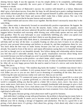shining literary light. It was the opposite. It was his simple ability to be completely, unflinchingly honest with himself—especially the worst parts of himself—and to share his failings without hesitation or doubt.

This is the real story of Bukowski's success: his comfort with himself as a failure. Bukowski didn't give a fuck about success. Even after his fame, he still showed up to poetry readings hammered and verbally abused people in his audience. He still exposed himself in public and tried to sleep with every woman he could find. Fame and success didn't make him a better person. Nor was it by becoming a better person that he became famous and successful.

Self-improvement and success often occur together. But that doesn't necessarily mean they're the same thing.

Our culture today is obsessively focused on unrealistically positive expectations: Be happier. Be healthier. Be the best, better than the rest. Be smarter, faster, richer, sexier, more popular, more productive, more envied, and more admired. Be perfect and amazing and crap out twelve-karat-gold nuggets before breakfast each morning while kissing your selfie-ready spouse and two and a half kids goodbye. Then fly your helicopter to your wonderfully fulfilling job, where you spend your days doing incredibly meaningful work that's likely to save the planet one day.

But when you stop and really think about it, conventional life advice—all the positive and happy self-help stuff we hear all the time—is actually fixating on what you *lack*. It lasers in on *what you perceive your personal shortcomings and failures to already be,* and then emphasizes them for you. You learn about the best ways to make money *because* you feel you don't have enough money already. You stand in front of the mirror and repeat affirmations saying that you're beautiful *because* you feel as though you're not beautiful already. You follow dating and relationship advice *because* you feel that you're unlovable already. You try goofy visualization exercises about being more successful *because* you feel as though you aren't successful enough already.

Ironically, this fixation on the positive—on what's better, what's superior—only serves to remind us over and over again of what we are not, of what we lack, of what we should have been but failed to be. After all, no truly happy person feels the need to stand in front of a mirror and recite that she's happy. She just *is*.

There's a saying in Texas: "The smallest dog barks the loudest." A confident man doesn't feel a need to prove that he's confident. A rich woman doesn't feel a need to convince anybody that she's rich. Either you are or you are not. And if you're dreaming of something all the time, then you're reinforcing the same unconscious reality over and over: that you are *not that.*

Everyone and their TV commercial wants you to believe that the key to a good life is a nicer job, or a more rugged car, or a prettier girlfriend, or a hot tub with an inflatable pool for the kids. The world is constantly telling you that the path to a better life is more, more, more—buy more, own more, make more, fuck more, *be* more. You are constantly bombarded with messages to give a fuck about everything, all the time. Give a fuck about a new TV. Give a fuck about having a better vacation than your coworkers. Give a fuck about buying that new lawn ornament. Give a fuck about having the right kind of selfie stick.

Why? My guess: because giving a fuck about more stuff is good for business.

And while there's nothing wrong with good business, the problem is that giving too many fucks is bad for your mental health. It causes you to become overly attached to the superficial and fake, to dedicate your life to chasing a mirage of happiness and satisfaction. The key to a good life is not giving a fuck about more; it's giving a fuck about less, giving a fuck about only what is true and immediate and important.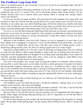#### <span id="page-6-0"></span>**The [Feedback](#page-2-1) Loop from Hell**

There's an insidious quirk to your brain that, if you let it, can drive you absolutely batty. Tell me if this sounds familiar to you:

You get anxious about confronting somebody in your life. That anxiety cripples you and you start wondering why you're so anxious. Now you're becoming *anxious about being anxious.* Oh no! Doubly anxious! Now you're anxious about your anxiety, which is causing *more* anxiety. Quick, where's the whiskey?

Or let's say you have an anger problem. You get pissed off at the stupidest, most inane stuff, and you have no idea why. And the fact that you get pissed off so easily starts to piss you off even more. And then, in your petty rage, you realize that being angry all the time makes you a shallow and mean person, and you hate this; you hate it so much that you get angry at yourself. Now look at you: you're angry at yourself getting angry about being angry. Fuck you, wall. Here, have a fist.

Or you're so worried about doing the right thing all the time that you become worried about how much you're worrying. Or you feel so guilty for every mistake you make that you begin to feel guilty about how guilty you're feeling. Or you get sad and alone so often that it makes you feel even more sad and alone just thinking about it.

Welcome to the Feedback Loop from Hell. Chances are you've engaged in it more than a few times. Maybe you're engaging in it right now: "God, I do the Feedback Loop all the time—I'm such a loser for doing it. I should stop. Oh my God, I feel like such a loser for calling myself a loser. I should stop calling myself a loser. Ah, fuck! I'm doing it again! See? I'm a loser! Argh!"

Calm down, amigo. Believe it or not, this is part of the beauty of being human. Very few animals on earth have the ability to think cogent thoughts to begin with, but we humans have the luxury of being able to have thoughts *about* our thoughts. So I can think about watching Miley Cyrus videos on YouTube, and then immediately think about what a sicko I am for wanting to watch Miley Cyrus videos on YouTube. Ah, the miracle of consciousness!

Now here's the problem: Our society today, through the wonders of consumer culture and heylook-my-life-is-cooler-than-yours social media, has bred a whole generation of people who believe that having these negative experiences—anxiety, fear, guilt, etc.—is totally not okay. I mean, if you look at your Facebook feed, everybody there is having a fucking grand old time. Look, eight people got married this week! And some sixteen-year-old on TV got a Ferrari for her birthday. And another kid just made two billion dollars inventing an app that automatically delivers you more toilet paper when you run out.

Meanwhile, you're stuck at home flossing your cat. And you can't help but think your life sucks even more than you thought.

The Feedback Loop from Hell has become a borderline epidemic, making many of us overly stressed, overly neurotic, and overly self-loathing.

Back in Grandpa's day, he would feel like shit and think to himself, "Gee whiz, I sure do feel like a cow turd today. But hey, I guess that's just life. Back to shoveling hay."

But now? Now if you feel like shit for even five minutes, you're bombarded with 350 images of people *totally happy and having amazing fucking lives,* and it's impossible to not feel like there's something wrong with you.

It's this last part that gets us into trouble. We feel bad about feeling bad. We feel guilty for feeling guilty. We get angry about getting angry. We get anxious about feeling anxious. *What is wrong with me?*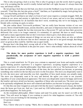This is why not giving a fuck is so key. This is why it's going to save the world. And it's going to save it by accepting that the world is totally fucked and that's all right, because it's always been that way, and always will be.

By not giving a fuck that you feel bad, you short-circuit the Feedback Loop from Hell; you say to yourself, "I feel like shit, but who gives a fuck?" And then, as if sprinkled by magic fuck-giving fairy dust, you stop hating yourself for feeling so bad.

George Orwell said that to see what's in front of one's nose requires a constant struggle. Well, the solution to our stress and anxiety is right there in front of our noses, and we're too busy watching porn and advertisements for ab machines that don't work, wondering why we're not banging a hot blonde with a rocking six-pack, to notice.

We joke online about "first-world problems," but we really have become victims of our own success. Stress-related health issues, anxiety disorders, and cases of depression have skyrocketed over the past thirty years, despite the fact that everyone has a flat-screen TV and can have their groceries delivered. Our crisis is no longer material; it's existential, it's spiritual. We have so much fucking stuff and so many opportunities that we don't even know what to give a fuck about anymore.

Because there's an infinite amount of things we can now see or know, there are also an infinite number of ways we can discover that we don't measure up, that we're not good enough, that things aren't as great as they could be. And this rips us apart inside.

Because here's the thing that's wrong with all of the "How to Be Happy" shit that's been shared eight million times on Facebook in the past few years—here's what nobody realizes about all of this crap:

#### **The desire for more positive experience is itself a negative experience. And, paradoxically, the acceptance of one's negative experience is itself a positive experience.**

This is a total mind-fuck. So I'll give you a minute to unpretzel your brain and maybe read that again: *Wanting positive experience is a negative experience; accepting negative experience is a positive experience.* It's what the philosopher Alan Watts used to refer to as "the backwards law"—the idea that the more you pursue feeling better all the time, the less satisfied you become, as pursuing something only reinforces the fact that you lack it in the first place. The more you desperately want to be rich, the more poor and unworthy you feel, regardless of how much money you actually make. The more you desperately want to be sexy and desired, the uglier you come to see yourself, regardless of your actual physical appearance. The more you desperately want to be happy and loved, the lonelier and more afraid you become, regardless of those who surround you. The more you want to be spiritually enlightened, the more self-centered and shallow you become in trying to get there.

It's like this one time I tripped on acid and it felt like the more I walked toward a house, the farther away the house got from me. And yes, I just used my LSD hallucinations to make a philosophical point about happiness. No fucks given.

As the existential philosopher Albert Camus said (and I'm pretty sure he wasn't on LSD at the time): "You will never be happy if you continue to search for what happiness consists of. You will never live if you are looking for the meaning of life."

Or put more simply:

Don't try.

Now, I know what you're saying: "Mark, this is making my nipples all hard, but what about the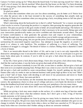Camaro I've been saving up for? What about the beach body I've been starving myself for? After all, I paid a lot of money for that ab machine! What about the big house on the lake I've been dreaming of? If I stop giving a fuck about those things—well, then I'll never achieve *anything*. I don't want that to happen, do I?"

#### So glad you asked.

Ever notice that sometimes when you care *less* about something, you do better at it? Notice how it's often the person who is the least invested in the success of something that actually ends up achieving it? Notice how sometimes when you stop giving a fuck, everything seems to fall into place?

What's with that?

What's interesting about the backwards law is that it's called "backwards" for a reason: not giving a fuck works in reverse. If pursuing the positive *is* a negative, then pursuing the negative generates the positive. The pain you pursue in the gym results in better all-around health and energy. The failures in business are what lead to a better understanding of what's necessary to be successful. Being open with your insecurities paradoxically makes you more confident and charismatic around others. The pain of honest confrontation is what generates the greatest trust and respect in your relationships. Suffering through your fears and anxieties is what allows you to build courage and perseverance.

Seriously, I could keep going, but you get the point. *Everything worthwhile in life is won through surmounting the associated negative experience.* Any attempt to escape the negative, to avoid it or quash it or silence it, only backfires. The avoidance of suffering *is* a form of suffering. The avoidance of struggle *is* a struggle. The denial of failure *is* a failure. Hiding what is shameful *is* itself a form of shame.

Pain is an inextricable thread in the fabric of life, and to tear it out is not only impossible, but destructive: attempting to tear it out unravels everything else with it. To try to avoid pain is to give too many fucks about pain. In contrast, if you're able to not give a fuck about the pain, you become unstoppable.

In my life, I have given a fuck about many things. I have also *not* given a fuck about many things. And like the road not taken, it was the fucks not given that made all the difference.

Chances are you know somebody in your life who, at one time or another, did not give a fuck and then went on to accomplish amazing feats. Perhaps there was a time in your own life when you simply did not give a fuck and excelled to some extraordinary height. For myself, quitting my day job in finance after only six weeks to start an Internet business ranks pretty high up there in my own "didn't give a fuck" hall of fame. Same with deciding to sell most of my possessions and move to South America. Fucks given? None. Just went and did it.

These moments of non-fuckery are the moments that most define our lives. The major switch in careers; the spontaneous choice to drop out of college and join a rock band; the decision to finally dump that deadbeat boyfriend whom you caught wearing your pantyhose a few too many times.

To not give a fuck is to stare down life's most terrifying and difficult challenges and still take action.

While not giving a fuck may seem simple on the surface, it's a whole new bag of burritos under the hood. I don't even know what that sentence means, but I don't give a fuck. A bag of burritos sounds awesome, so let's just go with it.

Most of us struggle throughout our lives by giving too many fucks in situations where fucks do not deserve to be given. We give too many fucks about the rude gas station attendant who gave us our change in nickels. We give too many fucks when a show we liked was canceled on TV. We give too many fucks when our coworkers don't bother asking us about our awesome weekend.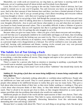Meanwhile, our credit cards are maxed out, our dog hates us, and Junior is snorting meth in the bathroom, yet we're getting pissed off about nickels and *Everybody Loves Raymond.*

Look, this is how it works. You're going to die one day. I know that's kind of obvious, but I just wanted to remind you in case you'd forgotten. You and everyone you know are going to be dead soon. And in the short amount of time between here and there, you have a limited amount of fucks to give. Very few, in fact. And if you go around giving a fuck about everything and everyone without conscious thought or choice—well, then you're going to get fucked.

There is a subtle art to not giving a fuck. And though the concept may sound ridiculous and I may sound like an asshole, what I'm talking about here is essentially learning how to focus and prioritize your thoughts effectively—how to pick and choose what matters to you and what does not matter to you based on finely honed personal values. This is incredibly difficult. It takes a lifetime of practice and discipline to achieve. And you will regularly fail. But it is perhaps the most worthy struggle one can undertake in one's life. It is perhaps the *only* struggle in one's life.

Because when you give too many fucks—when you give a fuck about everyone and everything you will feel that you're perpetually entitled to be comfortable and happy at all times, that everything is supposed to be just exactly the fucking way *you* want it to be. This is a sickness. And it will eat you alive. You will see every adversity as an injustice, every challenge as a failure, every inconvenience as a personal slight, every disagreement as a betrayal. You will be confined to your own petty, skullsized hell, burning with entitlement and bluster, running circles around your very own personal Feedback Loop from Hell, in constant motion yet arriving nowhere.

#### <span id="page-9-0"></span>**The Subtle Art of Not [Giving](#page-2-2) a Fuck**

When most people envision giving no fucks whatsoever, they imagine a kind of serene indifference to everything, a calm that weathers all storms. They imagine and aspire to be a person who is shaken by nothing and caves in to no one.

There's a name for a person who finds no emotion or meaning in anything: a psychopath. Why you would want to emulate a psychopath, I have no fucking clue.

So what *does* not giving a fuck mean? Let's look at three "subtleties" that should help clarify the matter.

#### *Subtlety #1: Not giving a fuck does not mean being indifferent; it means being comfortable with being different.*

Let's be clear. There's absolutely nothing admirable or confident about indifference. People who are indifferent are lame and scared. They're couch potatoes and Internet trolls. In fact, indifferent people often attempt to be indifferent because in reality they give way too many fucks. They give a fuck about what everyone thinks of their hair, so they never bother washing or combing it. They give a fuck about what everyone thinks of their ideas, so they hide behind sarcasm and self-righteous snark. They're afraid to let anyone get close to them, so they imagine themselves as some special, unique snowflake who has problems that nobody else would ever understand.

Indifferent people are afraid of the world and the repercussions of their own choices. That's why they don't make any meaningful choices. They hide in a gray, emotionless pit of their own making, self-absorbed and self-pitying, perpetually distracting themselves from this unfortunate thing demanding their time and energy called life.

Because here's a sneaky truth about life. There's no such thing as not giving a fuck. *You must give*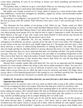*a fuck about something.* It's part of our biology to always care about something and therefore to always give a fuck.

The question, then, is, *What* do we give a fuck about? What are we *choosing* to give a fuck about? And how can we not give a fuck about what ultimately does not matter?

My mother was recently screwed out of a large chunk of money by a close friend of hers. Had I been indifferent, I would have shrugged my shoulders, sipped my mocha, and downloaded another season of *The Wire.* Sorry, Mom.

But instead, I was indignant. I was pissed off. I said, "No, screw that, Mom. We're going to lawyer the fuck up and go after this asshole. Why? Because I don't give a fuck. I will ruin this guy's life if I have to."

This illustrates the first subtlety of not giving a fuck. When we say, "Damn, watch out, Mark Manson just don't give a fuck," we don't mean that Mark Manson doesn't care about *anything;* on the contrary, we mean that Mark Manson doesn't care about adversity in the face of his goals, he doesn't care about pissing some people off to do what he feels is right or important or noble. We mean that Mark Manson is the type of guy who would write about himself in third person just because he thought it was the right thing to do. He just doesn't give a fuck.

This is what is so admirable. No, not me, dumbass—the overcoming adversity stuff, the willingness to be different, an outcast, a pariah, all for the sake of one's own values. The willingness to stare failure in the face and shove your middle finger back at it. The people who don't give a fuck about adversity or failure or embarrassing themselves or shitting the bed a few times. The people who just laugh and then do what they believe in anyway. Because they know it's right. They know it's more important than they are, more important than their own feelings and their own pride and their own ego. They say, "Fuck it," not to everything in life, but rather to everything *unimportant* in life. They reserve their fucks for what truly matters. Friends. Family. Purpose. Burritos. And an occasional lawsuit or two. And because of that, because they reserve their fucks for only the big things that matter, people give a fuck about them in return.

Because here's another sneaky little truth about life. You can't be an important and life-changing presence for some people without also being a joke and an embarrassment to others. You just can't. Because there's no such thing as a lack of adversity. It doesn't exist. The old saying goes that no matter where you go, there you are. Well, the same is true for adversity and failure. No matter where you go, there's a five-hundred-pound load of shit waiting for you. And that's perfectly fine. The point isn't to get away from the shit. The point is to find the shit you enjoy dealing with.

#### *Subtlety #2: To not give a fuck about adversity, you must first give a fuck about something more important than adversity.*

Imagine you're at a grocery store, and you watch an elderly lady scream at the cashier, berating him for not accepting her thirty-cent coupon. Why does this lady give a fuck? It's just thirty cents.

I'll tell you why: That lady probably doesn't have anything better to do with her days than to sit at home cutting out coupons. She's old and lonely. Her kids are dickheads and never visit. She hasn't had sex in over thirty years. She can't fart without extreme lower-back pain. Her pension is on its last legs, and she's probably going to die in a diaper thinking she's in Candy Land.

So she snips coupons. That's all she's got. It's her and her damn coupons. It's all she can give a fuck about because there *is* nothing else to give a fuck about. And so when that pimply-faced seventeen-year-old cashier refuses to accept one of them, when he defends his cash register's purity the way knights used to defend maidens' virginity, you can bet Granny is going to erupt. Eighty years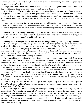of fucks will rain down all at once, like a fiery hailstorm of "Back in my day" and "People used to show more respect" stories.

The problem with people who hand out fucks like ice cream at a goddamn summer camp is that they don't have anything more fuck-worthy to dedicate their fucks to.

If you find yourself consistently giving too many fucks about trivial shit that bothers you—your ex-boyfriend's new Facebook picture, how quickly the batteries die in the TV remote, missing out on yet another two-for-one sale on hand sanitizer—chances are you don't have much going on in your life to give a legitimate fuck about. And that's your real problem. Not the hand sanitizer. Not the TV remote.

I once heard an artist say that when a person has no problems, the mind automatically finds a way to invent some. I think what most people—especially educated, pampered middle-class white people consider "life problems" are really just side effects of not having anything more important to worry about.

It then follows that finding something important and meaningful in your life is perhaps the most productive use of your time and energy. Because if you don't find that meaningful something, your fucks will be given to meaningless and frivolous causes.

#### *Subtlety #3: Whether you realize it or not, you are always choosing what to give a fuck about.*

People aren't just born not giving a fuck. In fact, we're born giving way too many fucks. Ever watch a kid cry his eyes out because his hat is the wrong shade of blue? Exactly. Fuck that kid.

When we're young, everything is new and exciting, and everything seems to matter so much. Therefore, we give tons of fucks. We give a fuck about everything and everyone—about what people are saying about us, about whether that cute boy/girl called us back or not, about whether our socks match or not, or what color our birthday balloon is.

As we get older, with the benefit of experience (and having seen so much time slip by), we begin to notice that most of these sorts of things have little lasting impact on our lives. Those people whose opinions we cared about so much before are no longer present in our lives. Rejections that were painful in the moment have actually worked out for the best. We realize how little attention people pay to the superficial details about us, and we choose not to obsess so much over them.

Essentially, we become more selective about the fucks we're willing to give. This is something called maturity. It's nice; you should try it sometime. Maturity is what happens when one learns to only give a fuck about what's truly fuckworthy. As Bunk Moreland said to his partner Detective McNulty in *The Wire* (which, fuck you, I still downloaded): "That's what you get for giving a fuck when it wasn't your turn to give a fuck."

Then, as we grow older and enter middle age, something else begins to change. Our energy level drops. Our identity solidifies. We know who we are and we accept ourselves, including some of the parts we aren't thrilled about.

And, in a strange way, this is liberating. We no longer need to give a fuck about everything. Life is just what it is. We accept it, warts and all. We realize that we're never going to cure cancer or go to the moon or feel Jennifer Aniston's tits. And that's okay. Life goes on. We now reserve our everdwindling fucks for the most truly fuck-worthy parts of our lives: our families, our best friends, our golf swing. And, to our astonishment, *this is enough*. This simplification actually makes us really fucking happy on a consistent basis. And we start to think, Maybe that crazy alcoholic Bukowski was onto something. *Don't try.*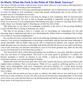#### <span id="page-12-0"></span>**So Mark, What the Fuck Is the Point of This Book [Anyway?](#page-2-3)**

This book will help you think a little bit more clearly about what you're choosing to find important in life and what you're choosing to find unimportant.

I believe that today we're facing a psychological epidemic, one in which people no longer realize it's okay for things to suck sometimes. I know that sounds intellectually lazy on the surface, but I promise you, it's a life/death sort of issue.

Because when we believe that it's not okay for things to suck sometimes, then we unconsciously start blaming ourselves. We start to feel as though something is inherently wrong with us, which drives us to all sorts of overcompensation, like buying forty pairs of shoes or downing Xanax with a vodka chaser on a Tuesday night or shooting up a school bus full of kids.

This belief that it's not okay to be inadequate sometimes is the source of the growing Feedback Loop from Hell that is coming to dominate our culture.

The idea of not giving a fuck is a simple way of reorienting our expectations for life and choosing what is important and what is not. Developing this ability leads to something I like to think of as a kind of "practical enlightenment."

No, not that airy-fairy, eternal bliss, end-of-all-suffering, bullshitty kind of enlightenment. On the contrary, I see practical enlightenment as becoming comfortable with the idea that some suffering is always inevitable—that no matter what you do, life is comprised of failures, loss, regrets, and even death. Because once you become comfortable with all the shit that life throws at you (and it will throw a lot of shit, trust me), you become invincible in a sort of low-level spiritual way. After all, the only way to overcome pain is to first learn how to bear it.

This book doesn't give a fuck about alleviating your problems or your pain. And that is precisely why you will know it's being honest. This book is not some guide to greatness—it couldn't be, because greatness is merely an illusion in our minds, a made-up destination that we obligate ourselves to pursue, our own psychological Atlantis.

Instead, this book will turn your pain into a tool, your trauma into power, and your problems into slightly better problems. That is real progress. Think of it as a guide to suffering and how to do it better, more meaningfully, with more compassion and more humility. It's a book about moving lightly despite your heavy burdens, resting easier with your greatest fears, laughing at your tears as you cry them.

This book will not teach you how to gain or achieve, but rather how to lose and let go. It will teach you to take inventory of your life and scrub out all but the most important items. It will teach you to close your eyes and trust that you can fall backwards and still be okay. It will teach you to give fewer fucks. It will teach you to not try.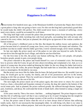#### **[CHAPTER](#page-2-4)** 2

#### **[Happiness](#page-2-4) Is a Problem**

<span id="page-13-0"></span>**A**bout twenty-five hundred years ago, in the Himalayan foothills of present-day Nepal, there lived in a great palace a king who was going to have a son. For this son the king had a particularly grand idea: he would make the child's life perfect. The child would never know a moment of suffering—every need, every desire, would be accounted for at all times.

The king built high walls around the palace that prevented the prince from knowing the outside world. He spoiled the child, lavishing him with food and gifts, surrounding him with servants who catered to his every whim. And just as planned, the child grew up ignorant of the routine cruelties of human existence.

All of the prince's childhood went on like this. But despite the endless luxury and opulence, the prince became kind of a pissed-off young man. Soon, every experience felt empty and valueless. The problem was that no matter what his father gave him, it never seemed enough, never *meant* anything.

So late one night, the prince snuck out of the palace to see what was beyond its walls. He had a servant drive him through the local village, and what he saw horrified him.

For the first time in his life, the prince saw human suffering. He saw sick people, old people, homeless people, people in pain, even people dying.

The prince returned to the palace and found himself in a sort of existential crisis. Not knowing how to process what he'd seen, he got all emo about everything and complained a lot. And, as is so typical of young men, the prince ended up blaming his father for the very things his father had tried to do for him. It was the riches, the prince thought, that had made him so miserable, that had made life seem so meaningless. He decided to run away.

But the prince was more like his father than he knew. He had grand ideas too. He wouldn't just run away; he would give up his royalty, his family, and all of his possessions and live in the streets, sleeping in dirt like an animal. There he would starve himself, torture himself, and beg for scraps of food from strangers for the rest of his life.

The next night, the prince snuck out of the palace again, this time never to return. For years he lived as a bum, a discarded and forgotten remnant of society, the dog shit caked to the bottom of the social totem pole. And as planned, the prince suffered greatly. He suffered through disease, hunger, pain, loneliness, and decay. He confronted the brink of death itself, often limited to eating a single nut each day.

A few years went by. Then a few more. And then . . . nothing happened. The prince began to notice that this life of suffering wasn't all that it was cracked up to be. It wasn't bringing him the insight he had desired. It wasn't revealing any deeper mystery of the world or its ultimate purpose.

In fact, the prince came to know what the rest of us have always kind of known: that suffering totally sucks. And it's not necessarily that meaningful either. As with being rich, there is no value in suffering when it's done without purpose. And soon the prince came to the conclusion that his grand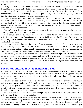idea, like his father's, was in fact a fucking terrible idea and he should probably go do something else instead.

Totally confused, the prince cleaned himself up and went and found a big tree near a river. He decided that he would sit under that tree and not get up until he came up with another grand idea.

As the legend goes, the confused prince sat under that tree for forty-nine days. We won't delve into the biological viability of sitting in the same spot for forty-nine days, but let's just say that in that time the prince came to a number of profound realizations.

One of those realizations was this: that life itself is a form of suffering. The rich suffer because of their riches. The poor suffer because of their poverty. People without a family suffer because they have no family. People with a family suffer because of their family. People who pursue worldly pleasures suffer because of their worldly pleasures. People who abstain from worldly pleasures suffer because of their abstention.

This isn't to say that all suffering is equal. Some suffering is certainly more painful than other suffering. But we all must suffer nonetheless.

Years later, the prince would build his own philosophy and share it with the world, and this would be its first and central tenet: that pain and loss are inevitable and we should let go of trying to resist them. The prince would later become known as the Buddha. And in case you haven't heard of him, he was kind of a big deal.

There is a premise that underlies a lot of our assumptions and beliefs. The premise is that happiness is algorithmic, that it can be worked for and earned and achieved as if it were getting accepted to law school or building a really complicated Lego set. If I achieve X, then I can be happy. If I look like Y, then I can be happy. If I can be with a person like Z, then I can be happy.

This premise, though, *is the problem.* Happiness is not a solvable equation. Dissatisfaction and unease are inherent parts of human nature and, as we'll see, necessary components to creating consistent happiness. The Buddha argued this from a theological and philosophical perspective. I will make the same argument in this chapter, but I will make it from a biological perspective, and with pandas.

#### <span id="page-14-0"></span>**The Misadventures of [Disappointment](#page-2-5) Panda**

If I could invent a superhero, I would invent one called Disappointment Panda. He'd wear a cheesy eye mask and a shirt (with a giant capital T on it) that was way too small for his big panda belly, and his superpower would be to tell people harsh truths about themselves that they needed to hear but didn't want to accept.

He would go door-to-door like a Bible salesman and ring doorbells and say things like, "Sure, making a lot of money makes you feel good, but it won't make your kids love you," or "If you have to ask yourself if you trust your wife, then you probably don't," or "What you consider 'friendship' is really just your constant attempts to impress people." Then he'd tell the homeowner to have a nice day and saunter on down to the next house.

It would be awesome. And sick. And sad. And uplifting. And necessary. After all, the greatest truths in life are usually the most unpleasant to hear.

Disappointment Panda would be the hero that none of us would want but all of us would need. He'd be the proverbial vegetables to our mental diet of junk food. He'd make our lives better despite making us feel worse. He'd make us stronger by tearing us down, brighten our future by showing us the darkness. Listening to him would be like watching a movie where the hero dies in the end: you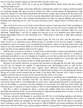love it even more despite making you feel horrible, because it feels real.

So while we're here, allow me to put on my Disappointment Panda mask and drop another unpleasant truth on you:

We suffer for the simple reason that suffering is biologically useful. It is nature's preferred agent for inspiring change. We have evolved to always live with a certain degree of dissatisfaction and insecurity, because it's the mildly dissatisfied and insecure creature that's going to do the most work to innovate and survive. We are wired to become dissatisfied with whatever we have and satisfied by only what we do not have. This constant dissatisfaction has kept our species fighting and striving, building and conquering. So no—our own pain and misery aren't a bug of human evolution; they're a feature.

Pain, in all of its forms, is our body's most effective means of spurring action. Take something as simple as stubbing your toe. If you're like me, when you stub your toe you scream enough four-letter words to make Pope Francis cry. You also probably blame some poor inanimate object for your suffering. "Stupid table," you say. Or maybe you even go so far as to question your entire interior design philosophy based on your throbbing foot: "What kind of idiot puts a table there anyway? Seriously?"

But I digress. That horrible stubbed-toe-induced pain, the one you and I and the pope hate so much, exists for an important reason. Physical pain is a product of our nervous system, a feedback mechanism to give us a sense of our own physical proportions—where we can and cannot move and what we can and cannot touch. When we exceed those limits, our nervous system duly punishes us to make sure that we pay attention and never do it again.

And this pain, as much as we hate it, *is* useful. Pain is what teaches us what to pay attention to when we're young or careless. It helps show us what's good for us versus what's bad for us. It helps us understand and adhere to our own limitations. It teaches us to not fuck around near hot stoves or stick metal objects into electrical sockets. Therefore, it's not always beneficial to avoid pain and seek pleasure, since pain can, at times, be life-or-death important to our well-being.

But pain is not merely physical. As anyone who has had to sit through the first *Star Wars* prequel can tell you, we humans are capable of experiencing acute psychological pain as well. In fact, research has found that our brains don't register much difference between physical pain and psychological pain. So when I tell you that my first girlfriend cheating on me and leaving me felt like having an ice pick slowly inserted into the center of my heart, that's because, well, it hurt so much I might as well have had an ice pick slowly inserted into the center of my heart.

Like physical pain, our psychological pain is an indication of something out of equilibrium, some limitation that has been exceeded. And like our physical pain, our psychological pain is not necessarily always bad or even undesirable. In some cases, experiencing emotional or psychological pain can be healthy or necessary. Just like stubbing our toe teaches us to walk into fewer tables, the emotional pain of rejection or failure teaches us how to avoid making the same mistakes in the future.

And this is what's so dangerous about a society that coddles itself more and more from the inevitable discomforts of life: we lose the benefits of experiencing healthy doses of pain, a loss that disconnects us from the reality of the world around us.

You may salivate at the thought of a problem-free life full of everlasting happiness and eternal compassion, but back here on earth the problems never cease. Seriously, problems don't end. Disappointment Panda just dropped by. We had margaritas, and he told me all about it: problems never fucking go away, he said—they just improve. Warren Buffett's got money problems; the drunk hobo down at Kwik-E Mart's got money problems. Buffett's just got *better* money problems than the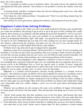hobo. All of life is like this.

"Life is essentially an endless series of problems, Mark," the panda told me. He sipped his drink and adjusted the little pink umbrella. "The solution to one problem is merely the creation of the next one."

A moment passed, and then I wondered where the fuck the talking panda came from. And while we're at it, who made these margaritas?

"Don't hope for a life without problems," the panda said. "There's no such thing. Instead, hope for a life full of good problems."

And with that, he set his glass down, adjusted his sombrero, and sauntered off into the sunset.

#### <span id="page-16-0"></span>**[Happiness](#page-2-6) Comes from Solving Problems**

Problems are a constant in life. When you solve your health problem by buying a gym membership, you create new problems, like having to get up early to get to the gym on time, sweating like a methhead for thirty minutes on an elliptical, and then getting showered and changed for work so you don't stink up the whole office. When you solve your problem of not spending enough time with your partner by designating Wednesday night "date night," you generate new problems, such as figuring out what to do every Wednesday that you both won't hate, making sure you have enough money for nice dinners, rediscovering the chemistry and spark you two feel you've lost, and unraveling the logistics of fucking in a small bathtub filled with too many bubbles.

Problems never stop; they merely get exchanged and/or upgraded.

Happiness comes from solving problems. The keyword here is "solving." If you're avoiding your problems or feel like you don't have any problems, then you're going to make yourself miserable. If you feel like you have problems that you can't solve, you will likewise make yourself miserable. The secret sauce is in the *solving* of the problems, not in not having problems in the first place.

To be happy we need something to solve. Happiness is therefore a form of action; it's an activity, not something that is passively bestowed upon you, not something that you magically discover in a top-ten article on the Huffington Post or from any specific guru or teacher. It doesn't magically appear when you finally make enough money to add on that extra room to the house. You don't find it waiting for you in a place, an idea, a job—or even a book, for that matter.

Happiness is a constant work-in-progress, because solving problems is a constant work-inprogress—the solutions to today's problems will lay the foundation for tomorrow's problems, and so on. True happiness occurs only when you find the problems you enjoy having and enjoy solving.

Sometimes those problems are simple: eating good food, traveling to some new place, winning at the new video game you just bought. Other times those problems are abstract and complicated: fixing your relationship with your mother, finding a career you can feel good about, developing better friendships.

Whatever your problems are, the concept is the same: solve problems; be happy. Unfortunately, for many people, life doesn't feel that simple. That's because they fuck things up in at least one of two ways:

- 1. *Denial.* Some people deny that their problems exist in the first place. And because they deny reality, they must constantly delude or distract themselves from reality. This may make them feel good in the short term, but it leads to a life of insecurity, neuroticism, and emotional repression.
- 2. *Victim Mentality.* Some choose to believe that there is nothing they can do to solve their problems, even when they in fact could. Victims seek to blame others for their problems or blame outside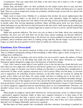circumstances. This may make them feel better in the short term, but it leads to a life of anger, helplessness, and despair.

People deny and blame others for their problems for the simple reason that it's easy and feels good, while solving problems is hard and often feels bad. Forms of blame and denial give us a quick high. They are a way to temporarily escape our problems, and that escape can provide us a quick rush that makes us feel better.

Highs come in many forms. Whether it's a substance like alcohol, the moral righteousness that comes from blaming others, or the thrill of some new risky adventure, highs are shallow and unproductive ways to go about one's life. Much of the self-help world is predicated on peddling highs to people rather than solving legitimate problems. Many self-help gurus teach you new forms of denial and pump you up with exercises that feel good in the short term, while ignoring the underlying issue. Remember, nobody who is actually happy has to stand in front of a mirror and tell himself that he's happy.

Highs also generate addiction. The more you rely on them to feel better about your underlying problems, the more you will seek them out. In this sense, almost anything can become addictive, depending on the motivation behind using it. We all have our chosen methods to numb the pain of our problems, and in moderate doses there is nothing wrong with this. But the longer we avoid and the longer we numb, the more painful it will be when we finally do confront our issues.

#### <span id="page-17-0"></span>**Emotions Are [Overrated](#page-2-7)**

Emotions evolved for one specific purpose: to help us live and reproduce a little bit better. That's it. They're feedback mechanisms telling us that something is either likely right or likely wrong for us nothing more, nothing less.

Much as the pain of touching a hot stove teaches you not to touch it again, the sadness of being alone teaches you not to do the things that made you feel so alone again. Emotions are simply biological signals designed to nudge you in the direction of beneficial change.

Look, I don't mean to make light of your midlife crisis or the fact that your drunk dad stole your bike when you were eight years old and you still haven't gotten over it, but when it comes down to it, if you feel crappy it's because your brain is telling you that there's a problem that's unaddressed or unresolved. In other words, negative emotions are a *call to action*. When you feel them, it's because you're supposed to *do something*. Positive emotions, on the other hand, are rewards for taking the proper action. When you feel them, life seems simple and there is nothing else to do but enjoy it. Then, like everything else, the positive emotions go away, because more problems inevitably emerge.

Emotions are part of the equation of our lives, but not the *entire* equation. Just because something feels good doesn't mean it *is* good. Just because something feels bad doesn't mean it *is* bad. Emotions are merely signposts, *suggestions* that our neurobiology gives us, not commandments. Therefore, we shouldn't always trust our own emotions. In fact, I believe we should make a habit of questioning them.

Many people are taught to repress their emotions for various personal, social, or cultural reasons —particularly negative emotions. Sadly, to deny one's negative emotions is to deny many of the feedback mechanisms that help a person solve problems. As a result, many of these repressed individuals struggle to deal with problems throughout their lives. And if they can't solve problems, then they can't be happy. Remember, pain serves a purpose.

But then there are those people who overidentify with their emotions. Everything is justified for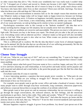no other reason than they *felt* it. "Oh, I broke your windshield, but I was *really* mad; I couldn't help it." Or "I dropped out of school and moved to Alaska just because it *felt* right." Decision-making based on emotional intuition, without the aid of reason to keep it in line, pretty much always sucks. You know who bases their entire lives on their emotions? Three-year-old kids. And dogs. You know what else three-year-olds and dogs do? Shit on the carpet.

An obsession and overinvestment in emotion fails us for the simple reason that emotions never last. Whatever makes us happy today will no longer make us happy tomorrow, because our biology always needs something more. A fixation on happiness inevitably amounts to a never-ending pursuit of "something else"—a new house, a new relationship, another child, another pay raise. And despite all of our sweat and strain, we end up feeling eerily similar to how we started: inadequate.

Psychologists sometimes refer to this concept as the "hedonic treadmill": the idea that we're always working hard to change our life situation, but we actually never feel very different.

This is why our problems are recursive and unavoidable. The person you marry is the person you fight with. The house you buy is the house you repair. The dream job you take is the job you stress over. Everything comes with an inherent sacrifice—whatever makes us feel good will also inevitably make us feel bad. What we gain is also what we lose. What creates our positive experiences will define our negative experiences.

This is a difficult pill to swallow. We *like* the idea that there's some form of ultimate happiness that can be attained. We *like* the idea that we can alleviate all of our suffering permanently. We *like* the idea that we can feel fulfilled and satisfied with our lives forever.

But we cannot.

#### <span id="page-18-0"></span>**Choose Your [Struggle](#page-2-8)**

If I ask you, "What do you want out of life?" and you say something like, "I want to be happy and have a great family and a job I like," your response is so common and expected that it doesn't really mean anything.

Everybody enjoys what feels good. Everyone wants to live a carefree, happy, and easy life, to fall in love and have amazing sex and relationships, to look perfect and make money and be popular and well-respected and admired and a total baller to the point that people part like the Red Sea when they walk into the room.

*Everybody* wants that. It's easy to want that.

A more interesting question, a question that most people never consider, is, "What *pain* do you want in your life? What are you willing to struggle for?" Because that seems to be a greater determinant of how our lives turn out.

For example, most people want to get the corner office and make a boatload of money—but not many people want to suffer through sixty-hour workweeks, long commutes, obnoxious paperwork, and arbitrary corporate hierarchies to escape the confines of an infinite cubicle hell.

Most people want to have great sex and an awesome relationship, but not everyone is willing to go through the tough conversations, the awkward silences, the hurt feelings, and the emotional psychodrama to get there. And so they settle. They settle and wonder, "What if?" for years and years, until the question morphs from "What if?" into "What else?" And when the lawyers go home and the alimony check is in the mail, they say, "What for?" If not for their lowered standards and expectations twenty years prior, then what for?

Because happiness requires struggle. It grows from problems. Joy doesn't just sprout out of the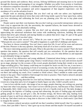ground like daisies and rainbows. Real, serious, lifelong fulfillment and meaning have to be earned through the choosing and managing of our struggles. Whether you suffer from anxiety or loneliness or obsessive-compulsive disorder or a dickhead boss who ruins half of your waking hours every day, the solution lies in the acceptance and active engagement of that negative experience—not the avoidance of it, not the salvation from it.

People want an amazing physique. But you don't end up with one unless you legitimately appreciate the pain and physical stress that come with living inside a gym for hour upon hour, unless you love calculating and calibrating the food you eat, planning your life out in tiny plate–sized portions.

People want to start their own business. But you don't end up a successful entrepreneur unless you find a way to appreciate the risk, the uncertainty, the repeated failures, the insane hours devoted to something that may earn absolutely nothing.

People want a partner, a spouse. But you don't end up attracting someone amazing without appreciating the emotional turbulence that comes with weathering rejections, building the sexual tension that never gets released, and staring blankly at a phone that never rings. It's part of the game of love. You can't win if you don't play.

What determines your success isn't, "What do you want to enjoy?" The relevant question is, "What pain do you want to sustain?" The path to happiness is a path full of shitheaps and shame.

You have to choose something. You can't have a pain-free life. It can't all be roses and unicorns all the time. Pleasure is the easy question. And pretty much all of us have a similar answer.

The more interesting question is the pain. What is the pain that you want to sustain? That's the hard question that matters, the question that will actually get you somewhere. It's the question that can change a perspective, a life. It's what makes me, me, and you, you. It's what defines us and separates us and ultimately brings us together.

For most of my adolescence and young adulthood, I fantasized about being a musician—a rock star, in particular. Any badass guitar song I heard, I would always close my eyes and envision myself up on stage, playing it to the screams of the crowd, people absolutely losing their minds to my sweet finger-noodling glory. This fantasy could keep me occupied for hours on end. For me, it was never a question of *if* I'd ever be up playing in front of screaming crowds, but *when*. I had it all planned out. I was simply biding my time before I could invest the proper amount of energy and effort into getting out there and making my mark. First I needed to finish school. Then I needed to make some extra money to buy gear. Then I needed to find enough free time to practice. Then I had to network and plan my first project. Then . . . and then nothing.

Despite my fantasizing about this for over half my lifetime, the reality never came to fruition. And it took me a long time and a lot of struggle to finally figure out why: *I didn't actually want it.*

I was in love with the result—the image of me on stage, people cheering, me rocking out, pouring my heart into what I was playing—but I wasn't in love with the process. And because of that, I failed at it. Repeatedly. Hell, I didn't even try hard enough to fail at it. I hardly tried at all. The daily drudgery of practicing, the logistics of finding a group and rehearsing, the pain of finding gigs and actually getting people to show up and give a shit, the broken strings, the blown tube amp, hauling forty pounds of gear to and from rehearsals with no car. It's a mountain of a dream and a mile-high climb to the top. And what it took me a long time to discover is that I didn't like to climb much. I just liked to imagine the summit.

The common cultural narratives would tell me that I somehow failed myself, that I'm a quitter or a loser, that I just didn't "have it," that I gave up on my dream and that maybe I let myself succumb to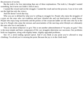the pressures of society.

But the truth is far less interesting than any of these explanations. The truth is, I thought I wanted something, but it turns out I didn't. End of story.

I wanted the reward and not the struggle. I wanted the result and not the process. I was in love with not the fight but only the victory.

And life doesn't work that way.

Who you are is defined by what you're willing to struggle for. People who *enjoy* the struggles of a gym are the ones who run triathlons and have chiseled abs and can bench-press a small house. People who *enjoy* long workweeks and the politics of the corporate ladder are the ones who fly to the top of it. People who *enjoy* the stresses and uncertainties of the starving artist lifestyle are ultimately the ones who live it and make it.

This is not about willpower or grit. This is not another admonishment of "no pain, no gain." This is the most simple and basic component of life: our struggles determine our successes. Our problems birth our happiness, along with slightly better, slightly upgraded problems.

See: it's a never-ending upward spiral. And if you think at any point you're allowed to stop climbing, I'm afraid you're missing the point. Because the joy is in the climb itself.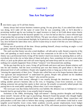#### **[CHAPTER](#page-2-9)** 3

#### **You Are Not [Special](#page-2-9)**

<span id="page-21-0"></span>**I** once knew <sup>a</sup> guy; we'll call him Jimmy.

Jimmy always had various business ventures going. On any given day, if you asked him what he was doing, he'd rattle off the name of some firm he was consulting with, or he'd describe a promising medical app he was looking for angel investors to fund, or he'd talk about some charity event he was supposed to be the keynote speaker for, or how he had an idea for a more efficient type of gas pump that was going to make him billions. The guy was always rolling, always on, and if you gave him an inch of conversational daylight, he'd pulverize you about how world-spinning his work was, how brilliant his latest ideas were, and he'd name-drop so much it felt like you were talking to a tabloid reporter.

Jimmy was all positivity all the time. Always pushing himself, always working an angle—a real go-getter, whatever the fuck that means.

The catch was that Jimmy was also a total deadbeat—all talk and no walk. Stoned a majority of the time, and spending as much money in bars and fine restaurants as he did on his "business ideas," Jimmy was a professional leech, living off his family's hard-won money by spinning them as well as everybody else in the city on false ideas of future tech glory. Sure, sometimes he'd put in some token effort, or pick up the phone and cold-call some bigwig and name-drop until he ran out of names, but nothing ever actually happened. None of these "ventures" ever blossomed into anything.

Yet the guy kept this up for years, living off girlfriends and more and more distant relatives well into his late twenties. And the most screwed-up part was that Jimmy *felt good about it.* He had a delusional level of self-confidence. People who laughed at him or hung up on him were, in his mind, "missing the opportunity of their lives." People who called him out on his bogus business ideas were "too ignorant and inexperienced" to understand his genius. People who pointed out his deadbeat lifestyle were "jealous"; they were "haters" who envied his success.

Jimmy did make some money, although it was usually through the sketchiest of means, like selling another person's business idea as his own, or finagling a loan from someone, or worse, talking someone into giving him equity in their start-up. He actually occasionally talked people into paying him to do some public speaking. (About what, I can't even imagine.)

The worst part was that Jimmy *believed* his own bullshit. His delusion was so bulletproof, it was honestly hard to get mad at him, it was actually kind of amazing.

Sometime in the 1960s, developing "high self-esteem"—having positive thoughts and feelings about oneself—became all the rage in psychology. Research found that people who *thought* highly about themselves generally performed better and caused fewer problems. Many researchers and policymakers at the time came to believe that raising a population's self-esteem could lead to some tangible social benefits: lower crime, better academic records, greater employment, lower budget deficits. As a result, beginning in the next decade, the 1970s, self-esteem practices began to be taught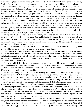to parents, emphasized by therapists, politicians, and teachers, and instituted into educational policy. Grade inflation, for example, was implemented to make low-achieving kids feel better about their lack of achievement. Participation awards and bogus trophies were invented for any number of mundane and expected activities. Kids were given inane homework assignments, like writing down all the reasons why they thought they were special, or the five things they liked most about themselves. Pastors and ministers told their congregations that they were each uniquely special in God's eyes, and were destined to excel and not be average. Business and motivational seminars cropped up chanting the same paradoxical mantra: every single one of us can be exceptional and massively successful.

But it's a generation later and the data is in: we're *not* all exceptional. It turns out that merely feeling good about yourself doesn't really mean anything unless you have a *good reason* to feel good about yourself. It turns out that adversity and failure are actually useful and even necessary for developing strong-minded and successful adults. It turns out that teaching people to believe they're exceptional and to feel good about themselves no matter what doesn't lead to a population full of Bill Gateses and Martin Luther Kings. It leads to a population full of Jimmys.

Jimmy, the delusional start-up founder. Jimmy, who smoked pot every day and had no real marketable skills other than talking himself up and believing it. Jimmy, the type of guy who yelled at his business partner for being "immature," and then maxed out the company credit card at Le Bernardin trying to impress some Russian model. Jimmy, who was quickly running out of aunts and uncles who could loan him more money.

Yes, that confident, high-self-esteem Jimmy. The Jimmy who spent so much time talking about how good he was that he forgot to, you know, actually do something.

The problem with the self-esteem movement is that it measured self-esteem by how positively people felt about themselves. But a true and accurate measurement of one's self-worth is how people feel about the *negative* aspects of themselves. If a person like Jimmy feels absolutely fucking great 99.9 percent of the time, despite his life falling apart around him, then how can that be a valid metric for a successful and happy life?

Jimmy is entitled. That is, he feels as though he deserves good things without actually earning them. He believes he should be able to be rich without actually working for it. He believes he should be liked and well-connected without actually helping anyone. He believes he should have an amazing lifestyle without actually sacrificing anything.

People like Jimmy become so fixated on feeling good about themselves that they manage to delude themselves into believing that they *are* accomplishing great things even when they're not. They believe they're the brilliant presenter on stage when actually they're making a fool of themselves. They believe they're the successful start-up founder when, in fact, they've never had a successful venture. They call themselves life coaches and charge money to help others, even though they're only twenty-five years old and haven't actually accomplished anything substantial in their lives.

Entitled people exude a delusional degree of self-confidence. This confidence can be alluring to others, at least for a little while. In some instances, the entitled person's delusional level of confidence can become contagious and help the people around the entitled person feel more confident in themselves too. Despite all of Jimmy's shenanigans, I have to admit that it *was* fun hanging out with him sometimes. You felt indestructible around him.

But the problem with entitlement is that it makes people *need* to feel good about themselves all the time, even at the expense of those around them. And because entitled people always need to feel good about themselves, they end up spending most of their time thinking about themselves. After all, it takes a lot of energy and work to convince yourself that your shit doesn't stink, especially when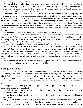you've actually been living in a toilet.

Once people have developed the thought pattern to constantly construe what happens around them as self-aggrandizing, it's extremely hard to break them out of it. Any attempt to reason with them is seen as simply another "threat" to their superiority by another person who "can't handle" how smart/talented/good-looking/successful they are.

Entitlement closes in upon itself in a kind of narcissistic bubble, distorting anything and everything in such a way as to reinforce itself. People who feel entitled view every occurrence in their life as either an affirmation of, or a threat to, their own greatness. If something good happens to them, it's because of some amazing feat they accomplished. If something bad happens to them, it's because somebody is jealous and trying to bring them down a notch. Entitlement is impervious. People who are entitled delude themselves into whatever feeds their sense of superiority. They keep their mental facade standing at all costs, even if it sometimes requires being physically or emotionally abusive to those around them.

But entitlement is a failed strategy. It's just another high. It's *not* happiness.

The true measurement of self-worth is not how a person feels about her *positive* experiences, but rather how she feels about her *negative* experiences. A person like Jimmy hides from his problems by making up imagined successes for himself at every turn. And because he can't face his problems, no matter how good he feels about himself, he is weak.

A person who actually has a high self-worth is able to look at the negative parts of his character frankly—"Yes, sometimes I'm irresponsible with money," "Yes, sometimes I exaggerate my own successes," "Yes, I rely too much on others to support me and should be more self-reliant"—and then acts to improve upon them. But entitled people, because they are incapable of acknowledging their own problems openly and honestly, are incapable of improving their lives in any lasting or meaningful way. They are left chasing high after high and accumulate greater and greater levels of denial.

But eventually reality must hit, and the underlying problems will once again make themselves clear. It's just a question of when, and how painful it will be.

#### <span id="page-23-0"></span>**[Things](#page-2-10) Fall Apart**

I sat in my 9:00 A.M. biology class, arms cradling my head on my desk as I stared at the clock's second hand making laps, each tick syncopated with the teacher's dronings-on about chromosomes and mitosis. Like most thirteen-year-olds stuck in a stuffy, fluorescent classroom, I was bored.

A knock came on the door. Mr. Price, the school's assistant principal, stuck his head in. "Excuse me for interrupting. Mark, can you step outside with me for a moment? Oh, and bring your things with you."

Strange, I thought. Kids get sent to the principal, but the principal rarely gets sent to them. I gathered my things and stepped out.

The hallway was empty. Hundreds of beige lockers converged on the horizon. "Mark, can you take me to your locker, please?"

"Sure," I say, and slug myself down the hall, baggy jeans and moppy hair and oversized Pantera T-shirt and all.

We get to my locker. "Open it, please," Mr. Price says; so I do. He steps in front of me and gathers my coat, my gym bag, my backpack—all of the locker's contents, minus a few notebooks and pencils. He starts walking away. "Come with me, please," he says, without looking back. I start to get an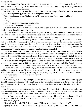uneasy feeling.

I follow him to his office, where he asks me to sit down. He closes the door and locks it. He goes over to the window and adjusts the blinds to block the view from outside. My palms begin to sweat. This is *not* a normal principal visit.

Mr. Price sits down and quietly rummages through my things, checking pockets, unzipping zippers, shaking out my gym clothes and placing them on the floor.

Without looking up at me, Mr. Price asks, "Do you know what I'm looking for, Mark?"

"No," I say.

"Drugs."

The word shocks me into nervous attention.

"D-d-drugs?" I stammer. "What kind?"

He looks at me sternly. "I don't know; what kind do you have?" He opens one of my binders and checks the small pockets meant for pens.

My sweat blossoms like a fungal growth. It spreads from my palms to my arms and now my neck. My temples pulsate as blood floods my brain and face. Like most thirteen-year-olds freshly accused of possessing narcotics and bringing them to school, I want to run away and hide.

"I don't know what you're talking about," I protest, the words sounding far meeker than I'd like. I feel as if I should be sounding confident in myself right now. Or maybe not. Maybe I should be scared. Do liars sound more scared or confident? Because however they sound, I want to sound the opposite. Instead, my lack of confidence compounds, unconfidence about my sounding unconfident making me more unconfident. That fucking Feedback Loop from Hell.

"We'll see about that," he says, turning his attention to my backpack, which seemingly has one hundred pockets. Each is loaded with its own silly teen desiderata—colored pens, old notes passed in class, early-nineties CDs with cracked cases, dried-up markers, an old sketchpad with half its pages missing, dust and lint and crap accumulated during a maddeningly circuitous middle school existence.

My sweat must be pumping at the speed of light, because time extends itself and dilates such that what is mere seconds on that 9:00 A.M. second-period biology clock now feels like Paleolithic eons, and I'm growing up and dying every minute. Just me and Mr. Price and my bottomless backpack.

Somewhere around the Mesolithic Age, Mr. Price finishes searching the backpack. Having found nothing, he seems flustered. He turns the pack upside down and lets all of my crap crash onto his office floor. He's now sweating as profusely as I am, except in place of my terror, there is his anger.

"No drugs today, eh?" He tries to sound casual.

"Nope." So do I.

He spreads my stuff out, separating each item and coagulating them into little piles beside my gym gear. My coat and backpack now lie empty and lifeless on his lap. He sighs and stares at the wall. Like most thirteen-year-olds locked in an office with a man angrily throwing their shit all over the floor, I want to cry.

Mr. Price scans the contents organized on the floor. Nothing illicit or illegal, no narcotics, not even anything against school policy. He sighs and then throws the coat and backpack on the floor too. He bends over and puts his elbows on his knees, making his face level with mine.

"Mark, I'm going to give you one last chance to be honest with me. If you are honest, this will turn out much better for you. If it turns out you're lying, then it's going to be much worse."

As if on cue, I gulp.

"Now tell me the truth," Mr. Price demands. "Did you bring drugs to school today?"

Fighting back tears, screams clawing at my throat, I stare my tormentor in the face and, in a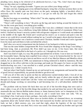pleading voice, dying to be relieved of its adolescent horrors, I say, "No, I don't have any drugs. I have no idea what you're talking about."

"Okay," he says, signaling surrender. "I guess you can collect your things and go."

He takes one last, longing gaze at my deflated backpack, lying like a broken promise there on his office floor. He casually puts one foot down on the pack, stomping lightly, a last-ditch effort. I anxiously wait for him to get up and leave so I can get on with my life and forget this whole nightmare.

But his foot stops on something. "What is this?" he asks, tapping with his foot.

"What is what?" I say.

"There's still something in here." He picks up the bag and starts feeling around the bottom of it. For me the room gets fuzzy; everything goes wobbly.

When I was young, I was smart. I was friendly. But I was also a shithead. I mean that in the most loving way possible. I was a rebellious, lying little shithead. Angry and full of resentment. When I was twelve, I hacked my house's security system with refrigerator magnets so I could sneak out undetected in the middle of the night. My friend and I would put his mom's car in neutral and push it into the street so we could drive around without waking her up. I would write papers about abortion because I knew my English teacher was a hardcore conservative Christian. Another friend and I stole cigarettes from his mom and sold them to kids out behind the school.

And I also cut a secret compartment into the bottom of my backpack to hide my marijuana.

That was the same hidden compartment Mr. Price found after stepping on the drugs I was hiding. I had been lying. And, as promised, Mr. Price didn't go easy on me. A few hours later, like most thirteen-year-olds handcuffed in the back of a police car, I thought my life was over.

And I was kind of right, in a way. My parents quarantined me at home. I was to have no friends for the foreseeable future. Having been expelled from school, I was to be homeschooled for the rest of the year. My mom made me get a haircut and threw out all of my Marilyn Manson and Metallica shirts (which, for an adolescent in 1998, was tantamount to being sentenced to death by lameness). My dad dragged me to his office with him in the mornings and made me file papers for hours on end. Once homeschooling was over, I was enrolled in a small, private Christian school, where—and this may not surprise you—I didn't exactly fit in.

And just when I had finally cleaned up my act and turned in my assignments and learned the value of good clerical responsibility, my parents decided to get divorced.

I tell you all of this only to point out that my adolescence sucked donkey balls. I lost all of my friends, my community, my legal rights, and my family within the span of about nine months. My therapist in my twenties would later call this "some real traumatic shit," and I would spend the next decade-and-change working on unraveling it and becoming less of a self-absorbed, entitled little prick.

The problem with my home life back then was not all of the horrible things that were said or done; rather, it was all of the horrible things that needed to be said and done but weren't. My family stonewalls the way Warren Buffett makes money or Jenna Jameson fucks: we're champions at it. The house could have been burning down around us and it would have been met with, "Oh no, everything's fine. A tad warm in here, perhaps—but really, everything's fine."

When my parents got divorced, there were no broken dishes, no slammed doors, no screaming arguments about who fucked whom. Once they had reassured my brother and me that it wasn't our fault, we had a Q&A session—yes, you read that right—about the logistics of the new living arrangements. Not a tear was shed. Not a voice was raised. The closest peek my brother and I got into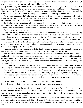our parents' unraveling emotional lives was hearing, "Nobody cheated on anybody." Oh, that's nice. It was a tad warm in the room, but really, everything was fine.

My parents are good people. I don't blame them for any of this (not anymore, at least). And I love them very much. They have their own stories and their own journeys and their own problems, just as all parents do. And just as all of *their* parents do, and so on. And like all parents, my parents, with the best of intentions, imparted some of their problems to me, as I probably will to my kids.

When "real traumatic shit" like this happens in our lives, we begin to unconsciously feel as though we have problems that we're incapable of ever solving. And this assumed inability to solve our problems causes us to feel miserable and helpless.

But it also causes something else to happen. If we have problems that are unsolvable, our unconscious figures that we're either uniquely special or uniquely defective in some way. That we're somehow unlike everyone else and that the rules must be different for us.

Put simply: we become entitled.

The pain from my adolescence led me down a road of entitlement that lasted through much of my early adulthood. Whereas Jimmy's entitlement played out in the business world, where he pretended to be a huge success, my entitlement played out in my relationships, particularly with women. My trauma had revolved around intimacy and acceptance, so I felt a constant need to overcompensate, to prove to myself that I was loved and accepted at all times. And as a result, I soon took to chasing women the same way a cocaine addict takes to a snowman made out of cocaine: I made sweet love to it, and then promptly suffocated myself in it.

I became a player—an immature, selfish, albeit sometimes charming player. And I strung up a long series of superficial and unhealthy relationships for the better part of a decade.

It wasn't so much the sex I craved, although the sex was fun. It was the validation. I was wanted; I was loved; for the first time since I could remember, I was *worthy*. My craving for validation quickly fed into a mental habit of self-aggrandizing and overindulgence. I felt entitled to say or do whatever I wanted, to break people's trust, to ignore people's feelings, and then justify it later with shitty, halfassed apologies.

While this period certainly had its moments of fun and excitement, and I met some wonderful women, my life was more or less a wreck the whole time. I was often unemployed, living on friends' couches or with my mom, drinking way more than I should have been, alienating a number of friends —and when I did meet a woman I really liked, my self-absorption quickly torpedoed everything.

The deeper the pain, the more helpless we feel against our problems, and the more entitlement we adopt to compensate for those problems. This entitlement plays out in one of two ways:

- 1. I'm awesome and the rest of you all suck, so I deserve special treatment.
- 2. I suck and the rest of you are all awesome, so I deserve special treatment.

Opposite mindset on the outside, but the same selfish creamy core in the middle. In fact, you will often see entitled people flip back and forth between the two. Either they're on top of the world or the world is on top of them, depending on the day of the week, or how well they're doing with their particular addiction at that moment.

Most people correctly identify a person like Jimmy as a raging narcissistic ass-hat. That's because he's pretty blatant in his delusionally high self-regard. What most people don't correctly identify as entitlement are those people who perpetually feel as though they're inferior and unworthy of the world.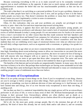Because construing everything in life so as to make yourself out to be constantly victimized requires just as much selfishness as the opposite. It takes just as much energy and delusional selfaggrandizement to maintain the belief that one has insurmountable problems as that one has no problems at all.

The truth is that there's no such thing as a personal problem. If you've got a problem, chances are millions of other people have had it in the past, have it now, and are going to have it in the future. Likely people you know too. That doesn't minimize the problem or mean that it shouldn't hurt. It doesn't mean you aren't legitimately a victim in some circumstances.

It just means that you're not special.

Often, it's this realization—that you and your problems are actually *not* privileged in their severity or pain—that is the first and most important step toward solving them.

But for some reason, it appears that more and more people, particularly young people, are forgetting this. Numerous professors and educators have noted a lack of emotional resilience and an excess of selfish demands in today's young people. It's not uncommon now for books to be removed from a class's curriculum for no other reason than that they made someone feel bad. Speakers and professors are shouted down and banned from campuses for infractions as simple as suggesting that maybe some Halloween costumes really aren't that offensive. School counselors note that more students than ever are exhibiting severe signs of emotional distress over what are otherwise run-ofthe-mill daily college experiences, such as an argument with a roommate, or getting a low grade in a class.

It's strange that in an age when we are more connected than ever, entitlement seems to be at an alltime high. Something about recent technology seems to allow our insecurities to run amok like never before. The more freedom we're given to express ourselves, the more we want to be free of having to deal with anyone who may disagree with us or upset us. The more exposed we are to opposing viewpoints, the more we seem to get upset that those other viewpoints exist. The easier and more problem-free our lives become, the more we seem to feel entitled for them to get even better.

The benefits of the Internet and social media are unquestionably fantastic. In many ways, this is the best time in history to be alive. But perhaps these technologies are having some unintended social side effects. Perhaps these same technologies that have liberated and educated so many are simultaneously enabling people's sense of entitlement more than ever before.

#### <span id="page-27-0"></span>**The Tyranny of [Exceptionalism](#page-2-11)**

Most of us are pretty average at most things we do. Even if you're exceptional at one thing, chances are you're average or below average at most other things. That's just the nature of life. To become truly great at something, you have to dedicate shit-tons of time and energy to it. And because we all have limited time and energy, few of us ever become truly exceptional at more than one thing, if anything at all.

We can then say that it's a statistical improbability that any single person will be an extraordinary performer in all areas of life, or even in many areas of their life. Brilliant businesspeople are often fuckups in their personal lives. Extraordinary athletes are often shallow and as dumb as a lobotomized rock. Many celebrities are probably just as clueless about life as the people who gawk at them and follow their every move.

We're all, for the most part, pretty average people. But it's the extremes that get all of the publicity. We kind of know this already, but we rarely think and/or talk about it, and we certainly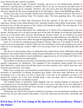never discuss why this could be a problem.

Having the Internet, Google, Facebook, YouTube, and access to five hundred–plus channels of television is amazing. But our attention is limited. There's no way we can process the tidal waves of information flowing past us constantly. Therefore, the only zeroes and ones that break through and catch our attention are the truly exceptional pieces of information—those in the 99.999th percentile.

All day, every day, we are flooded with the truly extraordinary. The best of the best. The worst of the worst. The greatest physical feats. The funniest jokes. The most upsetting news. The scariest threats. Nonstop.

Our lives today are filled with information from the extremes of the bell curve of human experience, because in the media business that's what gets eyeballs, and eyeballs bring dollars. That's the bottom line. Yet the vast majority of life resides in the humdrum middle. The vast majority of life is *un*extraordinary, indeed quite average.

This flood of extreme information has conditioned us to believe that exceptionalism is the new normal. And because we're all quite average most of the time, the deluge of exceptional information drives us to feel pretty damn insecure and desperate, because clearly we are somehow not good enough. So more and more we feel the need to compensate through entitlement and addiction. We cope the only way we know how: either through self-aggrandizing or through other-aggrandizing.

Some of us do this by cooking up get-rich-quick schemes. Others do it by taking off across the world to save starving babies in Africa. Others do it by excelling in school and winning every award. Others do it by shooting up a school. Others do it by trying to have sex with anything that talks and breathes.

This ties in to the growing culture of entitlement that I talked about earlier. Millennials often get blamed for this cultural shift, but that's likely because millennials are the most plugged-in and visible generation. In fact, the tendency toward entitlement is apparent across all of society. And I believe it's linked to mass-media-driven exceptionalism.

The problem is that the pervasiveness of technology and mass marketing is screwing up a lot of people's expectations for themselves. The inundation of the exceptional makes people feel worse about themselves, makes them feel that they need to be more extreme, more radical, and more selfassured to get noticed or even matter.

When I was a young man, my insecurities around intimacy were exacerbated by all the ridiculous narratives of masculinity circulating throughout pop culture. And those same narratives are *still* circulating: to be a cool guy, you have to party like a rock star; to be respected, you have to be admired by women; sex is the most valuable thing a man can attain, and it's worth sacrificing anything (including your own dignity) to get it.

This constant stream of unrealistic media dogpiles onto our existing feelings of insecurity, by overexposing us to the unrealistic standards we fail to live up to. Not only do we feel subjected to unsolvable problems, but we feel like losers because a simple Google search shows us thousands of people without those same problems.

Technology has solved old economic problems by giving us new psychological problems. The Internet has not just open-sourced information; it has also open-sourced insecurity, self-doubt, and shame.

#### <span id="page-28-0"></span>**B-b-b-but, If I'm Not Going to Be Special or [Extraordinary,](#page-2-12) What's the Point?**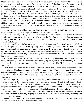It has become an accepted part of our culture today to believe that we are *all* destined to do something truly extraordinary. Celebrities say it. Business tycoons say it. Politicians say it. Even Oprah says it (so it must be true). Each and every one of us can be extraordinary. We all *deserve* greatness.

The fact that this statement is inherently contradictory—after all, if *everyone* were extraordinary, then by definition *no one* would be extraordinary—is missed by most people. And instead of questioning what we actually deserve or don't deserve, we eat the message up and ask for more.

Being "average" has become the new standard of failure. The worst thing you can be is in the middle of the pack, the middle of the bell curve. When a culture's standard of success is to "be extraordinary," it then becomes better to be at the extreme low end of the bell curve than to be in the middle, because at least there you're still special and deserve attention. Many people choose this strategy: to prove to everyone that they are the most miserable, or the most oppressed, or the most victimized.

A lot of people are afraid to accept mediocrity because they believe that if they accept it, they'll never achieve anything, never improve, and that their life won't matter.

This sort of thinking is dangerous. Once you accept the premise that a life is worthwhile only if it is truly notable and great, then you basically accept the fact that most of the human population (including yourself) sucks and is worthless. And this mindset can quickly turn dangerous, to both yourself and others.

The rare people who do become truly exceptional at something do so not because they believe they're exceptional. On the contrary, they become amazing because they're obsessed with improvement. And that obsession with improvement stems from an unerring belief that they are, in fact, not that great at all. It's *anti*-entitlement. People who become great at something become great because they understand that they're not already great—they are mediocre, they are average—and that they could be so much better.

All of this "every person can be extraordinary and achieve greatness" stuff is basically just jerking off your ego. It's a message that tastes good going down, but in reality is nothing more than empty calories that make you emotionally fat and bloated, the proverbial Big Mac for your heart and your brain.

The ticket to emotional health, like that to physical health, comes from eating your veggies—that is, accepting the bland and mundane truths of life: truths such as "Your actions actually don't matter *that much* in the grand scheme of things" and "The vast majority of your life will be boring and not noteworthy, and that's okay." This vegetable course will taste bad at first. Very bad. You will avoid accepting it.

But once ingested, your body will wake up feeling more potent and more alive. After all, that constant pressure to be something amazing, to be the next big thing, will be lifted off your back. The stress and anxiety of always feeling inadequate and constantly needing to prove yourself will dissipate. And the knowledge and acceptance of your own mundane existence will actually free you to accomplish what you truly wish to accomplish, without judgment or lofty expectations.

You will have a growing appreciation for life's basic experiences: the pleasures of simple friendship, creating something, helping a person in need, reading a good book, laughing with someone you care about.

Sounds boring, doesn't it? That's because these things are ordinary. But maybe they're ordinary for a reason: because they are what *actually* matters.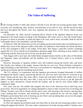#### **[CHAPTER](#page-2-13)** 4

#### **The Value of [Suffering](#page-2-13)**

<span id="page-30-0"></span>**I**<sup>n</sup> the closing months of 1944, after almost <sup>a</sup> decade of war, the tide was turning against Japan. Their economy was floundering, their military overstretched across half of Asia, and the territories they had won throughout the Pacific were now toppling like dominoes to U.S. forces. Defeat seemed inevitable.

On December 26, 1944, Second Lieutenant Hiroo Onoda of the Japanese Imperial Army was deployed to the small island of Lubang in the Philippines. His orders were to slow the United States' progress as much as possible, to stand and fight at all costs, and to never surrender. Both he and his commander knew it was essentially a suicide mission.

In February 1945, the Americans arrived on Lubang and took the island with overwhelming force. Within days, most of the Japanese soldiers had either surrendered or been killed, but Onoda and three of his men managed to hide in the jungle. From there, they began a guerrilla warfare campaign against the U.S. forces and the local population, attacking supply lines, shooting at stray soldiers, and interfering with the American forces in any way that they could.

That August, half a year later, the United States dropped atomic bombs on the cities of Hiroshima and Nagasaki. Japan surrendered, and the deadliest war in human history came to its dramatic conclusion.

However, thousands of Japanese soldiers were still scattered among the Pacific isles, and most, like Onoda, were hiding in the jungle, unaware that the war was over. These holdouts continued to fight and pillage as they had before. This was a real problem for rebuilding eastern Asia after the war, and the governments agreed something must be done.

The U.S. military, in conjunction with the Japanese government, dropped thousands of leaflets throughout the Pacific region, announcing that the war was over and it was time for everyone to go home. Onoda and his men, like many others, found and read these leaflets, but unlike most of the others, Onoda decided that they were fake, a trap set by the American forces to get the guerrilla fighters to show themselves. Onoda burned the leaflets, and he and his men stayed hidden and continued to fight.

Five years went by. The leaflets had stopped, and most of the American forces had long since gone home. The local population on Lubang attempted to return to their normal lives of farming and fishing. Yet there were Hiroo Onoda and his merry men, still shooting at the farmers, burning their crops, stealing their livestock, and murdering locals who wandered too far into the jungle. The Philippine government then took to drawing up new flyers and spreading them out across the jungle. Come out, they said. The war is over. You lost.

But these, too, were ignored.

In 1952, the Japanese government made one final effort to draw the last remaining soldiers out of hiding throughout the Pacific. This time, letters and pictures from the missing soldiers' families were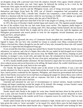air-dropped, along with a personal note from the emperor himself. Once again, Onoda refused to believe that the information was real. Once again, he believed the airdrop to be a trick by the Americans. Once again, he and his men stood and continued to fight.

Another few years went by and the Philippine locals, sick of being terrorized, finally armed themselves and began firing back. By 1959, one of Onoda's companions had surrendered, and another had been killed. Then, a decade later, Onoda's last companion, a man called Kozuka, was killed in a shootout with the local police while he was burning rice fields—*still* waging war against the local population a full quarter-century after the end of World War II!

Onoda, having now spent more than half of his life in the jungles of Lubang, was all alone.

In 1972, the news of Kozuka's death reached Japan and caused a stir. The Japanese people thought the last of the soldiers from the war had come home years earlier. The Japanese media began to wonder: if Kozuka had still been on Lubang until 1972, then perhaps Onoda himself, the last known Japanese holdout from World War II, might still be alive as well. That year, both the Japanese and Philippine governments sent search parties to look for the enigmatic second lieutenant, now part myth, part hero, and part ghost.

They found nothing.

As the months progressed, the story of Lieutenant Onoda morphed into something of an urban legend in Japan—the war hero who sounded too insane to actually exist. Many romanticized him. Others criticized him. Others thought he was the stuff of fairy tale, invented by those who still wanted to believe in a Japan that had disappeared long ago.

It was around this time that a young man named Norio Suzuki first heard of Onoda. Suzuki was an adventurer, an explorer, and a bit of a hippie. Born after the war ended, he had dropped out of school and spent four years hitchhiking his way across Asia, the Middle East, and Africa, sleeping on park benches, in stranger's cars, in jail cells, and under the stars. He volunteered on farms for food, and donated blood to pay for places to stay. He was a free spirit, and perhaps a little bit nuts.

In 1972, Suzuki needed another adventure. He had returned to Japan after his travels and found the strict cultural norms and social hierarchy to be stifling. He hated school. He couldn't hold down a job. He wanted to be back on the road, back on his own again.

For Suzuki, the legend of Hiroo Onoda came as the answer to his problems. It was a new and worthy adventure for him to pursue. Suzuki believed that *he* would be the one who would find Onoda. Sure, search parties conducted by the Japanese, Philippine, and American governments had not been able to find Onoda; local police forces had been scavenging the jungle for almost thirty years with no luck; thousands of leaflets had met with no response—but fuck it, this deadbeat, college-dropout hippie was going to be the one to find him.

Unarmed and untrained for any sort of reconnaissance or tactical warfare, Suzuki traveled to Lubang and began wandering around the jungle all by himself. His strategy: scream Onoda's name really loudly and tell him that the emperor was worried about him.

He found Onoda in four days.

Suzuki stayed with Onoda in the jungle for some time. Onoda had been alone by that point for over a year, and once found by Suzuki he welcomed the companionship and was desperate to learn what had been happening in the outside world from a Japanese source he could trust. The two men became sorta-kinda friends.

Suzuki asked Onoda why he had stayed and continued to fight. Onoda said it was simple: he had been given the order to "never surrender," so he stayed. For nearly thirty years he had simply been following an order. Onoda then asked Suzuki why a "hippie boy" like himself came looking for him.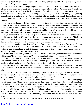Suzuki said that he'd left Japan in search of three things: "Lieutenant Onoda, a panda bear, and the Abominable Snowman, in that order."

The two men had been brought together under the most curious of circumstances: two wellintentioned adventurers chasing false visions of glory, like a real-life Japanese Don Quixote and Sancho Panza, stuck together in the damp recesses of a Philippine jungle, both imagining themselves heroes, despite both being alone with nothing, doing nothing. Onoda had already by then given up most of his life to a phantom war. Suzuki would give his up too. Having already found Hiroo Onoda and the panda bear, he would die a few years later in the Himalayas, still in search of the Abominable Snowman.

Humans often choose to dedicate large portions of their lives to seemingly useless or destructive causes. On the surface, these causes make no sense. It's hard to imagine how Onoda could have been happy on that island for those thirty years—living off insects and rodents, sleeping in the dirt, murdering civilians decade after decade. Or why Suzuki trekked off to his own death, with no money, no companions, and no purpose other than to chase an imaginary Yeti.

Yet, later in his life, Onoda said he regretted nothing. He claimed that he was proud of his choices and his time on Lubang. He said that it had been an honor to devote a sizable portion of his life in service to a nonexistent empire. Suzuki, had he survived, likely would have said something similar: that he was doing exactly what he was meant to do, that he regretted nothing.

These men both chose how they wished to suffer. Hiroo Onoda chose to suffer for loyalty to a dead empire. Suzuki chose to suffer for adventure, no matter how ill-advised. To both men, their suffering *meant* something; it fulfilled some greater cause. And because it meant something, they were able to endure it, or perhaps even enjoy it.

If suffering is inevitable, if our problems in life are unavoidable, then the question we should be asking is not "How do I stop suffering?" but "*Why* am I suffering—for what purpose?"

Hiroo Onoda returned to Japan in 1974 and became a kind of celebrity in his home country. He was shuttled around from talk show to radio station; politicians clamored to shake his hand; he published a book and was even offered a large sum of money by the government.

But what he found when he returned to Japan horrified him: a consumerist, capitalist, superficial culture that had lost all of the traditions of honor and sacrifice upon which his generation had been raised.

Onoda tried to use his sudden celebrity to espouse the values of Old Japan, but he was tone-deaf to this new society. He was seen more as a showpiece than as a serious cultural thinker—a Japanese man who had emerged from a time capsule for all to marvel at, like a relic in a museum.

And in the irony of ironies, Onoda became far more depressed than he'd ever been in the jungle for all those years. At least in the jungle his life had stood for something; it had meant something. That had made his suffering endurable, indeed even a little bit desirable. But back in Japan, in what he considered to be a vacuous nation full of hippies and loose women in Western clothing, he was confronted with the unavoidable truth: that his fighting had meant nothing. The Japan he had lived and fought for no longer existed. And the weight of this realization pierced him in a way that no bullet ever had. Because his suffering had meant nothing, it suddenly became realized and true: thirty years wasted.

And so, in 1980, Onoda packed up and moved to Brazil, where he remained until he died.

#### <span id="page-32-0"></span>**The [Self-Awareness](#page-2-14) Onion**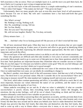Self-awareness is like an onion. There are multiple layers to it, and the more you peel them back, the more likely you're going to start crying at inappropriate times.

Let's say the first layer of the self-awareness onion is a simple understanding of one's emotions. "This is when I feel happy." "This makes me feel sad." "This gives me hope."

Unfortunately, there are many people who suck at even this most basic level of self-awareness. I know because I'm one of them. My wife and I sometimes have a fun back-and-forth that goes something like this:

HER. What's wrong? ME. Nothing's wrong. Nothing at all. HER. No, something's wrong. Tell me. ME. I'm fine. Really. HER. Are you sure? You look upset. ME, *with nervous laughter.* Really? No, I'm okay, seriously.

[*Thirty minutes later . . .* ]

ME.... And that's why I'm so fucking pissed off! He just acts as if I don't exist half the time.

We all have emotional blind spots. Often they have to do with the emotions that we were taught were inappropriate growing up. It takes years of practice and effort to get good at identifying blind spots in ourselves and then expressing the affected emotions appropriately. But this task is hugely important, and worth the effort.

The second layer of the self-awareness onion is an ability to ask *why* we feel certain emotions.

These *why* questions are difficult and often take months or even years to answer consistently and accurately. Most people need to go to some sort of therapist just to hear these questions asked for the first time. Such questions are important because they illuminate what we consider success or failure. Why do you feel angry? Is it because you failed to achieve some goal? Why do you feel lethargic and uninspired? Is it because you don't think you're good enough?

This layer of questioning helps us understand the root cause of the emotions that overwhelm us. Once we understand that root cause, we can ideally do something to change it.

But there's another, even deeper level of the self-awareness onion. And that one is full of fucking tears. The third level is our personal values: *Why* do I consider this to be success/failure? How am I choosing to measure myself? By what standard am I judging myself and everyone around me?

This level, which takes constant questioning and effort, is incredibly difficult to reach. But it's the most important, because our values determine the nature of our problems, and the nature of our problems determines the quality of our lives.

Values underlie everything we are and do. If what we value is unhelpful, if what we consider success/failure is poorly chosen, then everything based upon those values—the thoughts, the emotions, the day-to-day feelings—will all be out of whack. Everything we think and feel about a situation ultimately comes back to how valuable we perceive it to be.

Most people are horrible at answering these *why* questions accurately, and this prevents them from achieving a deeper knowledge of their own values. Sure, they may *say* they value honesty and a true friend, but then they turn around and lie about you behind your back to make themselves feel better. People may perceive that they feel lonely. But when they ask themselves *why* they feel lonely, they tend to come up with a way to blame others—everyone else is mean, or no one is cool or smart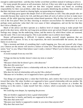enough to understand them—and thus they further avoid their problem instead of seeking to solve it.

For many people this passes as self-awareness. And yet, if they were able to go deeper and look at their underlying values, they would see that their original analysis was based on avoiding responsibility for their own problem, rather than accurately identifying the problem. They would see that their decisions were based on chasing highs, not generating true happiness.

Most self-help gurus ignore this deeper level of self-awareness as well. They take people who are miserable because they want to be rich, and then give them all sorts of advice on how to make more money, all the while ignoring important values-based questions: *Why* do they feel such a need to be rich in the first place? How are they choosing to measure success/failure for themselves? Is it not perhaps some particular value that's the root cause of their unhappiness, and not the fact that they don't drive a Bentley yet?

Much of the advice out there operates at a shallow level of simply trying to make people feel good in the short term, while the real long-term problems never get solved. People's perceptions and feelings may change, but the underlying values, and the metrics by which those values are assessed, stay the same. This is not real progress. This is just another way to achieve more highs.

Honest self-questioning is difficult. It requires asking yourself simple questions that are uncomfortable to answer. In fact, in my experience, the more uncomfortable the answer, the more likely it is to be true.

Take a moment and think of something that's really bugging you. Now ask yourself *why* it bugs you. Chances are the answer will involve a failure of some sort. Then take that failure and ask why it seems "true" to you. What if that failure wasn't really a failure? What if you've been looking at it the wrong way?

A recent example from my own life:

"It bugs me that my brother doesn't return my texts or emails."

*Why?*

"Because it feels like he doesn't give a shit about me."

*Why does this seem true?*

"Because if he wanted to have a relationship with me, he would take ten seconds out of his day to interact with me."

*Why does his lack of relationship with you feel like a failure?*

"Because we're brothers; we're supposed to have a good relationship!"

Two things are operating here: a value that I hold dear, and a metric that I use to assess progress toward that value. My value: brothers are supposed to have a good relationship with one another. My metric: being in contact by phone or email—this is how I measure my success as a brother. By holding on to this metric, I make myself feel like a failure, which occasionally ruins my Saturday mornings.

We could dig even deeper, by repeating the process:

*Why are brothers supposed to have a good relationship?* "Because they're family, and family are supposed to be close!" *Why does that seem true?* "Because your family is supposed to matter to you more than anyone else!" *Why does that seem true?*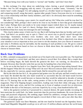"Because being close with your family is 'normal' and 'healthy,' and I don't have that."

In this exchange I'm clear about my underlying value—having a good relationship with my brother—but I'm still struggling with my metric. I've given it another name, "closeness," but the metric hasn't really changed: I'm still judging myself as a brother based on frequency of contact and comparing myself, using that metric, against other people I know. Everyone else (or so it seems) has a close relationship with their family members, and I don't. So obviously there must be something wrong with me.

But what if I'm choosing a poor metric for myself and my life? What else could be true that I'm not considering? Well, perhaps I don't need to be *close* to my brother to have that good relationship that I *value*. Perhaps there just needs to be some mutual respect (which there is). Or maybe mutual trust is what to look for (and it's there). Perhaps *these* metrics would be better assessments of brotherhood than how many text messages he and I exchange.

This clearly makes sense; it feels true for me. But it still fucking hurts that my brother and I aren't close. And there's no positive way to spin it. There's no secret way to glorify myself through this knowledge. Sometimes brothers—even brothers who love each other—don't have close relationships, and that's fine. It is hard to accept at first, but that's fine. What is objectively true about your situation is not as important as how you come to see the situation, how you choose to measure it and value it. Problems may be inevitable, but the *meaning* of each problem is not. We get to control what our problems mean based on how we choose to think about them, the standard by which we choose to measure them.

#### <span id="page-35-0"></span>**Rock Star [Problems](#page-2-15)**

In 1983, a talented young guitarist was kicked out of his band in the worst possible way. The band had just been signed to a record deal, and they were about to record their first album. But a couple days before recording began, the band showed the guitarist the door—no warning, no discussion, no dramatic blowout; they literally woke him up one day by handing him a bus ticket home.

As he sat on the bus back to Los Angeles from New York, the guitarist kept asking himself: How did this happen? What did I do wrong? What will I do now? Record contracts didn't exactly fall out of the sky, especially for raucous, upstart metal bands. Had he missed his one and only shot?

But by the time the bus hit L.A., the guitarist had gotten over his self-pity and had vowed to start a new band. He decided that this new band would be so successful that his old band would forever regret their decision. He would become so famous that they would be subjected to decades of seeing him on TV, hearing him on the radio, seeing posters of him in the streets and pictures of him in magazines. They'd be flipping burgers somewhere, loading vans from their shitty club gigs, fat and drunk with their ugly wives, and he'd be rocking out in front of stadium crowds live on television. He'd bathe in the tears of his betrayers, each tear wiped dry by a crisp, clean hundred-dollar bill.

And so the guitarist worked as if possessed by a musical demon. He spent months recruiting the best musicians he could find—far better musicians than his previous bandmates. He wrote dozens of songs and practiced religiously. His seething anger fueled his ambition; revenge became his muse. Within a couple years, his new band had signed a record deal of their own, and a year after that, their first record would go gold.

The guitarist's name was Dave Mustaine, and the new band he formed was the legendary heavymetal band Megadeth. Megadeth would go on to sell over 25 million albums and tour the world many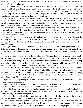times over. Today, Mustaine is considered one of the most brilliant and influential musicians in the history of heavy-metal music.

Unfortunately, the band he was kicked out of was Metallica, which has sold over 180 million albums worldwide. Metallica is considered by many to be one of the greatest rock bands of all time.

And because of this, in a rare intimate interview in 2003, a tearful Mustaine admitted that he couldn't help but *still* consider himself a failure. Despite all that he had accomplished, in his mind he would always be the guy who got kicked out of Metallica.

We're apes. We think we're all sophisticated with our toaster ovens and designer footwear, but we're just a bunch of finely ornamented apes. And because we are apes, we instinctually measure ourselves against others and vie for status. The question is not *whether* we evaluate ourselves against others; rather, the question is *by what standard* do we measure ourselves?

Dave Mustaine, whether he realized it or not, chose to measure himself by whether he was more successful and popular than Metallica. The experience of getting thrown out of his former band was so painful for him that he adopted "success relative to Metallica" as the metric by which to measure himself and his music career.

Despite taking a horrible event in his life and making something positive out of it, as Mustaine did with Megadeth, his choice to hold on to Metallica's success as his life-defining metric continued to hurt him decades later. Despite all the money and the fans and the accolades, he still considered himself a failure.

Now, you and I may look at Dave Mustaine's situation and laugh. Here's this guy with millions of dollars, hundreds of thousands of adoring fans, a career doing the thing he loves best, and *still* he's getting all weepy-eyed that his rock star buddies from twenty years ago are way more famous than he is.

This is because you and I have different values than Mustaine does, and we measure ourselves by different metrics. Our metrics are probably more like "I don't want to work a job for a boss I hate," or "I'd like to earn enough money to send my kid to a good school," or "I'd be happy to not wake up in a drainage ditch." And by these metrics, Mustaine is wildly, unimaginably successful. But by *his* metric, "Be more popular and successful than Metallica," he's a failure.

Our values determine the metrics by which we measure ourselves and everyone else. Onoda's value of loyalty to the Japanese empire is what sustained him on Lubang for almost thirty years. But this same value is also what made him miserable upon his return to Japan. Mustaine's metric of being better than Metallica likely helped him launch an incredibly successful music career. But that same metric later tortured him in spite of his success.

If you want to change how you see your problems, you have to change what you value and/or how you measure failure/success.

As an example, let's look at another musician who got kicked out of another band. His story eerily echoes that of Dave Mustaine, although it happened two decades earlier.

It was 1962 and there was a buzz around an up-and-coming band from Liverpool, England. This band had funny haircuts and an even funnier name, but their music was undeniably good, and the record industry was finally taking notice.

There was John, the lead singer and songwriter; Paul, the boyish-faced romantic bass player; George, the rebellious lead guitar player. And then there was the drummer.

He was considered the best-looking of the bunch—the girls all went wild for him, and it was his face that began to appear in the magazines first. He was the most professional member of the group too. He didn't do drugs. He had a steady girlfriend. There were even a few people in suits and ties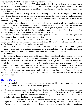who thought *he* should be the face of the band, not John or Paul.

His name was Pete Best. And in 1962, after landing their first record contract, the other three members of the Beatles quietly got together and asked their manager, Brian Epstein, to fire him. Epstein agonized over the decision. He liked Pete, so he put it off, hoping the other three guys would change their minds.

Months later, a mere three days before the recording of the first record began, Epstein finally called Best to his office. There, the manager unceremoniously told him to piss off and find another band. He gave no reason, no explanation, no condolences—just told him that the other guys wanted him out of the group, so, uh, best of luck.

As a replacement, the band brought in some oddball named Ringo Starr. Ringo was older and had a big, funny nose. Ringo agreed to get the same ugly haircut as John, Paul, and George, and insisted on writing songs about octopuses and submarines. The other guys said, Sure, fuck it, why not?

Within six months of Best's firing, Beatlemania had erupted, making John, Paul, George, and Pete Ringo arguably four of the most famous faces on the entire planet.

Meanwhile, Best understandably fell into a deep depression and spent a lot of time doing what any Englishman will do if you give him a reason to: drink.

The rest of the sixties were not kind to Pete Best. By 1965, he had sued two of the Beatles for slander, and all of his other musical projects had failed horribly. In 1968, he attempted suicide, only to be talked out of it by his mother. His life was a wreck.

Best didn't have the same redemptive story Dave Mustaine did. He never became a global superstar or made millions of dollars. Yet, in many ways, Best ended up better off than Mustaine. In an interview in 1994, Best said, "I'm happier than I would have been with the Beatles."

What the hell?

Best explained that the circumstances of his getting kicked out of the Beatles ultimately led him to meet his wife. And then his marriage led him to having children. His values changed. He began to measure his life differently. Fame and glory would have been nice, sure—but he decided that what he already had was more important: a big and loving family, a stable marriage, a simple life. He even still got to play drums, touring Europe and recording albums well into the 2000s. So what was really lost? Just a lot of attention and adulation, whereas what was gained meant so much more to him.

These stories suggest that some values and metrics are better than others. Some lead to good problems that are easily and regularly solved. Others lead to bad problems that are not easily and regularly solved.

# **Shitty [Values](#page-2-0)**

There are a handful of common values that create really poor problems for people—problems that can hardly be solved. So let's go over some of them quickly:

1. *Pleasure.* Pleasure is great, but it's a horrible value to prioritize your life around. Ask any drug addict how his pursuit of pleasure turned out. Ask an adulterer who shattered her family and lost her children whether pleasure ultimately made her happy. Ask a man who almost ate himself to death how pleasure helped him solve his problems.

Pleasure is a false god. Research shows that people who focus their energy on superficial pleasures end up more anxious, more emotionally unstable, and more depressed. Pleasure is the most superficial form of life satisfaction and therefore the easiest to obtain and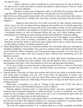the easiest to lose.

And yet, pleasure is what's marketed to us, twenty-four/seven. It's what we fixate on. It's what we use to numb and distract ourselves. But pleasure, while necessary in life (in certain doses), isn't, by itself, sufficient.

Pleasure is not the cause of happiness; rather, it is the effect. If you get the other stuff right (the other values and metrics), then pleasure will naturally occur as a by-product.

2. *Material Success.* Many people measure their self-worth based on how much money they make or what kind of car they drive or whether their front lawn is greener and prettier than the next-door neighbor's.

Research shows that once one is able to provide for basic physical needs (food, shelter, and so on), the correlation between happiness and worldly success quickly approaches zero. So if you're starving and living on the street in the middle of India, an extra ten thousand dollars a year would affect your happiness a lot. But if you're sitting pretty in the middle class in a developed country, an extra ten thousand dollars per year won't affect anything much meaning that you're killing yourself working overtime and weekends for basically nothing.

The other issue with overvaluing material success is the danger of prioritizing it over other values, such as honesty, nonviolence, and compassion. When people measure themselves not by their behavior, but by the status symbols they're able to collect, then not only are they shallow, but they're probably assholes as well.

3. *Always Being Right.*Our brains are inefficient machines. We consistently make poor assumptions, misjudge probabilities, misremember facts, give in to cognitive biases, and make decisions based on our emotional whims. As humans, we're wrong pretty much constantly, so if your metric for life success is to be right—well, you're going to have a difficult time rationalizing all of the bullshit to yourself.

The fact is, people who base their self-worth on being right about everything prevent themselves from learning from their mistakes. They lack the ability to take on new perspectives and empathize with others. They close themselves off to new and important information.

It's far more helpful to assume that you're ignorant and don't know a whole lot. This keeps you unattached to superstitious or poorly informed beliefs and promotes a constant state of learning and growth.

4. *Staying Positive.* Then there are those who measure their lives by the ability to be positive about, well, pretty much everything. Lost your job? Great! That's an opportunity to explore your passions. Husband cheated on you with your sister? Well, at least you're learning what you really mean to the people around you. Child dying of throat cancer? At least you don't have to pay for college anymore!

While there is something to be said for "staying on the sunny side of life," the truth is, sometimes life sucks, and the healthiest thing you can do is admit it.

Denying negative emotions leads to experiencing deeper and more prolonged negative emotions and to emotional dysfunction. Constant positivity is a form of avoidance, not a valid solution to life's problems—problems which, by the way, if you're choosing the right values and metrics, should be invigorating you and motivating you.

It's simple, really: things go wrong, people upset us, accidents happen. These things make us feel like shit. And that's fine. Negative emotions are a necessary component of emotional health. To deny that negativity is to *perpetuate* problems rather than solve them.

The trick with negative emotions is to 1) express them in a socially acceptable and healthy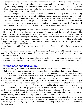manner and 2) express them in a way that aligns with your values. Simple example: A value of mine is nonviolence. Therefore, when I get mad at somebody, I express that anger, but I also make a point of not punching them in the face. Radical idea, I know. But the anger is not the problem. Anger is natural. Anger is a part of life. Anger is arguably quite healthy in many situations. (Remember, emotions are just feedback.)

See, it's the punching people in the face that's the problem. Not the anger. The anger is merely the messenger for my fist in your face. Don't blame the messenger. Blame my fist (or your face).

When we force ourselves to stay positive at all times, we deny the existence of our life's problems. And when we deny our problems, we rob ourselves of the chance to solve them and generate happiness. Problems add a sense of meaning and importance to our life. Thus to duck our problems is to lead a meaningless (even if supposedly pleasant) existence.

In the long run, completing a marathon makes us happier than eating a chocolate cake. Raising a child makes us happier than beating a video game. Starting a small business with friends while struggling to make ends meet makes us happier than buying a new computer. These activities are stressful, arduous, and often unpleasant. They also require withstanding problem after problem. Yet they are some of the most meaningful moments and joyous things we'll ever do. They involve pain, struggle, even anger and despair—yet once they're accomplished, we look back and get all mistyeyed telling our grandkids about them.

As Freud once said, "One day, in retrospect, the years of struggle will strike you as the most beautiful."

This is why these values—pleasure, material success, always being right, staying positive—are poor ideals for a person's life. Some of the greatest moments of one's life are *not* pleasant, *not* successful, *not* known, and *not* positive.

The point is to nail down some good values and metrics, and pleasure and success will naturally emerge as a result. These things are side effects of good values. By themselves, they are empty highs.

### **[Defining](#page-2-1) Good and Bad Values**

Good values are 1) reality-based, 2) socially constructive, and 3) immediate and controllable.

Bad values are 1) superstitious, 2) socially destructive, and 3) not immediate or controllable.

Honesty is a good value because it's something you have complete control over, it reflects reality, and it benefits others (even if it's sometimes unpleasant). Popularity, on the other hand, is a bad value. If that's your value, and if your metric is being the most popular guy/girl at the dance party, much of what happens will be out of your control: you don't know who else will be at the event, and you probably won't know who half those people are. Second, the value/metric isn't based on reality: you may *feel* popular or unpopular, when in fact you have no fucking clue what anybody else really thinks about you. (Side Note: As a rule, people who are terrified of what others think about them are actually terrified of all the shitty things they think about themselves being reflected back at them.)

Some examples of good, healthy values: honesty, innovation, vulnerability, standing up for oneself, standing up for others, self-respect, curiosity, charity, humility, creativity.

Some examples of bad, unhealthy values: dominance through manipulation or violence, indiscriminate fucking, feeling good all the time, always being the center of attention, not being alone, being liked by everybody, being rich for the sake of being rich, sacrificing small animals to the pagan gods.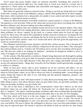You'll notice that good, healthy values are achieved internally. Something like creativity or humility can be experienced right now. You simply have to orient your mind in a certain way to experience it. These values are immediate and controllable and engage you with the world as it is rather than how you wish it were.

Bad values are generally reliant on external events—flying in a private jet, being told you're right all the time, owning a house in the Bahamas, eating a cannoli while getting blown by three strippers. Bad values, while sometimes fun or pleasurable, lie outside of your control and often require socially destructive or superstitious means to achieve.

Values are about prioritization. *Everybody* would love a good cannoli or a house in the Bahamas. The question is your priorities. What are the values that you prioritize above everything else, and that therefore influence your decision-making more than anything else?

Hiroo Onoda's highest value was complete loyalty and service to the Japanese empire. This value, in case you couldn't tell from reading about him, stank worse than a rotten sushi roll. It created really shitty problems for Hiroo—namely, he got stuck on a remote island where he lived off bugs and worms for thirty years. Oh, and he felt compelled to murder innocent civilians too. So despite the fact that Hiroo saw himself as a success, and despite the fact he lived up to his metrics, I think we can all agree that his life really sucked—none of us would trade shoes with him given the opportunity, nor would we commend his actions.

Dave Mustaine achieved great fame and glory and felt like a failure anyway. This is because he'd adopted a crappy value based on some arbitrary comparison to the success of others. This value gave him awful problems such as, "I need to sell 150 million more records; *then* everything will be great," and "My next tour needs to be nothing but stadiums"—problems he thought he needed to solve in order to be happy. It's no surprise that he wasn't.

On the contrary, Pete Best pulled a switcheroo. Despite being depressed and distraught by getting kicked out of the Beatles, as he grew older he learned to reprioritize what he cared about and was able to measure his life in a new light. Because of this, Best grew into a happy and healthy old man, with an easy life and great family—things that, ironically, the four Beatles would spend decades struggling to achieve or maintain.

When we have poor values—that is, poor standards we set for ourselves and others—we are essentially giving fucks about the things that don't matter, things that in fact make our life worse. But when we choose better values, we are able to divert our fucks to something better—toward things that matter, things that improve the state of our well-being and that generate happiness, pleasure, and success as side effects.

This, in a nutshell, is what "self-improvement" is really about: prioritizing better values, choosing better things to give a fuck about. Because when you give better fucks, you get better problems. And when you get better problems, you get a better life.

The rest of this book is dedicated to five counterintuitive values that I believe are the most beneficial values one can adopt. All follow the "backwards law" we talked about earlier, in that they're "negative." All require *confronting* deeper problems rather than avoiding them through highs. These five values are both unconventional and uncomfortable. But, to me, they are life-changing.

The first, which we'll look at in the next chapter, is a radical form of responsibility: taking responsibility for everything that occurs in your life, regardless of who's at fault. The second is uncertainty: the acknowledgement of your own ignorance and the cultivation of constant doubt in your own beliefs. The next is failure: the willingness to discover your own flaws and mistakes so that they may be improved upon. The fourth is rejection: the ability to both say and hear no, thus clearly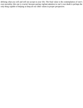defining what you will and will not accept in your life. The final value is the contemplation of one's own mortality; this one is crucial, because paying vigilant attention to one's own death is perhaps the only thing capable of helping us keep all our other values in proper perspective.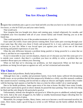#### **[CHAPTER](#page-2-2)** 5

# **You Are Always [Choosing](#page-2-2)**

**I**magine that somebody puts <sup>a</sup> gun to your head and tells you that you have to run 26.2 miles in under five hours, or else he'll kill you and your entire family.

That would suck.

Now imagine that you bought nice shoes and running gear, trained religiously for months, and completed your first marathon with all of your closest family and friends cheering you on at the finish line.

That could potentially be one of the proudest moments of your life.

Exact same 26.2 miles. Exact same person running them. Exact same pain coursing through your exact same legs. But when you chose it freely and prepared for it, it was a glorious and important milestone in your life. When it was forced upon you against your will, it was one of the most terrifying and painful experiences of your life.

Often the only difference between a problem being painful or being powerful is a sense that we *chose* it, and that we are responsible for it.

If you're miserable in your current situation, chances are it's because you feel like some part of it is outside your control—that there's a problem you have no ability to solve, a problem that was somehow thrust upon you without your choosing.

When we feel that we're choosing our problems, we feel empowered. When we feel that our problems are being forced upon us against our will, we feel victimized and miserable.

### **The [Choice](#page-2-3)**

William James had problems. Really bad problems.

Although born into a wealthy and prominent family, from birth James suffered life-threatening health issues: an eye problem that left him temporarily blinded as a child; a terrible stomach condition that caused excessive vomiting and forced him to adopt an obscure and highly sensitive diet; trouble with his hearing; back spasms so bad that for days at a time he often couldn't sit or stand upright.

Due to his health problems, James spent most of his time at home. He didn't have many friends, and he wasn't particularly good at school. Instead, he passed the days painting. That was the only thing he liked and the only thing he felt particularly good at.

Unfortunately, nobody else thought he was good at it. When he grew to adulthood, nobody bought his work. And as the years dragged on, his father (a wealthy businessman) began ridiculing him for his laziness and his lack of talent.

Meanwhile, his younger brother, Henry James, went on to become a world-renowned novelist; his sister, Alice James, made a good living as a writer as well. William was the family oddball, the black sheep.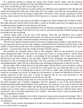In a desperate attempt to salvage the young man's future, James's father used his business connections to get him admitted into Harvard Medical School. It was his last chance, his father told him. If he screwed this up, there was no hope for him.

But James never felt at home or at peace at Harvard. Medicine never appealed to him. He spent the whole time feeling like a fake and a fraud. After all, if he couldn't overcome his own problems, how could he ever hope to have the energy to help others with theirs? After touring a psychiatric facility one day, James mused in his diary that he felt he had more in common with the patients than with the doctors.

A few years went by and, again to his father's disapproval, James dropped out of medical school. But rather than deal with the brunt of his father's wrath, he decided to get away: he signed up to join an anthropological expedition to the Amazon rain forest.

This was in the 1860s, so transcontinental travel was difficult and dangerous. If you ever played the computer game *Oregon Trail* when you were a kid, it was kind of like that, with the dysentery and drowning oxen and everything.

Anyway, James made it all the way to the Amazon, where the real adventure was to begin. Surprisingly, his fragile health held up that whole way. But once he finally made it, on the first day of the expedition, he promptly contracted smallpox and nearly died in the jungle.

Then his back spasms returned, painful to the point of making James unable to walk. By this time, he was emaciated and starved from the smallpox, immobilized by his bad back, and left alone in the middle of South America (the rest of the expedition having gone on without him) with no clear way to get home—a journey that would take months and likely kill him anyway.

But somehow he eventually made it back to New England, where he was greeted by an (even more) disappointed father. By this point the young man wasn't so young anymore—nearly thirty years old, still unemployed, a failure at everything he had attempted, with a body that routinely betrayed him and wasn't likely to ever get better. Despite all the advantages and opportunities he'd been given in life, everything had fallen apart. The only constants in his life seemed to be suffering and disappointment. James fell into a deep depression and began making plans to take his own life.

But one night, while reading lectures by the philosopher Charles Peirce, James decided to conduct a little experiment. In his diary, he wrote that he would spend one year believing that he was 100 percent responsible for everything that occurred in his life, no matter what. During this period, he would do everything in his power to change his circumstances, no matter the likelihood of failure. If nothing improved in that year, then it would be apparent that he was truly powerless to the circumstances around him, and then he would take his own life.

The punch line? William James went on to become the father of American psychology. His work has been translated into a bazillion languages, and he's regarded as one of the most influential intellectuals/philosophers/psychologists of his generation. He would go on to teach at Harvard and would tour much of the United States and Europe giving lectures. He would marry and have five children (one of whom, Henry, would become a famous biographer and win a Pulitzer Prize). James would later refer to his little experiment as his "rebirth," and would credit it with *everything* that he later accomplished in his life.

There is a simple realization from which all personal improvement and growth emerges. This is the realization that we, individually, are responsible for everything in our lives, no matter the external circumstances.

We don't always control what happens to us. But we *always* control how we interpret what happens to us, as well as how we respond.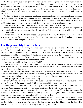Whether we consciously recognize it or not, we are always responsible for our experiences. It's impossible not to be. Choosing to *not* consciously interpret events in our lives is still an interpretation of the events of our lives. Choosing to *not* respond to the events in our lives is still a response to the events in our lives. Even if you get run over by a clown car and pissed on by a busload of schoolchildren, it's still *your responsibility* to interpret the meaning of the event and choose a response.

Whether we like it or not, we are *always* taking an active role in what's occurring to and within us. We are always interpreting the meaning of every moment and every occurrence. We are always choosing the values by which we live and the metrics by which we measure everything that happens to us. Often the same event can be good or bad, depending on the metric we choose to use.

The point is, we are *always* choosing, whether we recognize it or not. Always.

It comes back to how, in reality, there is no such thing as not giving a single fuck. It's impossible. We must all give a fuck about something. To not give a fuck about *anything* is still to give a fuck about *something.*

The real question is, What are we choosing to give a fuck about? What values are we choosing to base our actions on? What metrics are we choosing to use to measure our life? And are those *good* choices—good values and good metrics?

### **The [Responsibility/Fault](#page-2-4) Fallacy**

Years ago, when I was much younger and stupider, I wrote a blog post, and at the end of it I said something like, "And as a great philosopher once said: 'With great power comes great responsibility.'" It sounded nice and authoritative. I couldn't remember who had said it, and my Google search had turned up nothing, but I stuck it in there anyway. It fit the post nicely.

About ten minutes later, the first comment came in: "I think the 'great philosopher' you're referring to is Uncle Ben from the movie *Spider-Man.*"

As another great philosopher once said, "Doh!"

"With great power comes great responsibility." The last words of Uncle Ben before a thief whom Peter Parker let get away murders him on a sidewalk full of people for absolutely no explicable reason. *That* great philosopher.

Still, we've all heard the quote. It gets repeated a lot—usually ironically and after about seven beers. It's one of those perfect quotes that sound really intelligent, and yet it's basically just telling you what you already know, even if you've never quite thought about the matter before.

"With great power comes great responsibility."

It is true. But there's a better version of this quote, a version that actually *is* profound, and all you have to do is switch the nouns around: "With great responsibility comes great power."

The more we choose to accept responsibility in our lives, the more power we will exercise over our lives. Accepting responsibility for our problems is thus the first step to solving them.

I once knew a man who was convinced that the reason no woman would date him was because he was too short. He was educated, interesting, and good-looking—a good catch, in principle—but he was absolutely convinced that women found him too short to date.

And because *he* felt that he was too short, he didn't often go out and try to meet women. The few times he did, he would home in on the smallest behaviors from any woman he talked with that could possibly indicate he wasn't attractive enough for her and then convince himself that she didn't like him, even if she really did. As you can imagine, his dating life sucked.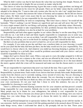What he didn't realize was that *he* had chosen the value that was hurting him: height. Women, he assumed, are attracted only to height. He was screwed, no matter what he did.

This choice of value was disempowering. It gave this man a really crappy problem: not being tall enough in a world meant (in his view) for tall people. There are far better values that he could have adopted in his dating life. "I want to date only women who like me for who I am" might have been a nice place to start—a metric that assesses the values of honesty and acceptance. But he did not choose these values. He likely wasn't even aware that he *was* choosing his value (or *could* do so). Even though he didn't realize it, he was responsible for his own problems.

Despite that responsibility, he went on complaining: "But I don't have a choice," he would tell the bartender. "There's nothing I can do! Women are superficial and vain and will never like me!" Yes, it's *every single woman's fault* for not liking a self-pitying, shallow guy with shitty values. Obviously.

A lot of people hesitate to take responsibility for their problems because they believe that to be *responsible* for your problems is to also be *at fault* for your problems.

Responsibility and fault often appear together in our culture. But they're not the same thing. If I hit you with my car, I am both at fault and likely legally responsible to compensate you in some way. Even if hitting you with my car was an accident, I am still responsible. This is the way fault works in our society: if you fuck up, you're on the hook for making it right. And it should be that way.

But there are also problems that we *aren't* at fault for, yet we are still responsible for them.

For example, if you woke up one day and there was a newborn baby on your doorstep, it would not be your *fault* that the baby had been put there, but the baby would now be your *responsibility*. You would have to choose what to do. And whatever you ended up choosing (keeping it, getting rid of it, ignoring it, feeding it to a pit bull), there would be problems associated with your choice—and you would be responsible for those as well.

Judges don't get to choose their cases. When a case goes to court, the judge assigned to it did not commit the crime, was not a witness to the crime, and was not affected by the crime, but he or she is still *responsible* for the crime. The judge must then choose the consequences; he or she must identify the metric against which the crime will be measured and make sure that the chosen metric is carried out.

We are responsible for experiences that aren't our fault all the time. This is part of life.

Here's one way to think about the distinction between the two concepts. Fault is past tense. Responsibility is present tense. Fault results from choices that have already been made. Responsibility results from the choices you're currently making, every second of every day. You are choosing to read this. You are choosing to think about the concepts. You are choosing to accept or reject the concepts. It may be *my* fault that you think my ideas are lame, but *you* are responsible for coming to your own conclusions. It's not *your* fault that I chose to write this sentence, but you are still responsible for choosing to read it (or not).

There's a difference between blaming someone else for your situation and that person's actually being responsible for your situation. Nobody else is ever responsible for your situation but you. Many people may be to blame for your unhappiness, but nobody is ever *responsible* for your unhappiness but you. This is because *you* always get to choose how you see things, how you react to things, how you value things. You always get to choose the metric by which to measure your experiences.

My first girlfriend dumped me in spectacular fashion. She was cheating on me with her teacher. It was awesome. And by awesome, I mean it felt like getting punched in the stomach about 253 times. To make things worse, when I confronted her about it, she promptly left me for him. Three years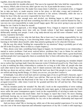together, down the toilet just like that.

I was miserable for months afterward. That was to be expected. But I also held her responsible for my misery. Which, take it from me, didn't get me very far. It just made the misery worse.

See, I couldn't control her. No matter how many times I called her, or screamed at her, or begged her to take me back, or made surprise visits to her place, or did other creepy and irrational exboyfriend things, I could never control her emotions or her actions. Ultimately, while she was *to blame* for how I felt, she was never *responsible* for how I felt. I was.

At some point, after enough tears and alcohol, my thinking began to shift and I began to understand that although she had done something horrible to me and she could be blamed for that, it was now my own responsibility to make myself happy again. She was never going to pop up and fix things for me. I had to fix them for myself.

When I took that approach, a few things happened. First, I began to improve myself. I started exercising and spending more time with my friends (whom I had been neglecting). I started deliberately meeting new people. I took a big study-abroad trip and did some volunteer work. And slowly, I started to feel better.

I still resented my ex for what she had done. But at least now I was taking responsibility for my own emotions. And by doing so, I was choosing better values—values aimed at taking care of myself, learning to feel better about myself, rather than aimed at getting her to fix what she'd broken.

(By the way, this whole "holding her responsible for my emotions" thing is probably part of why she left in the first place. More on that in a couple chapters.)

Then, about a year later, something funny began to happen. As I looked back on our relationship, I started to notice problems I had never noticed before, problems that *I* was to blame for and that *I* could have done something to solve. I realized that it was likely that I hadn't been a great boyfriend, and that people don't just magically cheat on somebody they've been with unless they are unhappy for some reason.

I'm not saying that this excused what my ex did—not at all. But recognizing my mistakes helped me to realize that I perhaps hadn't been the innocent victim I'd believed myself to be. That I had a role to play in enabling the shitty relationship to continue for as long as it did. After all, people who date each other tend to have similar values. And if I dated someone with shitty values for that long, what did that say about me and my values? I learned the hard way that if the people in your relationships are selfish and doing hurtful things, it's likely you are too, you just don't realize it.

In hindsight, I was able to look back and see warning signs of my ex-girlfriend's character, signs I had chosen to ignore or brush off when I was with her. *That* was my fault. I could look back and see that I hadn't exactly been the Boyfriend of the Year to her either. In fact, I had often been cold and arrogant toward her; other times I took her for granted and blew her off and hurt her. *These* things were my fault too.

Did my mistakes justify her mistake? No. But still, I took on the responsibility of never making those same mistakes again, and never overlooking the same signs again, to help guarantee that I will never suffer the same consequences again. I took on the responsibility of striving to make my future relationships with women that much better. And I'm happy to report that I have. No more cheating girlfriends leaving me, no more 253 stomach punches. I took responsibility for my problems and improved upon them. I took responsibility for my role in that unhealthy relationship and improved upon it with later relationships.

And you know what? My ex leaving me, while one of the most painful experiences I've ever had, was also one of the most important and influential experiences of my life. I credit it with inspiring a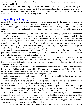significant amount of personal growth. I learned more from that single problem than dozens of my successes combined.

We all love to take responsibility for success and happiness. Hell, we often *fight over* who gets to be responsible for success and happiness. But taking responsibility for our problems is far more important, because that's where the real learning comes from. That's where the real-life improvement comes from. To simply blame others is only to hurt yourself.

# **[Responding](#page-2-5) to Tragedy**

But what about really awful events? A lot of people can get on board with taking responsibility for work-related problems and maybe watching too much TV when they should really be playing with their kids or being productive. But when it comes to horrible tragedies, they pull the emergency cord on the responsibility train and get off when it stops. Some things just feel too painful for them to own up to.

But think about it: the intensity of the event doesn't change the underlying truth. If you get robbed, say, you're obviously not at fault for being robbed. No one would ever choose to go through that. But as with the baby on your doorstep, you are immediately thrust into responsibility for a life-and-death situation. Do you fight back? Do you panic? Do you freeze up? Do you tell the police? Do you try to forget it and pretend it never happened? These are all choices and reactions you're responsible for making or rejecting. You didn't choose the robbery, but it's still your responsibility to manage the emotional and psychological (and legal) fallout of the experience.

In 2008, the Taliban took control of the Swat Valley, a remote part of northeastern Pakistan. They quickly implemented their Muslim extremist agenda. No television. No films. No women outside the house without a male escort. No girls attending school.

By 2009, an eleven-year-old Pakistani girl named Malala Yousafzai had begun to speak out against the school ban. She continued to attend her local school, risking both her and her father's lives; she also attended conferences in nearby cities. She wrote online, "How dare the Taliban take away my right for education?"

In 2012, at the age of fourteen, she was shot in the face as she rode the bus home from school one day. A masked Taliban soldier armed with a rifle boarded the bus and asked, "Who is Malala? Tell me, or I will shoot everyone here." Malala identified herself (an amazing choice in and of itself), and the man shot her in the head in front of all the other passengers.

Malala went into a coma and almost died. The Taliban stated publicly that if she somehow survived the attempt, they would kill both her and her father.

Today, Malala is still alive. She still speaks out against violence and oppression toward women in Muslim countries, now as a best-selling author. In 2014 she received the Nobel Peace Prize for her efforts. It would seem that being shot in the face only gave her a larger audience and more courage than before. It would have been easy for her to lie down and say, "I can't do anything," or "I have no choice." That, ironically, would still have been her choice. But she chose the opposite.

A few years ago, I had written about some of the ideas in this chapter on my blog, and a man left a comment. He said that I was shallow and superficial, adding that I had no real understanding of life's problems or human responsibility. He said that his son had recently died in a car accident. He accused me of not knowing what true pain was and said that I was an asshole for suggesting that he himself was responsible for the pain he felt over his son's death.

This man had obviously suffered pain much greater than most people ever have to confront in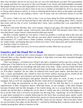their lives. He didn't choose for his son to die, nor was it his fault that his son died. The responsibility for coping with that loss was given to him even though it was clearly and understandably unwanted. But despite all that, he was still responsible for his own emotions, beliefs, and actions. How he reacted to his son's death was his own choice. Pain of one sort or another is inevitable for all of us, but we get to choose what it means to and for us. Even in claiming that he had *no* choice in the matter and simply wanted his son back, he was making a choice—one of many ways he could have chosen to use that pain.

Of course, I didn't say any of this to him. I was too busy being horrified and thinking that yes, perhaps I was way in over my head and had no idea what the fuck I was talking about. That's a hazard that comes with my line of work. A problem that I chose. And a problem that I was responsible for dealing with.

At first, I felt awful. But then, after a few minutes, I began to get angry. His objections had little to do with what I was actually saying, I told myself. And what the hell? Just because I don't have a kid who died doesn't mean I haven't experienced terrible pain myself.

But then I actually applied my own advice. I chose my problem. I could get mad at this man and argue with him, try to "outpain" him with my own pain, which would just make us both look stupid and insensitive. Or I could choose a better problem, working on practicing patience, understanding my readers better, and keeping that man in mind every time I wrote about pain and trauma from then on. And that's what I've tried to do.

I replied simply that I was sorry for his loss and left it at that. What else can you say?

#### **[Genetics](#page-2-6) and the Hand We're Dealt**

In 2013, the BBC rounded up half a dozen teenagers with obsessive-compulsive disorder (OCD) and followed them as they attended intensive therapies to help them overcome their unwanted thoughts and repetitive behaviors.

There was Imogen, a seventeen-year-old girl who had a compulsive need to tap every surface she walked past; if she failed to do so, she was flooded with horrible thoughts of her family dying. There was Josh, who needed to do everything with both sides of his body—shake a person's hand with both his right and his left hand, eat his food with each hand, step through a doorway with both feet, and so on. If he didn't "equalize" his two sides, he suffered from severe panic attacks. And then there was Jack, a classic germophobe who refused to leave his house without wearing gloves, boiled all his water before drinking it, and refused to eat food not cleaned and prepared himself.

OCD is a terrible neurological and genetic disorder that cannot be cured. At best, it can be managed. And, as we'll see, managing the disorder comes down to managing one's values.

The first thing the psychiatrists on this project do is tell the kids that they're to accept the imperfections of their compulsive desires. What that means, as one example, is that when Imogen becomes flooded with horrible thoughts of her family dying, she is to accept that her family may actually die and that there's nothing she can do about it; simply put, she is told that what happens to her is not her fault. Josh is forced to accept that over the long term, "equalizing" all of his behaviors to make them symmetrical is actually destroying his life more than occasional panic attacks would. And Jack is reminded that no matter what he does, germs are always present and always infecting him.

The goal is to get the kids to recognize that their values are not rational—that in fact their values are not even theirs, but rather are the disorder's—and that by fulfilling these irrational values they are actually harming their ability to function in life.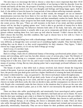The next step is to encourage the kids to choose a value that is more important than their OCD value and to focus on that. For Josh, it's the possibility of not having to hide his disorder from his friends and family all the time, the prospect of having a normal, functioning social life. For Imogen, it's the idea of taking control over her own thoughts and feelings and being happy again. And for Jack, it's the ability to leave his house for long periods of time without suffering traumatic episodes.

With these new values held front and center in their minds, the teenagers set out on intensive desensitization exercises that force them to live out their new values. Panic attacks ensue; tears are shed; Jack punches an array of inanimate objects and then immediately washes his hands. But by the end of the documentary, major progress has been made. Imogen no longer needs to tap every surface she comes across. She says, "There are still monsters in the back of my mind, and there probably always will be, but they're getting quieter now." Josh is able to go periods of twenty-five to thirty minutes without "equalizing" his behaviors between both sides of his body. And Jack, who makes perhaps the most improvement, is actually able to go out to restaurants and drink out of bottles and glasses without washing them first. Jack sums up well what he learned: "I didn't choose this life; I didn't choose this horrible, horrible condition. But I get to choose how to live with it; I *have to* choose how to live with it."

A lot of people treat being born with a disadvantage, whether OCD or small stature or something very different, as though they were screwed out of something highly valuable. They feel that there's nothing they can do about it, so they avoid responsibility for their situation. They figure, "I didn't choose my crappy genetics, so it's not my fault if things go wrong."

And it's true, it's not their fault.

But it's still their responsibility.

Back in college, I had a bit of a delusional fantasy of becoming a professional poker player. I won money and everything, and it was fun, but after almost a year of serious play, I quit. The lifestyle of staying up all night staring at a computer screen, winning thousands of dollars one day and then losing most of it the next, wasn't for me, and it wasn't exactly the most healthy or emotionally stable means of earning a living. But my time playing poker had a surprisingly profound influence on the way I see life.

The beauty of poker is that while luck is always involved, luck doesn't dictate the long-term results of the game. A person can get dealt terrible cards and beat someone who was dealt great cards. Sure, the person who gets dealt great cards has a higher likelihood of winning the hand, but ultimately the winner is determined by—yup, you guessed it—the *choices* each player makes throughout play.

I see life in the same terms. We all get dealt cards. Some of us get better cards than others. And while it's easy to get hung up on our cards, and feel we got screwed over, the real game lies in the choices we make with those cards, the risks we decide to take, and the consequences we choose to live with. People who consistently make the best choices in the situations they're given are the ones who eventually come out ahead in poker, just as in life. And it's not necessarily the people with the best cards.

There are those who suffer psychologically and emotionally from neurological and/or genetic deficiencies. But this changes nothing. Sure, they inherited a bad hand and are not to blame. No more than the short guy wanting to get a date is to blame for being short. Or the person who got robbed is to blame for being robbed. But it's still their responsibility. Whether they choose to seek psychiatric treatment, undergo therapy, or do nothing, the choice is ultimately theirs to make. There are those who suffer through bad childhoods. There are those who are abused and violated and screwed over, physically, emotionally, financially. They are not to blame for their problems and their hindrances,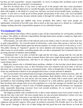but they are still responsible—*always* responsible—to move on despite their problems and to make the best choices they can, given their circumstances.

And let's be honest here. If you were to add up *all* of the people who have some psychiatric disorder, struggle with depression or suicidal thoughts, have been subjected to neglect or abuse, have dealt with tragedy or the death of a loved one, and have survived serious health issues, accidents, or trauma—if you were to round up *all of those people* and put them in the room, well, you'd probably have to round up everyone, because nobody makes it through life without collecting a few scars on the way out.

Sure, some people get saddled with worse problems than others. And some people are legitimately victimized in horrible ways. But as much as this may upset us or disturb us, it ultimately changes nothing about the responsibility equation of our individual situation.

### **[Victimhood](#page-2-7) Chic**

The responsibility/fault fallacy allows people to pass off the responsibility for solving their problems to others. This ability to alleviate responsibility through blame gives people a temporary high and a feeling of moral righteousness.

Unfortunately, one side effect of the Internet and social media is that it's become easier than ever to push responsibility—for even the tiniest of infractions—onto some other group or person. In fact, this kind of public blame/shame game has become popular; in certain crowds it's even seen as "cool." The public sharing of "injustices" garners far more attention and emotional outpouring than most other events on social media, rewarding people who are able to perpetually feel victimized with evergrowing amounts of attention and sympathy.

"Victimhood chic" is in style on both the right and the left today, among both the rich and the poor. In fact, this may be the first time in human history that every single demographic group has felt unfairly victimized simultaneously. And they're all riding the highs of the moral indignation that comes along with it.

Right now, *anyone* who is offended about *anything—*whether it's the fact that a book about racism was assigned in a university class, or that Christmas trees were banned at the local mall, or the fact that taxes were raised half a percent on investment funds—feels as though they're being oppressed in some way and therefore deserve to be outraged and to have a certain amount of attention.

The current media environment both encourages and perpetuates these reactions because, after all, it's good for business. The writer and media commentator Ryan Holiday refers to this as "outrage porn": rather than report on real stories and real issues, the media find it much easier (and more profitable) to find something mildly offensive, broadcast it to a wide audience, generate outrage, and then broadcast that outrage back across the population in a way that outrages yet another part of the population. This triggers a kind of echo of bullshit pinging back and forth between two imaginary sides, meanwhile distracting everyone from real societal problems. It's no wonder we're more politically polarized than ever before.

The biggest problem with victimhood chic is that it sucks attention away from *actual* victims. It's like the boy who cried wolf. The more people there are who proclaim themselves victims over tiny infractions, the harder it becomes to see who the real victims actually are.

People get addicted to feeling offended all the time because it gives them a high; being selfrighteous and morally superior feels *good*. As political cartoonist Tim Kreider put it in a *New York Times* op-ed: "Outrage is like a lot of other things that feel good but over time devour us from the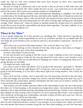inside out. And it's even more insidious than most vices because we don't even consciously acknowledge that it's a pleasure."

But part of living in a democracy and a free society is that we all have to deal with views and people we don't necessarily like. That's simply the price we pay—you could even say it's the whole point of the system. And it seems more and more people are forgetting that.

We should pick our battles carefully, while simultaneously attempting to empathize a bit with the so-called enemy. We should approach the news and media with a healthy dose of skepticism and avoid painting those who disagree with us with a broad brush. We should prioritize values of being honest, fostering transparency, and welcoming doubt over the values of being right, feeling good, and getting revenge. These "democratic" values are harder to maintain amidst the constant noise of a networked world. But we must accept the responsibility and nurture them regardless. The future stability of our political systems may depend on it.

#### **There Is No ["How"](#page-2-8)**

A lot of people might hear all of this and then say something like, "Okay, but how? I get that my values suck and that I avoid responsibility for all of my problems and that I'm an entitled little shit who thinks the world should revolve around me and every inconvenience I experience—but *how* do I change?"

And to this I say, in my best Yoda impersonation: "Do, or do not; there is no 'how.' "

You are *already choosing,* in every moment of every day, what to give a fuck about, so change is as simple as choosing to give a fuck about something else.

It really *is* that simple. It's just not easy.

It's not easy because you're going to feel like a loser, a fraud, a dumbass at first. You're going to be nervous. You're going to freak out. You may get pissed off at your wife or your friends or your father in the process. These are all side effects of changing your values, of changing the fucks you're giving. But they are inevitable.

It's simple but really, really hard.

Let's look at some of these side effects. You're going to feel uncertain; I guarantee it. "Should I really give this up? Is this the right thing to do?" Giving up a value you've depended on for years is going to feel disorienting, as if you don't really know right from wrong anymore. This is hard, but it's normal.

Next, you'll feel like a failure. You've spent half your life measuring yourself by that old value, so when you change your priorities, change your metrics, and stop behaving in the same way, you'll fail to meet that old, trusted metric and thus immediately feel like some sort of fraud or nobody. This is also normal and also uncomfortable.

And certainly you will weather rejections. Many of the relationships in your life were built around the values you've been keeping, so the moment you change those values—the moment you decide that studying is more important than partying, that getting married and having a family is more important than rampant sex, that working a job you believe in is more important than money—your turnaround will reverberate out through your relationships, and many of them will blow up in your face. This too is normal and this too will be uncomfortable.

These are necessary, though painful, side effects of choosing to place your fucks elsewhere, in a place far more important and more worthy of your energies. As you reassess your values, you will be met with internal and external resistance along the way. More than anything, you will feel uncertain;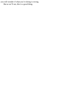you will wonder if what you're doing is wrong. But as we'll see, this is a good thing.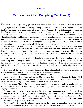#### **[CHAPTER](#page-2-9)** 6

## **You're Wrong About [Everything](#page-2-9) (But So Am I)**

Five hundred years ago cartographers believed that California was an island. Doctors believed that slicing a person's arm open (or causing bleeding anywhere) could cure disease. Scientists believed that fire was made out of something called phlogiston. Women believed that rubbing dog urine on their face had anti-aging benefits. Astronomers believed that the sun revolved around the earth.

When I was a little boy, I used to think "mediocre" was a kind of vegetable that I didn't want to eat. I thought my brother had found a secret passageway in my grandmother's house because he could get outside without having to leave the bathroom (spoiler alert: there was a window). I also thought that when my friend and his family visited "Washington, B.C.," they had somehow traveled back in time to when the dinosaurs lived, because after all, "B.C." was a long time ago.

As a teenager, I told everybody that I didn't care about anything, when the truth was I cared about way too much. Other people ruled my world without my even knowing. I thought happiness was a destiny and not a choice. I thought love was something that just happened, not something that you worked for. I thought being "cool" had to be practiced and learned from others, rather than invented for oneself.

When I was with my first girlfriend, I thought we would be together forever. And then, when that relationship ended, I thought I'd never feel the same way about a woman again. And then when I felt the same way about a woman again, I thought that love sometimes just wasn't enough. And then I realized that each individual gets to *decide* what is "enough," and that love can be whatever we let it be.

Every step of the way I was wrong. About everything. Throughout my life, I've been flat-out wrong about myself, others, society, culture, the world, the universe—everything.

And I hope that will continue to be the case for the rest of my life.

Just as Present Mark can look back on Past Mark's every flaw and mistake, one day Future Mark will look back on Present Mark's assumptions (including the contents of this book) and notice similar flaws. And that will be a good thing. Because that will mean I have grown.

There's a famous Michael Jordan quote about him failing over and over and over again, and that's why he succeeded. Well, I'm always wrong about everything, over and over and over again, and that's why my life improves.

Growth is an endlessly *iterative* process. When we learn something new, we don't go from "wrong" to "right." Rather, we go from wrong to slightly less wrong. And when we learn something additional, we go from slightly less wrong to slightly less wrong than that, and then to even less wrong than that, and so on. We are always in the process of approaching truth and perfection without actually ever reaching truth or perfection.

We shouldn't seek to find the ultimate "right" answer for ourselves, but rather, we should seek to chip away at the ways that we're wrong today so that we can be a little less wrong tomorrow.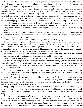When viewed from this perspective, personal growth can actually be quite scientific. Our values are our hypotheses: this behavior is good and important; that other behavior is not. Our actions are the experiments; the resulting emotions and thought patterns are our data.

There is no correct dogma or perfect ideology. There is only what your experience has shown you to be right *for you*—and even then, that experience is probably somewhat wrong too. And because you and I and everybody else all have differing needs and personal histories and life circumstances, we will all inevitably come to differing "correct" answers about what our lives mean and how they should be lived. My correct answer involves traveling alone for years on end, living in obscure places, and laughing at my own farts. Or at least that was the correct answer up until recently. That answer will change and evolve, because I change and evolve; and as I grow older and more experienced, I chip away at how wrong I am, becoming less and less wrong every day.

Many people become so obsessed with being "right" about their life that they never end up actually *living* it.

A certain woman is single and lonely and wants a partner, but she never gets out of the house and does anything about it. A certain man works his ass off and believes he deserves a promotion, but he never explicitly says that to his boss.

They're told that they're afraid of failure, of rejection, of someone saying no.

But that's not it. Sure, rejection hurts. Failure sucks. But there are particular certainties that we hold on to—certainties that we're afraid to question or let go of, values that have given our lives meaning over the years. That woman doesn't get out there and date because she would be forced to confront her beliefs about her own desirability. That man doesn't ask for the promotion because he would have to confront his beliefs about what his skills are actually worth.

It's easier to sit in a painful certainty that nobody would find you attractive, that nobody appreciates your talents, than to actually *test* those beliefs and find out for sure.

Beliefs of this sort—that I'm not attractive enough, so why bother; or that my boss is an asshole, so why bother—are designed to give us moderate comfort now by mortgaging greater happiness and success later on. They're terrible long-term strategies, yet we cling to them because we assume we're right, because we assume we already know what's supposed to happen. In other words, we assume we know how the story ends.

Certainty is the enemy of growth. Nothing is for certain until it has already happened—and even then, it's still debatable. That's why accepting the inevitable imperfections of our values is necessary for any growth to take place.

Instead of striving for certainty, we should be in constant search of doubt: doubt about our own beliefs, doubt about our own feelings, doubt about what the future may hold for us unless we get out there and create it for ourselves. Instead of looking to be right all the time, we should be looking for how we're wrong all the time. Because we are.

Being wrong opens us up to the possibility of change. Being wrong brings the opportunity for growth. It means not cutting your arm open to cure a cold or splashing dog piss on your face to look young again. It means not thinking "mediocre" is a vegetable, and not being afraid to care about things.

Because here's something that's weird but true: we don't *actually* know what a positive or negative experience is. Some of the most difficult and stressful moments of our lives also end up being the most formative and motivating. Some of the best and most gratifying experiences of our lives are also the most distracting and demotivating. Don't trust your conception of positive/negative experiences. All that we know for certain is what hurts in the moment and what doesn't. And that's not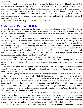worth much.

Just as we look back in horror at the lives of people five hundred years ago, I imagine people five hundred years from now will laugh at us and our certainties today. They will laugh at how we let our money and our jobs define our lives. They will laugh at how we were afraid to show appreciation for those who matter to us most, yet heaped praise on public figures who didn't deserve anything. They will laugh at our rituals and superstitions, our worries and our wars; they will gawk at our cruelty. They will study our art and argue over our history. They will understand truths about us of which none of us are yet aware.

And they, too, will be wrong. Just less wrong than we were.

# **[Architects](#page-2-10) of Our Own Beliefs**

Try this. Take a random person and put them in a room with some buttons to push. Then tell them that if they do something specific—some undefined something that they have to figure out—a light will flash on indicating that they've won a point. Then tell them to see how many points they can earn within a thirty-minute period.

When psychologists have done this, what happens is what you might expect. People sit down and start mashing buttons at random until eventually the light comes on to tell them they got a point. Logically, they then try repeating whatever they were doing to get more points. Except now the light's not coming on. So they start experimenting with more complicated sequences—press this button three times, then this button once, then wait five seconds, and—*ding!* Another point. But eventually *that* stops working. Perhaps it doesn't have to do with buttons at all, they think. Perhaps it has to do with how I'm sitting. Or what I'm touching. Maybe it has to do with my feet. *Ding!* Another point. Yeah, maybe it's my feet *and then* I press another button. *Ding!*

Generally, within ten to fifteen minutes each person has figured out the specific sequence of behaviors required to net more points. It's usually something weird like standing on one foot or memorizing a long sequence of buttons pressed in a specific amount of time while facing a certain direction.

But here's the funny part: the points really are random. There's no sequence; there's no pattern. Just a light that keeps coming on with a ding, and people doing cartwheels thinking that what they're doing is giving them points.

Sadism aside, the point of the experiment is to show how quickly the human mind is capable of coming up with and believing in a bunch of bullshit that isn't real. And it turns out, we're all really good at it. Every person leaves that room convinced that he or she nailed the experiment and won the game. They all believe that they discovered the "perfect" sequence of buttons that earned them their points. But the methods they come up with are as unique as the individuals themselves. One man came up with a long sequence of button-pushing that made no sense to anyone but himself. One girl came to believe that she had to tap the ceiling a certain number of times to get points. When she left the room she was exhausted from jumping up and down.

Our brains are meaning machines. What we understand as "meaning" is generated by the associations our brain makes between two or more experiences. We press a button, then we see a light go on; we assume the button *caused* the light to go on. This, at its core, is the basis of meaning. Button, light; light, button. We see a chair. We note that it's gray. Our brain then draws the association between the color (gray) and the object (chair) and forms meaning: "The chair is gray."

Our minds are constantly whirring, generating more and more associations to help us understand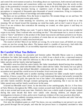and control the environment around us. Everything about our experiences, both external and internal, generates new associations and connections within our minds. Everything from the words on this page, to the grammatical concepts you use to decipher them, to the dirty thoughts your mind wanders into when my writing becomes boring or repetitive—each of these thoughts, impulses, and perceptions is composed of thousands upon thousands of neural connections, firing in conjunction, alighting your mind in a blaze of knowledge and understanding.

But there are two problems. First, the brain is imperfect. We mistake things we see and hear. We forget things or misinterpret events quite easily.

Second, once we create meaning for ourselves, our brains are designed to hold on to that meaning. We are biased toward the meaning our mind has made, and we don't want to let go of it. Even if we see evidence that contradicts the meaning we created, we often ignore it and keep on believing anyway.

The comedian Emo Philips once said, "I used to think the human brain was the most wonderful organ in my body. Then I realized who was telling me this." The unfortunate fact is, most of what we come to "know" and believe is the product of the innate inaccuracies and biases present in our brains. Many or even most of our values are products of events that are not representative of the world at large, or are the result of a totally misconceived past.

The result of all this? Most of our beliefs are wrong. Or, to be more exact, *all* beliefs are wrong —some are just less wrong than others. The human mind is a jumble of inaccuracy. And while this may make you uncomfortable, it's an incredibly important concept to accept, as we'll see.

### **Be [Careful](#page-2-11) What You Believe**

In 1988, while in therapy, the journalist and feminist author Meredith Maran came to a startling realization: her father had sexually abused her as a child. It was a shock to her, a repressed memory she had spent most of her adult life oblivious to. But at the age of thirty-seven, she confronted her father and also told her family what had happened.

Meredith's news horrified her entire family. Her father immediately denied having done anything. Some family members sided with Meredith. Others sided with her father. The family tree was split in two. And the pain that had defined Meredith's relationship with her father since long before her accusation now spread like a mold across its branches. It tore everyone apart.

Then, in 1996, Meredith came to another startling realization: her father actually *hadn't* sexually abused her. (I know: oops.) She, with the help of a well-intentioned therapist, had actually invented the memory. Consumed by guilt, she spent the rest of her father's life attempting to reconcile with him and other family members through constant apologizing and explaining. But it was too late. Her father passed away and her family would never be the same.

It turned out Meredith wasn't alone. As she describes in her autobiography, *My Lie: A True Story of False Memory,* throughout the 1980s, many women accused male family members of sexual abuse only to turn around and recant years later. Similarly, there was a whole swath of people who claimed during that same decade that there were satanic cults abusing children, yet despite police investigations in dozens of cities, police never found any evidence of the crazy practices described.

Why were people suddenly inventing memories of horrible abuse in families and cults? And why was it all happening then, in the 1980s?

Ever play the telephone game as a kid? You know, you say something in one person's ear and it gets passed through like ten people, and what the last person hears is completely unrelated to what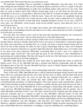you started with? That's basically how our memories work.

We experience something. Then we remember it slightly differently a few days later, as if it had been whispered and misheard. Then we tell somebody about it and have to fill in a couple of the plot holes with our own embellishments to make sure everything makes sense and we're not crazy. And then we come to believe those little filled-in mental gaps, and so we tell those the next time too. Except they're not real, so we get them a little bit wrong. And we're drunk one night a year later when we tell the story, so we embellish it a little bit more—okay, let's be honest, we completely make up about one-third of it. But when we're sober the next week, we don't want to admit that we're a big fat liar, so we go along with the revised and newly expanded drunkard version of our story. And five years later, our absolutely, swear-to-god, swear-on-my-mother's-grave, truer-than-true story is at most 50 percent true.

We all do this. You do. I do. No matter how honest and well-intentioned we are, we're in a perpetual state of misleading ourselves and others for no other reason than that our brain is designed to be efficient, not accurate.

Not only does our memory suck—suck to the point that eyewitness testimony isn't necessarily taken seriously in court cases—but our brain functions in a horribly biased way.

How so? Well, our brain is always trying to make sense of our current situation based on what we already believe and have already experienced. Every new piece of information is measured against the values and conclusions we already have. As a result, our brain is always biased toward what we feel to be true in that moment. So when we have a great relationship with our sister, we'll interpret most of our memories about her in a positive light. But when the relationship sours, we'll often come to see those exact same memories differently, reinventing them in such a way as to explain our present-day anger toward her. That sweet gift she gave us last Christmas is now remembered as patronizing and condescending. That time she forgot to invite us to her lake house is now seen not as an innocent mistake but as horrible negligence.

Meredith's fake abuse story makes far more sense when we understand the values in which her beliefs arose. First of all, Meredith had had a strained and difficult relationship with her father throughout most of her life. Second, Meredith had had a series of failed intimate relationships with men, including a failed marriage.

So already, in terms of her values, "close relationships with men" weren't doing so hot.

Then, in the early 1980s, Meredith became a radical feminist and began doing research into child abuse. She was confronted with horrific story after horrific story of abuse, and she dealt with incest survivors—usually little girls—for years on end. She also reported extensively on a number of inaccurate studies that came out around that time—studies that it later turned out grossly overestimated the prevalence of child molestation. (The most famous study reported that a third of adult women had been sexually molested as children, a number that has since been shown to be false.)

And on top of all of this, Meredith fell in love and began a relationship with another woman, an incest survivor. Meredith developed a codependent and toxic relationship with her partner, one in which Meredith continually tried to "save" the other woman from her traumatic past. Her partner also used her traumatic past as a weapon of guilt to earn Meredith's affection (more on this and boundaries in chapter 8). Meanwhile, Meredith's relationship with her father deteriorated even further (he wasn't exactly thrilled that she was now in a lesbian relationship), and she was attending therapy at an almost compulsive rate. Her therapists, who had their own values and beliefs driving *their* behavior, regularly insisted that it couldn't simply be Meredith's highly stressful reporting job or her poor relationships that were making her so unhappy; *it must be something else, something deeper.*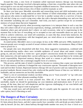Around this time, a new form of treatment called repressed memory therapy was becoming hugely popular. This therapy involved a therapist putting a client into a trancelike state where she was encouraged to root out and reexperience forgotten childhood memories. These memories were often benign, but the idea was that at least a few of them would be traumatic as well.

So there you have poor Meredith, miserable and researching incest and child molestation every day, angry at her father, having endured an entire lifetime of failed relationships with men, and the only person who seems to understand her or love her is another woman who is a survivor of incest. Oh, and she's lying on a couch crying every other day with a therapist demanding over and over that she remember something she can't remember. And voilà, you have a perfect recipe for an invented memory of sexual abuse that never happened.

Our mind's biggest priority when processing experiences is to interpret them in such a way that they will cohere with all of our previous experiences, feelings, and beliefs. But often we run into life situations where past and present *don't* cohere: on such occasions, what we're experiencing in the moment flies in the face of everything we've accepted as true and reasonable about our past. In an effort to achieve coherence, our mind will sometimes, in cases like that, invent false memories. By linking our present experiences with that imagined past, our mind allows us to maintain whatever meaning we already established.

As noted earlier, Meredith's story is not unique. In fact, in the 1980s and early 1990s, hundreds of innocent people were wrongly accused of sexual violence under similar circumstances. Many of them went to prison for it.

For people who were dissatisfied with their lives, these suggestive explanations, combined with the sensationalizing media—there were veritable epidemics of sexual abuse and satanic violence going on, and *you* could be a victim too—gave people's unconscious minds the incentive to fudge their memories a bit and explain their current suffering in a way that allowed them to be victims and avoid responsibility. Repressed memory therapy then acted as a means to pull these unconscious desires out and put them into a seemingly tangible form of a memory.

This process, and the state of mind it resulted in, became so common that a name was introduced for it: false memory syndrome. It changed the way courtrooms operate. Thousands of therapists were sued and lost their licenses. Repressed memory therapy fell out of practice and was replaced by more practical methods. Recent research has only reinforced the painful lesson of that era: our beliefs are malleable, and our memories are horribly unreliable.

There's a lot of conventional wisdom out there telling you to "trust yourself," to "go with your gut," and all sorts of other pleasant-sounding clichés.

But perhaps the answer is to trust yourself *less.* After all, if our hearts and minds are so unreliable, maybe we should be questioning our own intentions and motivations *more.* If we're all wrong, all the time, then isn't self-skepticism and the rigorous challenging of our own beliefs and assumptions the only logical route to progress?

This may sound scary and self-destructive. But it's actually quite the opposite. It's not only the safer option, but it's liberating as well.

### **The Dangers of Pure [Certainty](#page-2-12)**

Erin sits across from me at the sushi restaurant and tries to explain why she doesn't believe in death. It's been almost three hours, and she's eaten exactly four cucumber rolls and drunk an entire bottle of sake by herself. (In fact, she's about halfway through bottle number two now.) It's four o'clock on a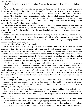Tuesday afternoon.

I didn't invite her here. She found out where I was via the Internet and flew out to come find me. Again.

She's done this before. You see, Erin is convinced that she can cure death, but she's also convinced that she needs my help to do it. But not my help in like a business sense. If she just needed some PR advice or something, that would be one thing. No, it's more than that: she needs me to be her boyfriend. Why? After three hours of questioning and a bottle and a half of sake, it still isn't clear.

My fiancée was with us in the restaurant, by the way. Erin thought it important that she be included in the discussion; Erin wanted her to know that she was "willing to share" me and that my girlfriend (now wife) "shouldn't feel threatened" by her.

I met Erin at a self-help seminar in 2008. She seemed like a nice enough person. A little bit on the woo-woo, New Agey side of things, but she was a lawyer and had gone to an Ivy League school, and was clearly smart. And she laughed at my jokes and thought I was cute—so, of course, knowing me, I slept with her.

A month later, she invited me to uproot across the country and move in with her. This struck me as somewhat of a red flag, and so I tried to break things off with her. She responded by saying that she would kill herself if I refused to be with her. Okay, so make that two red flags. I promptly blocked her from my email and all my devices.

This would slow her down but not stop her.

Years before I met her, Erin had gotten into a car accident and nearly died. Actually, she *had* medically "died" for a few moments—all brain activity had stopped—but she had somehow miraculously been revived. When she "came back," she claimed everything had changed. She became a very spiritual person. She became interested in, and started believing in, energy healing and angels and universal consciousness and tarot cards. She also believed that she had become a healer and an empath and that she could see the future. And for whatever reason, upon meeting me, she decided that she and I were destined to save the world together. To "cure death," as she put it.

After I'd blocked her, she began to create new email addresses, sometimes sending me as many as a dozen angry emails in a single day. She created fake Facebook and Twitter accounts that she used to harass me as well as people close to me. She created a website identical to mine and wrote dozens of articles claiming that I was her ex-boyfriend and that I had lied to her and cheated her, that I had promised to marry her and that she and I belonged together. When I contacted her to take the site down, she said that she would take it down only if I flew to California to be with her. This was her idea of a compromise.

And through all of this, her justification was the same: I was destined to be with her, that God had preordained it, that she literally woke up in the middle of the night to the voices of angels commanding that "our special relationship" was to be the harbinger of a new age of permanent peace on earth. (Yes, she really told me this.)

By the time we were sitting in that sushi restaurant together, there had been thousands of emails. Whether I responded or didn't respond, replied respectfully or replied angrily, nothing ever changed. Her mind never changed; her beliefs never budged. This had gone on for over seven years by then (and counting).

And so it was, in that small sushi restaurant, with Erin guzzling sake and babbling for hours about how she'd cured her cat's kidney stones with energy tapping, that something occurred to me:

Erin is a self-improvement junkie. She spends tens of thousands of dollars on books and seminars and courses. And the craziest part of all this is that Erin embodies all the lessons she's learned to a T.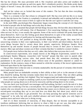She has her dream. She stays persistent with it. She visualizes and takes action and weathers the rejections and failures and gets up and tries again. She's relentlessly positive. She thinks pretty damn highly of herself. I mean, she claims to heal cats the same way Jesus healed Lazarus—come the fuck on.

And yet her values are so fucked that none of this matters. The fact that she does everything "right" doesn't make *her* right.

There is a certainty in her that refuses to relinquish itself. She has even told me this in so many words: that she knows her fixation is completely irrational and unhealthy and is making both her and me unhappy. But for some reason it feels so right to her that she can't ignore it and she can't stop.

In the mid-1990s, psychologist Roy Baumeister began researching the concept of evil. Basically, he looked at people who do bad things and at why they do them.

At the time it was assumed that people did bad things because they felt horrible about themselves —that is, they had low self-esteem. One of Baumeister's first surprising findings was that this was often not true. In fact, it was usually the opposite. Some of the worst criminals felt pretty damn good about themselves. And it was this feeling good about themselves in spite of the reality around them that gave them the sense of justification for hurting and disrespecting others.

For individuals to feel justified in doing horrible things to other people, they must feel an unwavering certainty in their own righteousness, in their own beliefs and deservedness. Racists do racist things because they're certain about their genetic superiority. Religious fanatics blow themselves up and murder dozens of people because they're certain of their place in heaven as martyrs. Men rape and abuse women out of their certainty that they're entitled to women's bodies.

Evil people never believe that *they* are evil; rather, they believe that everyone else is evil.

In controversial experiments, now simply known as the Milgram Experiments, named for the psychologist Stanley Milgram, researchers told "normal" people that they were to punish other volunteers for breaking various rules. And punish them they did, sometimes escalating the punishment to the point of physical abuse. Almost none of the punishers objected or asked for explanation. On the contrary, many of them seemed to relish the certainty of the moral righteousness bestowed upon them by the experiments.

The problem here is that not only is certainty unattainable, but the pursuit of certainty often breeds more (and worse) insecurity.

Many people have an unshakable certainty in their ability at their job or in the amount of salary they *should* be making. But that certainty makes them feel worse, not better. They see others getting promoted over them, and they feel slighted. They feel unappreciated and underacknowledged.

Even a behavior as simple as sneaking a peek at your boyfriend's text messages or asking a friend what people are saying about you is driven by insecurity and that aching desire to be certain.

You can check your boyfriend's text messages and find nothing, but that's rarely the end of it; then you may start wondering if he has a second phone. You can feel slighted and stepped over at work to explain why you missed out on a promotion, but then that causes you to distrust your coworkers and second-guess everything they say to you (and how you think they feel about you), which in turn makes you even less likely to get promoted. You can keep pursuing that special someone you're "supposed" to be with, but with each rebuffed advance and each lonely night, you only begin to question more and more what you're doing wrong.

And it's in these moments of insecurity, of deep despair, that we become susceptible to an insidious entitlement: believing that we *deserve* to cheat a little to get our way, that other people *deserve* to be punished, that we *deserve* to take what we want, and sometimes violently.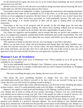It's the backwards law again: the more you try to be certain about something, the more uncertain and insecure you will feel.

But the converse is true as well: the more you embrace being uncertain and not knowing, the more comfortable you will feel in knowing what you don't know.

Uncertainty removes our judgments of others; it preempts the unnecessary stereotyping and biases that we otherwise feel when we see somebody on TV, in the office, or on the street. Uncertainty also relieves us of our judgment of ourselves. We don't know if we're lovable or not; we don't know how attractive we are; we don't know how successful we could potentially become. The only way to achieve these things is to remain uncertain of them and be open to finding them out through experience.

Uncertainty is the root of all progress and all growth. As the old adage goes, the man who believes he knows everything learns nothing. We cannot learn anything without first not knowing something. The more we admit we do not know, the more opportunities we gain to learn.

Our values are imperfect and incomplete, and to assume that they are perfect and complete is to put us in a dangerously dogmatic mindset that breeds entitlement and avoids responsibility. The only way to solve our problems is to first admit that our actions and beliefs up to this point have been wrong and are not working.

This openness to being wrong *must exist* for any real change or growth to take place.

Before we can look at our values and prioritizations and change them into better, healthier ones, we must first become *uncertain* of our current values. We must intellectually strip them away, see their faults and biases, see how they don't fit in with much of the rest of the world, to stare our own ignorance in the face and concede, because our own ignorance is greater than us all.

#### **Manson's Law of [Avoidance](#page-2-13)**

Chances are you've heard some form of Parkinson's law: "Work expands so as to fill up the time available for its completion."

You've also undoubtedly heard of Murphy's law: "Whatever can go wrong will go wrong."

Well, next time you're at a swanky cocktail party and you want to impress somebody, try dropping Manson's law of avoidance on them:

The more something threatens your identity, the more you will avoid it.

That means the more something threatens to change how you view yourself, how successful/unsuccessful you believe yourself to be, how well you see yourself living up to your values, the more you will avoid ever getting around to doing it.

There's a certain comfort that comes with knowing how you fit in the world. Anything that shakes up that comfort—even if it could potentially make your life better—is inherently scary.

Manson's law applies to both good and bad things in life. Making a million dollars could threaten your identity just as much as losing all your money; becoming a famous rock star could threaten your identity just as much as losing your job. This is why people are often so afraid of success—for the exact same reason they're afraid of failure: it threatens who they believe themselves to be.

You avoid writing that screenplay you've always dreamed of because doing so would call into question your identity as a practical insurance adjuster. You avoid talking to your husband about being more adventurous in the bedroom because that conversation would challenge your identity as a good, moral woman. You avoid telling your friend that you don't want to see him anymore because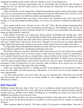ending the friendship would conflict with your identity as a nice, forgiving person.

These are good, important opportunities that we consistently pass up because they threaten to change how we view and feel about ourselves. They threaten the values that we've chosen and have learned to live up to.

I had a friend who, for the longest time, talked about putting his artwork online and trying to make a go of it as a professional (or at least semiprofessional) artist. He talked about it for years; he saved up money; he even built a few different websites and uploaded his portfolio.

But he never launched. There was always some reason: the resolution on his work wasn't good enough, or he had just painted something better, or he wasn't in a position to dedicate enough time to it yet.

Years passed and he never did give up his "real job." Why? Because despite dreaming about making a living through his art, the real potential of becoming An Artist Nobody Likes was far, far scarier than remaining An Artist Nobody's Heard Of. At least he was comfortable with and used to being An Artist Nobody's Heard Of.

I had another friend who was a party guy, always going out drinking and chasing girls. After years of living the "high life," he found himself terribly lonely, depressed, and unhealthy. He wanted to give up his party lifestyle. He spoke with a fierce jealousy of those of us who were in relationships and more "settled down" than he was. Yet he never changed. For years he went on, empty night after empty night, bottle after bottle. Always some excuse. Always some reason he couldn't slow down.

Giving up that lifestyle threatened his identity too much. The Party Guy was all he knew how to be. To give that up would be like committing psychological hara-kiri.

We all have values for ourselves. We protect these values. We try to live up to them and we justify them and maintain them. Even if we don't mean to, that's how our brain is wired. As noted before, we're unfairly biased toward what we already know, what we believe to be certain. If I believe I'm a nice guy, I'll avoid situations that could potentially contradict that belief. If I believe I'm an awesome cook, I'll seek out opportunities to prove that to myself over and over again. The belief always takes precedence. Until we change how we view ourselves, what we believe we are and are not, we cannot overcome our avoidance and anxiety. We cannot change.

In this way, "knowing yourself" or "finding yourself" can be dangerous. It can cement you into a strict role and saddle you with unnecessary expectations. It can close you off to inner potential and outer opportunities.

I say *don't* find yourself. I say *never* know who you are. Because that's what keeps you striving and discovering. And it forces you to remain humble in your judgments and accepting of the differences in others.

# **Kill [Yourself](#page-2-14)**

Buddhism argues that your idea of who "you" are is an arbitrary mental construction and that you should let go of the idea that "you" exist at all; that the arbitrary metrics by which you define yourself actually trap you, and thus you're better off letting go of everything. In a sense, you could say that Buddhism encourages you to not give a fuck.

It sounds wonky, but there are some psychological benefits to this approach to life. When we let go of the stories we tell about ourselves, to ourselves, we free ourselves up to actually act (and fail) and grow.

When someone admits to herself, "You know, maybe I'm not good at relationships," then she is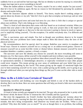suddenly free to act and end her bad marriage. She has no identity to protect by staying in a miserable, crappy marriage just to prove something to herself.

When the student admits to himself, "You know, maybe I'm not a rebel; maybe I'm just scared," then he's free to be ambitious again. He has no reason to feel threatened by pursuing his academic dreams and maybe failing.

When the insurance adjuster admits to himself, "You know, maybe there's nothing unique or special about my dreams or my job," then he's free to give that screenplay an honest go and see what happens.

I have both some good news and some bad news for you: *there is little that is unique or special about your problems.* That's why letting go is so liberating.

There's a kind of self-absorption that comes with fear based on an irrational certainty. When you assume that your plane is the one that's going to crash, or that your project idea is the stupid one everyone is going to laugh at, or that you're the one everyone is going to choose to mock or ignore, you're implicitly telling yourself, "I'm the exception; I'm unlike everybody else; I'm different and special."

This is narcissism, pure and simple. You feel as though *your* problems deserve to be treated differently, that *your* problems have some unique math to them that doesn't obey the laws of the physical universe.

My recommendation: *don't* be special; *don't* be unique. Redefine your metrics in mundane and broad ways. Choose to measure yourself not as a rising star or an undiscovered genius. Choose to measure yourself not as some horrible victim or dismal failure. Instead, measure yourself by more mundane identities: a student, a partner, a friend, a creator.

The narrower and rarer the identity you choose for yourself, the more everything will seem to threaten you. For that reason, define yourself in the simplest and most ordinary ways possible.

This often means giving up some grandiose ideas about yourself: that you're uniquely intelligent, or spectacularly talented, or intimidatingly attractive, or especially victimized in ways other people could never imagine. This means giving up your sense of entitlement and your belief that you're somehow owed something by this world. This means giving up the supply of emotional highs that you've been sustaining yourself on for years. Like a junkie giving up the needle, you're going to go through withdrawal when you start giving these things up. But you'll come out the other side so much better.

## **How to Be a Little Less Certain of [Yourself](#page-2-15)**

Questioning ourselves and doubting our own thoughts and beliefs is one of the hardest skills to develop. But it can be done. Here are some questions that will help you breed a little more uncertainty in your life.

#### *Question #1: What if I'm wrong?*

A friend of mine recently got engaged to be married. The guy who proposed to her is pretty solid. He doesn't drink. He doesn't hit her or mistreat her. He's friendly and has a good job.

But since the engagement, my friend's brother has been admonishing her nonstop about her immature life choices, warning her that she's going to hurt herself with this guy, that she's making a mistake, that she's being irresponsible. And whenever my friend asks her brother, "What is your problem? Why does this bother you so much?" he acts as though there *is* no problem, that nothing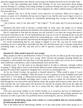about the engagement bothers him, that he's just trying to be helpful and look out for his little sister.

But it's clear that something *does* bother him. Perhaps it's his own insecurities about getting married. Perhaps it's a sibling rivalry thing. Perhaps it's jealousy. Perhaps he's just so caught up in his own victimhood that he doesn't know how to show happiness for others without trying to make them feel miserable first.

As a general rule, we're all the world's worst observers of ourselves. When we're angry, or jealous, or upset, we're oftentimes the last ones to figure it out. And the only way to figure it out is to put cracks in our armor of certainty by consistently questioning how wrong we might be about ourselves.

"Am I jealous—and if I am, then why?" "Am I angry?" "Is she right, and I'm just protecting my ego?"

Questions like these need to become a mental habit. In many cases, the simple act of asking ourselves such questions generates the humility and compassion needed to resolve a lot of our issues.

But it's important to note that just because you ask yourself if you have the wrong idea doesn't necessarily mean that you do. If your husband beats the crap out of you for burning the pot roast and you ask yourself if you're wrong to believe he's mistreating you—well, sometimes you're right. The goal is merely to ask the question and entertain the thought at the moment, not to hate yourself.

It's worth remembering that for any change to happen in your life, *you must be wrong about something.* If you're sitting there, miserable day after day, then that means you're *already wrong* about something major in your life, and until you're able to question yourself to find it, nothing will change.

#### *Question #2: What would it mean if I were wrong?*

Many people are able to ask themselves if they're wrong, but few are able to go the extra step and admit what it would *mean* if they were wrong. That's because the potential meaning behind our wrongness is often painful. Not only does it call into question our values, but it forces us to consider what a different, contradictory value could potentially look and feel like.

Aristotle wrote, "It is the mark of an educated mind to be able to entertain a thought without accepting it." Being able to look at and evaluate different values without necessarily adopting them is perhaps *the* central skill required in changing one's own life in a meaningful way.

As for my friend's brother, his question to himself should be, "What would it mean if I were wrong about my sister's wedding?" Often the answer to such a question is pretty straightforward (and some form of "I'm being a selfish/insecure/narcissistic asshole"). If he *is* wrong, and his sister's engagement is fine and healthy and happy, there's really no way to explain his own behavior other than through his own insecurities and fucked-up values. He assumes that he knows what's best for his sister and that she can't make major life decisions for herself; he assumes that he has the right and responsibility to make decisions for her; he is certain that he's right and everyone else must be wrong.

Even once uncovered, whether in my friend's brother or in ourselves, that sort of entitlement is hard to admit. It hurts. That's why few people ask the difficult questions. But probing questions are necessary in order to get at the core problems that are motivating his, and our, dickish behavior.

#### *Question #3: Would being wrong create a better or a worse problem than my current problem, for both myself and others?*

This is the litmus test for determining whether we've got some pretty solid values going on, or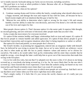we're totally neurotic fuckwads taking our fucks out on everyone, including ourselves.

The goal here is to look at which *problem* is better. Because after all, as Disappointment Panda said, life's problems are endless.

My friend's brother, what are his options?

- A. Continue causing drama and friction within the family, complicating what should otherwise be a happy moment, and damage the trust and respect he has with his sister, all because he has a hunch (some might call it an intuition) that this guy is bad for her.
- B. Mistrust his own ability to determine what's right or wrong for his sister's life and remain humble, trust her ability to make her own decisions, and even if he doesn't, live with the results out of his love and respect for her.

Most people choose option A. That's because option A is the easier path. It requires little thought, no second-guessing, and zero tolerance of decisions other people make that you don't like.

It also creates the most misery for everyone involved.

It's option B that sustains healthy and happy relationships built on trust and respect. It's option B that forces people to remain humble and admit ignorance. It's option B that allows people to grow beyond their insecurities and recognize situations where they're being impulsive or unfair or selfish.

But option B is hard and painful, so most people don't choose it.

My friend's brother, in protesting her engagement, entered into an imaginary battle with himself. Sure, he believed he was trying to protect his sister, but as we've seen, beliefs are arbitrary; worse yet, they're often made up after the fact to justify whatever values and metrics we've chosen for ourselves. The truth is, he would rather fuck up his relationship with his sister than consider that he might be wrong—even though the latter could help him to grow out of the insecurities that made him wrong in the first place.

I try to live with few rules, but one that I've adopted over the years is this: if it's down to me being screwed up, or everybody else being screwed up, it is far, far, far more likely that I'm the one who's screwed up. I have learned this from experience. I have been the asshole acting out based on my own insecurities and flawed certainties more times than I can count. It's not pretty.

That's not to say there aren't certain ways in which most people are screwed up. And that's not to say that there aren't times when you'll be more right than most other people.

That's simply reality: if it feels like it's you versus the world, chances are it's really just you versus yourself.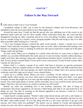#### **[CHAPTER](#page-2-16)** 7

# **Failure Is the Way [Forward](#page-2-16)**

**I** really mean it when <sup>I</sup> say it: <sup>I</sup> was fortunate.

I graduated college in 2007, just in time for the financial collapse and Great Recession, and attempted to enter the worst job market in more than eighty years.

Around the same time, I found out that the person who was subletting one of the rooms in my apartment hadn't paid any rent for three months. When confronted about this, she cried and then disappeared, leaving my other roommate and me to cover everything. Goodbye, savings. I spent the next six months living on a friend's couch, stringing together odd jobs and trying to stay in as little debt as possible while looking for a "real job."

I say I was fortunate because I entered the adult world already a failure. I started out at rock bottom. That's basically everybody's biggest fear later on in life, when confronted with starting a new business or changing careers or quitting an awful job, and I got to experience it right out of the gates. Things could only get better.

So yeah, lucky. When you're sleeping on a smelly futon and have to count coins to figure out whether you can afford McDonald's this week and you've sent out twenty résumés without hearing a single word back, then starting a blog and a stupid Internet business doesn't sound like such a scary idea. If every project I started failed, if every post I wrote went unread, I'd only be back exactly where I started. So why not try?

Failure itself is a relative concept. If my metric had been to become an anarcho-communist revolutionary, then my complete failure to make any money between 2007 and 2008 would have been a raving success. But if, like most people, my metric had been to simply find a first serious job that could pay some bills right out of school, I was a dismal failure.

I grew up in a wealthy family. Money was never a problem. On the contrary, I grew up in a wealthy family where money was more often used to avoid problems than solve them. I was again fortunate, because this taught me at an early age that making money, by itself, was a lousy metric for myself. You could make plenty of money and be miserable, just as you could be broke and be pretty happy. Therefore, why use money as a means to measure my self-worth?

Instead, my value was something else. It was freedom, autonomy. The idea of being an entrepreneur had always appealed to me because I hated being told what to do and preferred to do things my way. The idea of working on the Internet appealed to me because I could do it from anywhere and work whenever I wanted.

I asked myself a simple question: "Would I rather make decent money and work a job I hated, or play at Internet entrepreneur and be broke for a while?" The answer was immediate and clear for me: the latter. I then asked myself, "If I try this thing and fail in a few years and have to go get a job anyway, will I have really lost anything?" The answer was no. Instead of a broke and unemployed twenty-two-year-old with no experience, I'd be a broke and unemployed twenty-five-year-old with no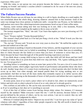experience. Who cares?

With this value, to *not* pursue my own projects became the failure—not a lack of money, not sleeping on friends' and family's couches (which I continued to do for most of the next two years), and not an empty résumé.

# **The [Failure/Success](#page-2-17) Paradox**

When Pablo Picasso was an old man, he was sitting in a café in Spain, doodling on a used napkin. He was nonchalant about the whole thing, drawing whatever amused him in that moment—kind of the same way teenage boys draw penises on bathroom stalls—except this was Picasso, so his bathroomstall penises were more like cubist/impressionist awesomeness laced on top of faint coffee stains.

Anyway, some woman sitting near him was looking on in awe. After a few moments, Picasso finished his coffee and crumpled up the napkin to throw away as he left.

The woman stopped him. "Wait," she said. "Can I have that napkin you were just drawing on? I'll pay you for it."

"Sure," Picasso replied. "Twenty thousand dollars."

The woman's head jolted back as if he had just flung a brick at her. "What? It took you like two minutes to draw that."

"No, ma'am," Picasso said. "It took me over sixty years to draw this." He stuffed the napkin in his pocket and walked out of the café.

Improvement at anything is based on thousands of tiny failures, and the magnitude of your success is based on how many times you've failed at something. If someone is better than you at something, then it's likely because she has failed at it more than you have. If someone is worse than you, it's likely because he hasn't been through all of the painful learning experiences you have.

If you think about a young child trying to learn to walk, that child will fall down and hurt itself hundreds of times. But at no point does that child ever stop and think, "Oh, I guess walking just isn't for me. I'm not good at it."

Avoiding failure is something we learn at some later point in life. I'm sure a lot of it comes from our education system, which judges rigorously based on performance and punishes those who don't do well. Another large share of it comes from overbearing or critical parents who don't let their kids screw up on their own often enough, and instead punish them for trying anything new or not preordained. And then we have all the mass media that constantly expose us to stellar success after success, while not showing us the thousands of hours of dull practice and tedium that were required to achieve that success.

At some point, most of us reach a place where we're afraid to fail, where we instinctively avoid failure and stick only to what is placed in front of us or only what we're already good at.

This confines us and stifles us. We can be truly successful only at something we're willing to fail at. If we're unwilling to fail, then we're unwilling to succeed.

A lot of this fear of failure comes from having chosen shitty values. For instance, if I measure myself by the standard "Make everyone I meet like me," I will be anxious, because failure is 100 percent defined by the actions of others, not by my own actions. I am not in control; thus my selfworth is at the mercy of judgments by others.

Whereas if I instead adopt the metric "Improve my social life," I can live up to my value of "good relations with others" regardless of how other people respond to me. My self-worth is based on my own behaviors and happiness.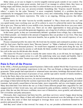Shitty values, as we saw in chapter 4, involve tangible external goals outside of our control. The pursuit of these goals causes great anxiety. And even if we manage to achieve them, they leave us feeling empty and lifeless, because once they're achieved there are no more problems to solve.

Better values, as we saw, are process-oriented. Something like "Express myself honestly to others," a metric for the value "honesty," is never completely finished; it's a problem that must continuously be reengaged. Every new conversation, every new relationship, brings new challenges and opportunities for honest expression. The value is an ongoing, lifelong process that defies completion.

If your metric for the value "success by worldly standards" is "Buy a house and a nice car," and you spend twenty years working your ass off to achieve it, once it's achieved the metric has nothing left to give you. Then say hello to your midlife crisis, because the problem that drove you your entire adult life was just taken away from you. There are no other opportunities to keep growing and improving, and yet it's growth that generates happiness, not a long list of arbitrary achievements.

In this sense, goals, as they are conventionally defined—graduate from college, buy a lake house, lose fifteen pounds—are limited in the amount of happiness they can produce in our lives. They may be helpful when pursuing quick, short-term benefits, but as guides for the overall trajectory of our life, they suck.

Picasso remained prolific his entire life. He lived into his nineties and continued to produce art up until his final years. Had his metric been "Become famous" or "Make a buttload of money in the art world" or "Paint one thousand pictures," he would have stagnated at some point along the way. He would have been overcome by anxiety or self-doubt. He likely wouldn't have improved and innovated his craft in the ways he did decade after decade.

The reason for Picasso's success is exactly the same reason why, as an old man, he was happy to scribble drawings on a napkin alone in a café. His underlying value was simple and humble. And it was endless. It was the value "honest expression." And this is what made that napkin so valuable.

#### **Pain Is Part of the [Process](#page-2-18)**

In the 1950s, a Polish psychologist named Kazimierz Dabrowski studied World War II survivors and how they'd coped with traumatic experiences in the war. This was Poland, so things had been pretty gruesome. These people had experienced or witnessed mass starvation, bombings that turned cities to rubble, the Holocaust, the torture of prisoners of war, and the rape and/or murder of family members, if not by the Nazis, then a few years later by the Soviets.

As Dabrowski studied the survivors, he noticed something both surprising and amazing. A sizable percentage of them believed that the wartime experiences they'd suffered, although painful and indeed traumatic, had actually caused them to become better, more responsible, and yes, even happier people. Many described their lives before the war as if they'd been different people then: ungrateful for and unappreciative of their loved ones, lazy and consumed by petty problems, entitled to all they'd been given. After the war they felt more confident, more sure of themselves, more grateful, and unfazed by life's trivialities and petty annoyances.

Obviously, their experiences had been horrific, and these survivors weren't happy about having had to experience them. Many of them still suffered from the emotional scars the lashings of war had left on them. But some of them had managed to leverage those scars to transform themselves in positive and powerful ways.

And they aren't alone in that reversal. For many of us, our proudest achievements come in the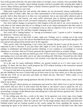face of the greatest adversity. Our pain often makes us stronger, more resilient, more grounded. Many cancer survivors, for example, report feeling stronger and more grateful after winning their battle to survive. Many military personnel report a mental resilience gained from withstanding the dangerous environments of being in a war zone.

Dabrowski argued that fear and anxiety and sadness are not necessarily always undesirable or unhelpful states of mind; rather, they are often representative of the necessary pain of psychological growth. And to deny that pain is to deny our own potential. Just as one must suffer physical pain to build stronger bone and muscle, one must suffer emotional pain to develop greater emotional resilience, a stronger sense of self, increased compassion, and a generally happier life.

Our most radical changes in perspective often happen at the tail end of our worst moments. It's only when we feel intense pain that we're willing to look at our values and question why they seem to be failing us. We *need* some sort of existential crisis to take an objective look at how we've been deriving meaning in our life, and then consider changing course.

You could call it "hitting bottom" or "having an existential crisis." I prefer to call it "weathering the shitstorm." Choose what suits you.

And perhaps you're in that kind of place right now. Perhaps you're coming out of the most significant challenge of your life and are bewildered because everything you previously thought to be true and normal and good has turned out to be the opposite.

That's good—that's the beginning. I can't stress this enough, but *pain is part of the process.* It's important to *feel* it. Because if you just chase after highs to cover up the pain, if you continue to indulge in entitlement and delusional positive thinking, if you continue to overindulge in various substances or activities, then you'll never generate the requisite motivation to actually change.

When I was young, any time my family got a new VCR or stereo, I would press every button, plug and unplug every cord and cable, just to see what everything did. With time, I learned how the whole system worked. And because I knew how it all worked, I was often the only person in the house who used the stuff.

As is the case for many millennial children, my parents looked on as if I were some sort of prodigy. To them, the fact that I could program the VCR without looking at the instruction manual made me the Second Coming of Tesla.

It's easy to look back at my parents' generation and chuckle at their technophobia. But the further I get into adulthood, the more I realize that we all have areas of our lives where we're like my parents with the new VCR: we sit and stare and shake our heads and say, "But *how*?" When really, it's as simple as just doing it.

I get emails from people asking questions like this all the time. And for many years, I never knew what to say to them.

There's the girl whose parents are immigrants and saved for their whole lives to put her through med school. But now she's in med school and she hates it; she doesn't want to spend her life as a doctor, so she wants to drop out more than anything. Yet she feels stuck. So stuck, in fact, that she ends up emailing a stranger on the Internet (me) and asking him a silly and obvious question like, "How do I drop out of med school?"

Or the college guy who has a crush on his tutor. So he agonizes over every sign, every laugh, every smile, every diversion into small talk, and emails me a twenty-eight-page novella that concludes with the question, "How do I ask her out?" Or the single mother whose now-adult kids have finished school and are loafing around on her couch, eating her food, spending her money, not respecting her space or her desire for privacy. She wants them to move on with their lives. She wants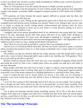to move on with *her* life. Yet she's scared to death of pushing her children away, scared to the point of asking, "How do I ask them to move out?"

These are VCR questions. From the outside, the answer is simple: just shut up and do it.

But from the inside, from the perspective of each of these people, these questions feel impossibly complex and opaque—existential riddles wrapped in enigmas packed in a KFC bucket full of Rubik's Cubes.

VCR questions are funny because the answer appears difficult to anyone who has them and appears easy to anyone who does not.

The problem here is pain. Filling out the appropriate paperwork to drop out of med school is a straightforward and obvious action; breaking your parents' hearts is not. Asking a tutor out on a date is as simple as saying the words; risking intense embarrassment and rejection feels far more complicated. Asking someone to move out of your house is a clear decision; feeling as if you're abandoning your own children is not.

I struggled with social anxiety throughout much of my adolescence and young adult life. I spent most of my days distracting myself with video games and most of my nights either drinking or smoking away my uneasiness. For many years, the thought of speaking to a stranger—especially if that stranger happened to be particularly attractive/interesting/popular/smart—felt impossible to me. I walked around in a daze for years, asking myself dumb VCR questions:

"How? How do you just walk up and talk to a person? How can somebody *do* that?"

I had all sorts of screwed-up beliefs about this, like that you weren't allowed to speak to someone unless you had some practical reason to, or that women would think I was a creepy rapist if I so much as said, "Hello."

The problem was that my emotions defined my reality. Because it *felt* like people didn't want to talk to me, I came to *believe* that people didn't want to talk to me. And thus, my VCR question: "How do you just walk up and talk to a person?"

Because I failed to separate what I *felt* from what *was,* I was incapable of stepping outside myself and seeing the world for what it was: a simple place where two people can walk up to each other at any time and speak.

Many people, when they feel some form of pain or anger or sadness, drop everything and attend to numbing out whatever they're feeling. Their goal is to get back to "feeling good" again as quickly as possible, even if that means substances or deluding themselves or returning to their shitty values.

Learn to sustain the pain you've chosen. When you choose a new value, you are choosing to introduce a new form of pain into your life. Relish it. Savor it. Welcome it with open arms. Then act *despite* it.

I won't lie: this is going to feel impossibly hard at first. But you can start simple. You're going to feel as though you don't know what to do. But we've discussed this: you don't know *anything.* Even when you think you do, you really don't know what the fuck you're doing. So really, what is there to lose?

Life is about not knowing and then doing something anyway. *All* of life is like this. It never changes. Even when you're happy. Even when you're farting fairy dust. Even when you win the lottery and buy a small fleet of Jet Skis, you still won't know what the hell you're doing. Don't ever forget that. And don't ever be afraid of that.

# **The "Do [Something"](#page-3-0) Principle**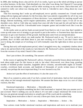In 2008, after holding down a day job for all of six weeks, I gave up on the whole job thing to pursue an online business. At the time, I had absolutely no clue what I was doing, but I figured if I was going to be broke and miserable, I might as well be while working on my own terms. And at that time, all I seemed to really care about was chasing girls. So fuck it, I decided to start a blog about my crazy dating life.

That first morning that I woke up self-employed, terror quickly consumed me. I found myself sitting with my laptop and realized, for the first time, that I was entirely responsible for *all* of my own decisions, as well as the consequences of those decisions. I was responsible for teaching myself web design, Internet marketing, search engine optimization, and other esoteric topics. It was all on my shoulders now. And so I did what any twenty-four-year-old who'd just quit his job and had no idea what he was doing would do: I downloaded some computer games and avoided work like it was the Ebola virus.

As the weeks went on and my bank account turned from black to red, it was clear that I needed to come up with some sort of strategy to get myself to put in the twelve- or fourteen-hour days that were necessary to get a new business off the ground. And that plan came from an unexpected place.

When I was in high school, my math teacher Mr. Packwood used to say, "If you're stuck on a problem, don't sit there and think about it; just start working on it. Even if you don't know what you're doing, the simple act of working on it will eventually cause the right ideas to show up in your head."

During that early self-employment period, when I struggled every day, completely clueless about what to do and terrified of the results (or lack thereof), Mr. Packwood's advice started beckoning me from the recesses of my mind. I heard it like a mantra:

Don't just sit there. *Do* something. The answers will follow.

In the course of applying Mr. Packwood's advice, I learned a powerful lesson about motivation. It took about eight years for this lesson to sink in, but what I discovered, over those long, grueling months of bombed product launches, laughable advice columns, uncomfortable nights on friends' couches, overdrawn bank accounts, and hundreds of thousands of words written (most of them unread), was perhaps the most important thing I've ever learned in my life:

Action isn't just the effect of motivation; it's also the cause of it.

Most of us commit to action only if we feel a certain level of motivation. And we feel motivation only when we feel enough emotional inspiration. We assume that these steps occur in a sort of chain reaction, like this:

Emotional inspiration  $\rightarrow$  Motivation  $\rightarrow$  Desirable action

If you want to accomplish something but don't feel motivated or inspired, then you assume you're just screwed. There's nothing you can do about it. It's not until a major emotional life event occurs that you can generate enough motivation to actually get off the couch and do something.

The thing about motivation is that it's not only a three-part chain, but an endless loop:

Inspiration  $\rightarrow$  Motivation  $\rightarrow$  Action  $\rightarrow$  Inspiration  $\rightarrow$  Motivation  $\rightarrow$  Action  $\rightarrow$  Etc.

Your actions create further emotional reactions and inspirations and move on to motivate your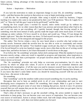future actions. Taking advantage of this knowledge, we can actually reorient our mindset in the following way:

Action  $\rightarrow$  Inspiration  $\rightarrow$  Motivation

If you lack the motivation to make an important change in your life, *do something*—anything, really—and then harness the reaction to that action as a way to begin motivating yourself.

I call this the "do something" principle. After using it myself to build my business, I began teaching it to readers who came to me perplexed by their own VCR questions: "How do I apply for a job?" or "How do I tell this guy I want to be his girlfriend?" and the like.

During the first couple years I worked for myself, entire weeks would go by without my accomplishing much, for no other reason than that I was anxious and stressed about what I had to do, and it was too easy to put everything off. I quickly learned, though, that forcing myself to do *something,* even the most menial of tasks, quickly made the larger tasks seem much easier. If I had to redesign an entire website, I'd force myself to sit down and would say, "Okay, I'll just design the header right now." But after the header was done, I'd find myself moving on to other parts of the site. And before I knew it, I'd be energized and engaged in the project.

The author Tim Ferriss relates a story he once heard about a novelist who had written over seventy novels. Someone asked the novelist how he was able to write so consistently and remain inspired and motivated. He replied, "Two hundred crappy words per day, that's it." The idea was that if he forced himself to write two hundred crappy words, more often than not the act of writing would inspire him; and before he knew it, he'd have thousands of words down on the page.

If we follow the "do something" principle, failure *feels* unimportant. When the standard of success becomes merely acting—when *any* result is regarded as progress and important, when inspiration is seen as a reward rather than a prerequisite—we propel ourselves ahead. We feel free to fail, and that failure moves us forward.

The "do something" principle not only helps us overcome procrastination, but it's also the process by which we adopt new values. If you're in the midst of an existential shitstorm and everything feels meaningless—if all the ways you used to measure yourself have come up short and you have no idea what's next, if you know that you've been hurting yourself chasing false dreams, or if you know that there's some better metric you should be measuring yourself with but you don't know how—the answer is the same:

Do something.

That "something" can be the smallest viable action toward something else. It can be *anything.*

Recognize that you've been an entitled prick in all of your relationships and want to start developing more compassion for others? Do something. Start simple. Make it a goal to listen to someone's problem and give some of your time to helping that person. Just do it once. Or promise yourself that you will assume that *you* are the root of your problems next time you get upset. Just try on the idea and see how it feels.

That's often all that's necessary to get the snowball rolling, the action needed to inspire the motivation to keep going. You can become your own source of inspiration. You can become your own source of motivation. Action is always within reach. And with simply *doing something* as your only metric for success—well, then even failure pushes you forward.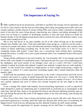### **[CHAPTER](#page-3-0)** 8

# **The [Importance](#page-3-0) of Saying No**

**I**<sup>n</sup> 2009, <sup>I</sup> gathered up all my possessions, sold them or put them into storage, left my apartment, and set off for Latin America. By this time my little dating advice blog was getting some traffic and I was actually making a modest amount of money selling PDFs and courses online. I planned on spending much of the next few years living abroad, experiencing new cultures, and taking advantage of the lower cost of living in a number of developing countries in Asia and Latin America to build my business further. It was the digital nomad dream and as a twenty-five-year-old adventure-seeker, it was exactly what I wanted out of life.

But as sexy and heroic as my plan sounded, not all of the values driving me to this nomadic lifestyle were healthy ones. Sure, I had some admirable values going on—a thirst to see the world, a curiosity for people and culture, some old-fashioned adventure-seeking. But there also existed a faint outline of shame underlying everything else. At the time I was hardly aware of it, but if I was completely honest with myself, I knew there was a screwed-up value lurking there, somewhere beneath the surface. I couldn't see it, but in quiet moments when I was completely honest with myself, I could feel it.

Along with the entitlement of my early twenties, the "real traumatic shit" of my teenage years had left me with a nice bundle of commitment issues. I had spent the past few years overcompensating for the inadequacy and social anxiety of my teenager years, and as a result I felt like I could meet anybody I wanted, be friends with anybody I wanted, love anybody I wanted, have sex with anybody I wanted—so why would I ever commit to a single person, or even a single social group, a single city or country or culture? If I *could* experience everything equally, then I *should* experience them all equally, right?

Armed with this grandiose sense of connectivity to the world, I bounced back and forth across countries and oceans in a game of global hopscotch that lasted over five years. I visited fifty-five countries, made dozens of friends, and found myself in the arms of a number of lovers—all of whom were quickly replaced and some of whom were already forgotten by the next flight to the next country.

It was a strange life, replete with fantastic, horizon-breaching experiences as well as superficial highs designed to numb my underlying pain. It seemed both so profound yet so meaningless at the same time, and still does. Some of my greatest life lessons and character-defining moments came on the road during this period. But some of the biggest wastes of my time and energy came during this period as well.

Now I live in New York. I have a house and furniture and an electric bill and a wife. None of it is particularly glamorous or exciting. And I like it that way. Because after all the years of excitement, the biggest lesson I took from my adventuring was this: absolute freedom, by itself, means nothing.

Freedom grants the opportunity for greater meaning, but by itself there is nothing necessarily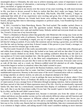meaningful about it. Ultimately, the only way to achieve meaning and a sense of importance in one's life is through a rejection of alternatives, a *narrowing* of freedom, a choice of commitment to one place, one belief, or (gulp) one person.

This realization came to me slowly over the course of my years traveling. As with most excesses in life, you have to drown yourself in them to realize that they don't make you happy. Such was traveling with me. As I drowned in my fifty-third, fifty-fourth, fifty-fifth country, I began to understand that while all of my experiences were exciting and great, few of them would have any lasting significance. Whereas my friends back home were settling down into marriages, buying houses, and giving their time to interesting companies or political causes, I was floundering from one high to the next.

In 2011, I traveled to Saint Petersburg, Russia. The food sucked. The weather sucked. (Snow in May? Are you fucking kidding me?) My apartment sucked. Nothing worked. Everything was overpriced. The people were rude and smelled funny. Nobody smiled and everyone drank too much. Yet, I loved it. It was one of my favorite trips.

There's a bluntness to Russian culture that generally rubs Westerners the wrong way. Gone are the fake niceties and verbal webs of politeness. You don't smile at strangers or pretend to like anything you don't. In Russia, if something is stupid, you say it's stupid. If someone is being an asshole, you tell him he's being an asshole. If you really like someone and are having a great time, you tell her that you like her and are having a great time. It doesn't matter if this person is your friend, a stranger, or someone you met five minutes ago on the street.

The first week I found all of this really uncomfortable. I went on a coffee date with a Russian girl, and within three minutes of sitting down she looked at me funny and told me that what I'd just said was stupid. I nearly choked on my drink. There was nothing combative about the way she said it; it was spoken as if it were some mundane fact—like the quality of the weather that day, or her shoe size —but I was still shocked. After all, in the West such outspokenness is seen as highly offensive, especially from someone you just met. But it went on like this with everyone. Everyone came across as rude all the time, and as a result, my Western-coddled mind felt attacked on all sides. Nagging insecurities began to surface in situations where they hadn't existed in years.

But as the weeks wore on, I got used to the Russian frankness, much as I did the midnight sunsets and the vodka that went down like ice water. And then I started appreciating it for what it really was: unadulterated expression. Honesty in the truest sense of the word. Communication with no conditions, no strings attached, no ulterior motive, no sales job, no desperate attempt to be liked.

Somehow, after years of travel, it was in perhaps the most un-American of places where I first experienced a particular flavor of freedom: the ability to say whatever I thought or felt, without fear of repercussion. It was a strange form of liberation *through* accepting rejection. And as someone who had been starved of this kind of blunt expression most of his life—first by an emotionally repressed family life, then later by a meticulously constructed false display of confidence—I got drunk on it like, well, like it was the finest damn vodka I'd ever had. The month I spent in Saint Petersburg went by in a blur, and by the end I didn't want to leave.

Travel is a fantastic self-development tool, because it extricates you from the values of your culture and shows you that another society can live with entirely different values and still function and not hate themselves. This exposure to different cultural values and metrics then forces you to reexamine what seems obvious in your own life and to consider that perhaps it's not necessarily the best way to live. In this case, Russia had me reexamining the bullshitty, fake-nice communication that is so common in Anglo culture, and asking myself if this wasn't somehow making us more insecure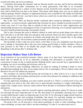around each other and worse at intimacy.

I remember discussing this dynamic with my Russian teacher one day, and he had an interesting theory. Having lived under communism for so many generations, with little to no economic opportunity and caged by a culture of fear, Russian society found the most valuable currency to be trust. And to build trust you have to be honest. That means when things suck, you say so openly and without apology. People's displays of unpleasant honesty were rewarded for the simple fact that they were necessary for survival—you had to know whom you could rely on and whom you couldn't, and you needed to know quickly.

But, in the "free" West, my Russian teacher continued, there existed an abundance of economic opportunity—so much economic opportunity that it became far more valuable to present yourself in a certain way, even if it was false, than to actually *be* that way. Trust lost its value. Appearances and salesmanship became more advantageous forms of expression. Knowing a lot of people superficially was more beneficial than knowing a few people closely.

This is why it became the norm in Western cultures to smile and say polite things even when you don't feel like it, to tell little white lies and agree with someone whom you don't actually agree with. This is why people learn to pretend to be friends with people they don't actually like, to buy things they don't actually want. The economic system promotes such deception.

The downside of this is that you never know, in the West, if you can completely trust the person you're talking to. Sometimes this is the case even among good friends or family members. There is such pressure in the West to be likable that people often reconfigure their entire personality depending on the person they're dealing with.

# **[Rejection](#page-3-1) Makes Your Life Better**

As an extension of our positivity/consumer culture, many of us have been "indoctrinated" with the belief that we should try to be as inherently accepting and affirmative as possible. This is a cornerstone of many of the so-called positive thinking books: open yourself up to opportunities, be accepting, say yes to everything and everyone, and so on.

But we *need* to reject something. Otherwise, we stand for nothing. If nothing is better or more desirable than anything else, then we are empty and our life is meaningless. We are without values and therefore live our life without any purpose.

The avoidance of rejection (both giving and receiving it) is often sold to us as a way to make ourselves feel better. But avoiding rejection gives us short-term pleasure by making us rudderless and directionless in the long term.

To truly appreciate something, you must confine yourself to it. There's a certain level of joy and meaning that you reach in life only when you've spent decades investing in a single relationship, a single craft, a single career. And you cannot achieve those decades of investment without rejecting the alternatives.

The act of choosing a value for yourself requires rejecting alternative values. If I choose to make my marriage the most important part of my life, that means I'm (probably) choosing *not* to make cocaine-fueled hooker orgies an important part of my life. If I'm choosing to judge myself based on my ability to have open and accepting friendships, that means I'm rejecting trashing my friends behind their backs. These are all healthy decisions, yet they require rejection at every turn.

The point is this: we all must give a fuck about *something,* in order to *value* something. And to value something, we must reject what is *not* that something. To value X, we must reject non-X.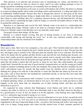That rejection is an inherent and necessary part of maintaining our values, and therefore our identity. We are defined by what we choose to reject. And if we reject nothing (perhaps in fear of being rejected by something ourselves), we essentially have no identity at all.

The desire to avoid rejection at all costs, to avoid confrontation and conflict, the desire to attempt to accept everything equally and to make everything cohere and harmonize, is a deep and subtle form of entitlement. Entitled people, because they feel as though they *deserve* to feel great all the time, avoid rejecting anything because doing so might make them or someone else feel bad. And because they refuse to reject anything, they live a valueless, pleasure-driven, and self-absorbed life. All they give a fuck about is sustaining the high a little bit longer, to avoid the inevitable failures of their life, to pretend the suffering away.

Rejection is an important and crucial life skill. Nobody wants to be stuck in a relationship that isn't making them happy. Nobody wants to be stuck in a business doing work they hate and don't believe in. Nobody wants to feel that they can't say what they really mean.

Yet people choose these things. All the time.

Honesty is a natural human craving. But part of having honesty in our lives is becoming comfortable with saying and hearing the word "no." In this way, rejection actually makes our relationships better and our emotional lives healthier.

# **[Boundaries](#page-3-2)**

Once upon a time, there were two youngsters, a boy and a girl. Their families hated each other. But the boy snuck into a party hosted by the girl's family because he was kind of a dick. The girl sees the boy, and angels sing so sweetly to her lady-parts that she instantly falls in love with him. Just like that. And so he sneaks into her garden and they decide to get married *the next freaking day,* because, you know, that's totally practical, especially when your parents want to murder each other. Jump ahead a few days. Their families find out about the marriage and throw a shit-fit. Mercutio dies. The girl is so upset that she drinks a potion that will put her to sleep for two days. But, unfortunately, the young couple hasn't learned the ins and outs of good marital communication yet, and the young girl totally forgets to mention something about it to her new husband. The young man therefore mistakes his new wife's self-induced coma for suicide. He then totally loses his marbles and *he* commits suicide, thinking he's going to be with her in the afterlife or some shit. But then she wakes up from her twoday coma, only to learn that her new husband has committed suicide, so *she* has the exact same idea and kills herself too. The end.

*Romeo and Juliet* is synonymous with "romance" in our culture today. It is seen as *the* love story in English-speaking culture, an emotional ideal to live up to. Yet when you really get down to what happens in the story, these kids are absolutely out of their fucking minds. And they just killed themselves to prove it!

It's suspected by many scholars that Shakespeare wrote *Romeo and Juliet* not to celebrate romance, but rather to satirize it, to show how absolutely nutty it was. He didn't mean for the play to be a glorification of love. In fact, he meant it to be the opposite: a big flashing neon sign blinking KEEP OUT, with police tape around it saying DO NOT CROSS.

For most of human history, romantic love was not celebrated as it is now. In fact, up until the midnineteenth century or so, love was seen as an unnecessary and potentially dangerous psychological impediment to the more important things in life—you know, like farming well and/or marrying a guy with a lot of sheep. Young people were often forcibly steered clear of their romantic passions in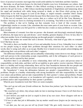favor of practical economic marriages that would yield stability for both them and their families.

But today, we all get brain boners for this kind of batshit crazy love. It dominates our culture. And the more dramatic, the better. Whether it's Ben Affleck working to destroy an asteroid to save the earth for the girl he loves, or Mel Gibson murdering hundreds of Englishmen and fantasizing about his raped and murdered wife while being tortured to death, or that Elven chick giving up her immortality to be with Aragorn in *Lord of the Rings,* or stupid romantic comedies where Jimmy Fallon forgoes his Red Sox playoff tickets because Drew Barrymore has, like, *needs* or something.

If this sort of romantic love were cocaine, then as a culture we'd all be like Tony Montana in *Scarface:* burying our faces in a fucking mountain of it, screaming, "Say hello to my lee-tle friend!"

The problem is that we're finding out that romantic love *is* kind of like cocaine. Like, frighteningly similar to cocaine. Like, stimulates the exact same parts of your brain as cocaine. Like, gets you high and makes you feel good for a while but also creates as many problems as it solves, as does cocaine.

Most elements of romantic love that we pursue—the dramatic and dizzyingly emotional displays of affection, the topsy-turvy ups and downs—aren't healthy, genuine displays of love. In fact, they're often just another form of entitlement playing out through people's relationships.

I know: that makes me sound like such a downer. Seriously, what kind of guy shits on romantic love? But hear me out.

The truth is, there are healthy forms of love and unhealthy forms of love. Unhealthy love is based on two people trying to escape their problems through their emotions for each other—in other words, they're using each other as an escape. Healthy love is based on two people acknowledging and addressing their own problems with each other's support.

The difference between a healthy and an unhealthy relationship comes down to two things: 1) how well each person in the relationship accepts responsibility, and 2) the willingness of each person to both reject and be rejected by their partner.

Anywhere there is an unhealthy or toxic relationship, there will be a poor and porous sense of responsibility on both sides, and there will be an inability to give and/or receive rejection. Wherever there is a healthy and loving relationship, there will be clear boundaries between the two people and their values, and there will be an open avenue of giving and receiving rejection when necessary.

By "boundaries" I mean the delineation between two people's responsibilities for their own problems. People in a healthy relationship with strong boundaries will take responsibility for their own values and problems and not take responsibility for their partner's values and problems. People in a toxic relationship with poor or no boundaries will regularly avoid responsibility for their own problems and/or take responsibility for their partner's problems.

What do poor boundaries look like? Here are some examples:

- "You can't go out with your friends without me. You know how jealous I get. You have to stay home *with me."*
- "My coworkers are idiots; they always make me late to meetings because I have to tell them how to *do their jobs."*
- "I can't believe you made me feel so stupid in front of my own sister. Never disagree with me in *front of her again!"*
- "I'd love to take that job in Milwaukee, but my mother would never forgive me for moving so far *away."*
- "I can date you, but can you not tell my friend Cindy? She gets really insecure when I have a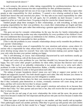### *boyfriend and she doesn't."*

In each scenario, the person is either taking responsibility for problems/emotions that are not theirs, or demanding that someone else take responsibility for their problems/emotions.

In general, entitled people fall into one of two traps in their relationships. Either they expect other people to take responsibility for *their* problems: *"I wanted a nice relaxing weekend at home. You should have known that and canceled your plans."* Or they take on too much responsibility for other people's problems: *"She just lost her job again, but it's probably my fault because I wasn't as supportive of her as I could have been. I'm going to help her rewrite her résumé tomorrow."*

Entitled people adopt these strategies in their relationships, as with everything, to help avoid accepting responsibility for their own problems. As a result, their relationships are fragile and fake, products of avoiding inner pain rather than embracing a genuine appreciation and adoration of their partner.

This goes not just for romantic relationships, by the way, but also for family relationships and friendships. An overbearing mother may take responsibility for every problem in her children's lives. Her own entitlement then encourages an entitlement in her children, as they grow up to believe other people should always be responsible for their problems.

(This is why the problems in your romantic relationships always eerily resemble the problems in your parents' relationship.)

When you have murky areas of responsibility for your emotions and actions—areas where it's unclear who is responsible for what, whose fault is what, why you're doing what you're doing—you never develop strong values for yourself. Your only value *becomes* making your partner happy. Or your only value *becomes* your partner making you happy.

This is self-defeating, of course. And relationships characterized by such murkiness usually go down like the *Hindenburg,* with all the drama and fireworks.

People can't solve your problems for you. And they shouldn't try, because that won't make you happy. You can't solve other people's problems for them either, because that likewise won't make them happy. The mark of an unhealthy relationship is two people who try to solve each other's problems in order to feel good about themselves. Rather, a healthy relationship is when two people solve their own problems in order to feel good about each other.

The setting of proper boundaries doesn't mean you can't help or support your partner or be helped and supported yourself. You both should support each other. But only because you *choose* to support and be supported. Not because you feel obligated or entitled.

Entitled people who blame others for their own emotions and actions do so because they believe that if they constantly paint themselves as victims, eventually someone will come along and save them, and they will receive the love they've always wanted.

Entitled people who take the blame for other people's emotions and actions do so because they believe that if they "fix" their partner and save him or her, they will receive the love and appreciation they've always wanted.

These are the yin and yang of any toxic relationship: the victim and the saver, the person who starts fires because it makes her feel important and the person who puts out fires because it makes him feel important.

These two types of people are drawn strongly to one another, and they usually end up together. Their pathologies match one another perfectly. Often they've grown up with parents who each exhibit one of these traits as well. So their model for a "happy" relationship is one based on entitlement and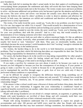poor boundaries.

Sadly, they both fail in meeting the other's actual needs. In fact, their pattern of overblaming and overaccepting blame perpetuates the entitlement and shitty self-worth that have been keeping them from getting their emotional needs met in the first place. The victim creates more and more problems to solve—not because additional real problems exist, but because it gets her the attention and affection she craves. The saver solves and solves—not because she actually cares about the problems, but because she believes she must fix others' problems in order to deserve attention and affection for herself. In both cases, the intentions are selfish and conditional and therefore self-sabotaging, and genuine love is rarely experienced.

The victim, if he really loved the saver, would say, "Look, this is my problem; you don't have to fix it for me. Just support me while I fix it myself." That would *actually* be a demonstration of love: taking responsibility for your own problems and not holding your partner responsible for them.

If the saver really wanted to save the victim, the saver would say, "Look, you're blaming others for your own problems; deal with this yourself." And in a sick way, that would *actually* be a demonstration of love: helping someone solve their own problems.

Instead, victims and savers both use each other to achieve emotional highs. It's like an addiction they fulfill in one another. Ironically, when presented with emotionally healthy people to date, they usually feel bored or lack "chemistry" with them. They pass on emotionally healthy, secure individuals because the secure partner's solid boundaries don't feel "exciting" enough to stimulate the constant highs necessary in the entitled person.

For victims, the hardest thing to do in the world is to hold themselves accountable for their problems. They've spent their whole life believing that others are responsible for their fate. That first step of taking responsibility for themselves is often terrifying.

For savers, the hardest thing to do in the world is to stop taking responsibility for other people's problems. They've spent their whole life feeling valued and loved only when they're saving somebody else—so letting go of this need is terrifying to them as well.

If you make a sacrifice for someone you care about, it needs to be because you want to, not because you feel obligated or because you fear the consequences of not doing so. If your partner is going to make a sacrifice for you, it needs to because he or she genuinely wants to, not because you've manipulated the sacrifice through anger or guilt. Acts of love are valid only if they're performed without conditions or expectations.

It can be difficult for people to recognize the difference between doing something out of obligation and doing it voluntarily. So here's a litmus test: ask yourself, "If I refused, how would the relationship change?" Similarly, ask, "If my partner refused something I wanted, how would the relationship change?"

If the answer is that a refusal would cause a blowout of drama and broken china plates, then that's a bad sign for your relationship. It suggests that your relationship is conditional—based on superficial benefits received from one another, rather than on unconditional acceptance of each other (along with each other's problems).

People with strong boundaries are not afraid of a temper tantrum, an argument, or getting hurt. People with weak boundaries are terrified of those things and will constantly mold their own behavior to fit the highs and lows of their relational emotional roller coaster.

People with strong boundaries understand that it's unreasonable to expect two people to accommodate each other 100 percent and fulfill every need the other has. People with strong boundaries understand that they may hurt someone's feelings sometimes, but ultimately they can't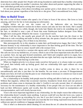determine how other people feel. People with strong boundaries understand that a healthy relationship is not about controlling one another's emotions, but rather about each partner supporting the other in their individual growth and in solving their own problems.

It's not about giving a fuck about everything your partner gives a fuck about; it's about giving a fuck about your partner regardless of the fucks he or she gives. That's unconditional love, baby.

# **How to [Build](#page-3-3) Trust**

My wife is one of those women who spend a lot of time in front of the mirror. She loves to look amazing, and I love for her to look amazing too (obviously).

Nights before we go out, she comes out of the bathroom after an hour-long makeup/hair/clothes/whatever-women-do-in-there session and asks me how she looks. She's usually gorgeous. Every once in a while, though, she looks bad. Maybe she tried to do something new with her hair, or decided to wear a pair of boots that some flamboyant fashion designer from Milan thought were avant-garde. Whatever the reason—it just doesn't work.

When I tell her this, she usually gets pissed off. As she marches back into the closet or the bathroom to redo everything and make us thirty minutes late, she spouts a bunch of four-letter words and sometimes even slings a few of them in my direction.

Men stereotypically lie in this situation to make their girlfriends/wives happy. But I don't. Why? Because honesty in my relationship is more important to me than feeling good all the time. The last person I should ever have to censor myself with is the woman I love.

Fortunately, I'm married to a woman who agrees and is willing to hear my uncensored thoughts. She calls me out on my bullshit too, of course, which is one of the most important traits she offers me as a partner. Sure, my ego gets bruised sometimes, and I bitch and complain and try to argue, but a few hours later I come sulking back and admit that she was right. And holy crap she makes me a better person, even though I hate hearing it at the time.

When our highest priority is to always make ourselves feel good, or to always make our partner feel good, then nobody ends up feeling good. And our relationship falls apart without our even knowing it.

Without conflict, there can be no trust. Conflict exists to show us who is there for us unconditionally and who is just there for the benefits. No one trusts a yes-man. If Disappointment Panda were here, he'd tell you that the pain in our relationship is necessary to cement our trust in each other and produce greater intimacy.

For a relationship to be healthy, both people must be willing and able to both say no and hear no. Without that negation, without that occasional rejection, boundaries break down and one person's problems and values come to dominate the other's. Conflict is not only normal, then; it's *absolutely necessary* for the maintenance of a healthy relationship. If two people who are close are not able to hash out their differences openly and vocally, then the relationship is based on manipulation and misrepresentation, and it will slowly become toxic.

Trust is the most important ingredient in any relationship, for the simple reason that without trust, the relationship doesn't actually *mean* anything. A person could tell you that she loves you, wants to be with you, would give up everything for you, but if you don't trust her, you get no benefit from those statements. You don't feel loved until you trust that the love being expressed toward you comes without any special conditions or baggage attached to it.

This is what's so destructive about cheating. It's not about the sex. It's about the trust that has been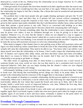destroyed as a result of the sex. Without trust, the relationship can no longer function. So it's either rebuild the trust or say your goodbyes.

I often get emails from people who have been cheated on by their significant other but want to stay with that partner and are wondering how they can trust him or her again. Without trust, they tell me, the relationship has begun to feel like a burden, like a threat that must be monitored and questioned rather than enjoyed.

The problem here is that most people who get caught cheating apologize and give the "It will never happen again" spiel and that's that, as if penises fell into various orifices completely by accident. Many cheatees accept this response at face value, and don't question the values and fucks given by their partner (pun totally intended); they don't ask themselves whether those values and fucks make their partner a good person to stay with. They're so concerned with holding on to their relationship that they fail to recognize that it's become a black hole consuming their self-respect.

If people cheat, it's because something other than the relationship is more important to them. It may be power over others. It may be validation through sex. It may be giving in to their own impulses. Whatever it is, it's clear that the cheater's values are not aligned in a way to support a healthy relationship. And if the cheater doesn't admit this or come to terms with it, if he just gives the old "I don't know what I was thinking; I was stressed out and drunk and she was there" response, then he lacks the serious self-awareness necessary to solve any relationship problems.

What needs to happen is that cheaters have to start peeling away at their self-awareness onion and figure out what fucked-up values caused them to break the trust of the relationship (and whether they actually still value the relationship). They need to be able to say, "You know what: I am selfish. I care about myself more than the relationship; to be honest, I don't really respect the relationship much at all." If cheaters can't express their shitty values, and show that those values have been overridden, then there's no reason to believe that they can be trusted. And if they can't be trusted, then the relationship is not going to get better or change.

The other factor in regaining trust after it's been broken is a practical one: a track record. If someone breaks your trust, words are nice; but you then need to see a consistent track record of improved behavior. Only then can you begin trusting that the cheater's values are now aligned properly and the person really will change.

Unfortunately, building a track record for trust takes time—certainly a lot more time than it takes to break trust. And during that trust-building period, things are likely to be pretty shitty. So both people in the relationship must be conscious of the struggle they're choosing to undertake.

I use the example of cheating in a romantic relationship, but this process applies to a breach in any relationship. When trust is destroyed, it can be rebuilt only if the following two steps happen: 1) the trust-breaker admits the true values that caused the breach and owns up to them, and 2) the trustbreaker builds a solid track record of improved behavior over time. Without the first step, there should be no attempt at reconciliation in the first place.

Trust is like a china plate. If you break it once, with some care and attention you can put it back together again. But if you break it again, it splits into even more pieces and it takes far longer to piece together again. If you break it more and more times, eventually it shatters to the point where it's impossible to restore. There are too many broken pieces, and too much dust.

## **Freedom Through [Commitment](#page-3-4)**

Consumer culture is very good at making us want more, more, more. Underneath all the hype and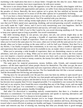marketing is the implication that more is always better. I bought into this idea for years. Make more money, visit more countries, have more experiences, be with more women.

But more is not always better. In fact, the opposite is true. We are actually often happier with less. When we're overloaded with opportunities and options, we suffer from what psychologists refer to as the paradox of choice. Basically, the more options we're given, the less satisfied we become with whatever we choose, because we're aware of all the other options we're potentially forfeiting.

So if you have a choice between two places to live and pick one, you'll likely feel confident and comfortable that you made the right choice. You'll be satisfied with your decision.

But if you have a choice among twenty-eight places to live and pick one, the paradox of choice says that you'll likely spend years agonizing, doubting, and second-guessing yourself, wondering if you really made the "right" choice, and if you're truly maximizing your own happiness. And this anxiety, this desire for certainty and perfection and success, will make you unhappy.

So what do we do? Well, if you're like I used to be, you avoid choosing anything at all. You aim to keep your options open as long as possible. You avoid commitment.

But while investing deeply in one person, one place, one job, one activity might deny us the breadth of experience we'd like, pursuing a breadth of experience denies us the opportunity to experience the rewards of depth of experience. There are some experiences that you can have *only* when you've lived in the same place for five years, when you've been with the same person for over a decade, when you've been working on the same skill or craft for half your lifetime. Now that I'm in my thirties, I can finally recognize that commitment, in its own way, offers a wealth of opportunity and experiences that would otherwise never be available to me, no matter where I went or what I did.

When you're pursuing a wide breadth of experience, there are diminishing returns to each new adventure, each new person or thing. When you've never left your home country, the first country you visit inspires a massive perspective shift, because you have such a narrow experience base to draw on. But when you've been to twenty countries, the twenty-first adds little. And when you've been to fifty, the fifty-first adds even less.

The same goes for material possessions, money, hobbies, jobs, friends, and romantic/sexual partners—all the lame superficial values people choose for themselves. The older you get, the more experienced you get, the less significantly each new experience affects you. The first time I drank at a party was exciting. The hundredth time was fun. The five hundredth time felt like a normal weekend. And the thousandth time felt boring and unimportant.

The big story for me personally over the past few years has been my ability to open myself up to commitment. I've chosen to reject all but the very best people and experiences and values in my life. I shut down all my business projects and decided to focus on writing full-time. Since then, my website has become more popular than I'd ever imagined possible. I've committed to one woman for the long haul and, to my surprise, have found this more rewarding than any of the flings, trysts, and one-night stands I had in the past. I've committed to a single geographic location and doubled down on the handful of my significant, genuine, healthy friendships.

And what I've discovered is something entirely counterintuitive: that there is a freedom and liberation in commitment. I've found *increased* opportunity and upside in rejecting alternatives and distractions in favor of what I've chosen to let truly matter to me.

Commitment gives you freedom because you're no longer distracted by the unimportant and frivolous. Commitment gives you freedom because it hones your attention and focus, directing them toward what is most efficient at making you healthy and happy. Commitment makes decision-making easier and removes any fear of missing out; knowing that what you already have is good enough,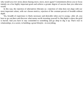why would you ever stress about chasing more, more, more again? Commitment allows you to focus intently on a few highly important goals and achieve a greater degree of success than you otherwise would.

In this way, the rejection of alternatives liberates us—rejection of what does not align with our most important values, with our chosen metrics, rejection of the constant pursuit of breadth without depth.

Yes, breadth of experience is likely necessary and desirable when you're young—after all, you have to go out there and discover what seems worth investing yourself in. But depth is where the gold is buried. And you have to stay committed to something and go deep to dig it up. That's true in relationships, in a career, in building a great lifestyle—in everything.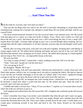### **[CHAPTER](#page-3-5)** 9

# **. . . And [Then](#page-3-5) You Die**

**S**eek the truth for yourself, and <sup>I</sup> will meet you there."

That was the last thing Josh ever said to me. He said it ironically, attempting to sound deep while simultaneously making fun of people who attempt to sound deep. He was drunk and high. And he was a good friend.

The most transformational moment of my life occurred when I was nineteen years old. My friend Josh had taken me to a party on a lake just north of Dallas, Texas. There were condos on a hill and below the hill was a pool, and below the pool was a cliff overlooking the lake. It was a small cliff, maybe thirty feet high—certainly high enough to give you a second thought about jumping, but low enough that with the right combination of alcohol and peer pressure that second thought could easily vanish.

Shortly after arriving at the party, Josh and I sat in the pool together, drinking beers and talking as young angsty males do. We talked about drinking and bands and girls and all of the cool stuff Josh had done that summer since dropping out of music school. We talked about playing in a band together and moving to New York City—an impossible dream at the time.

We were just kids.

"Is it okay to jump off that?" I asked after a while, nodding toward the cliff over the lake.

"Yeah," Josh said, "people do it all the time here."

"Are you going to do it?"

He shrugged. "Maybe. We'll see."

Later in the evening, Josh and I got separated. I had become distracted by a pretty Asian girl who liked video games, which to me, as a teenage nerd, was akin to winning the lottery. She had no interest in me, but she was friendly and happy to let me talk, so I talked. After a few beers, I gathered enough courage to ask her to go up to the house with me to get some food. She said sure.

As we walked up the hill, we bumped into Josh coming down. I asked him if he wanted food, but he declined. I asked him where I could find him later on. He smiled and said, "Seek the truth for yourself, and I will meet you there!"

I nodded and made a serious face. "Okay, I'll see you there," I replied, as if everyone knew exactly where the truth was and how to get to it.

Josh laughed and walked down the hill toward the cliff. I laughed and continued up the hill toward the house.

I don't remember how long I was inside. I just remember that when the girl and I came out again, everyone was gone and there were sirens. The pool was empty. People were running down the hill toward the shoreline below the cliff. There were others already down by the water. I could make out a couple guys swimming around. It was dark and hard to see. The music droned on, but nobody listened.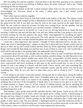Still not putting two-and-two together, I hurried down to the shoreline, gnawing on my sandwich, curious as to what everyone was looking at. Halfway down, the pretty Asian girl said to me, "I think something terrible has happened."

When I got to the bottom of the hill, I asked someone where Josh was. No one looked at me or acknowledged me. Everyone stared at the water. I asked again, and a girl started crying uncontrollably.

That's when I put two-and-two together.

It took scuba divers three hours to find Josh's body at the bottom of the lake. The autopsy would later say that his legs had cramped up due to dehydration from the alcohol, as well as to the impact of the jump from the cliff. It was dark out when he went in, the water layered on the night, black on black. No one could see where his screams for help were coming from. Just the splashes. Just the sounds. His parents later told me that he was a terrible swimmer. I'd had no idea.

It took me twelve hours to let myself cry. I was in my car, driving back home to Austin the next morning. I called my dad and told him that I was still near Dallas and that I was going to miss work. (I'd been working for him that summer.) He asked, "Why; what happened? Is everything all right?" And that's when it all came out: the waterworks. The wails and the screams and the snot. I pulled the car over to the side of the road and clutched the phone and cried the way a little boy cries to his father.

I went into a deep depression that summer. I thought I'd been depressed before, but this was a whole new level of meaninglessness—sadness so deep that it physically hurt. People would come by and try to cheer me up, and I would sit there and hear them say all the right things and do all the right things; and I would tell them thank you and how nice it was of them to come over, and I would fake a smile and lie and say that it was getting better, but underneath I just felt nothing.

I dreamed about Josh for a few months after that. Dreams where he and I would have full-blown conversations about life and death, as well as about random, pointless things. Up until that point in my life, I had been a pretty typical middle-class stoner kid: lazy, irresponsible, socially anxious, and deeply insecure. Josh, in many ways, had been a person I looked up to. He was older, more confident, more experienced, and more accepting of and open to the world around him. In one of my last dreams of Josh, I was sitting in a Jacuzzi with him (yeah, I know, weird), and I said something like, "I'm really sorry you died." He laughed. I don't remember exactly what his words were, but he said something like, "Why do you care that I'm dead when you're still so afraid to live?" I woke up crying.

It was sitting on my mom's couch that summer, staring into the so-called abyss, seeing the endless and incomprehensible nothingness where Josh's friendship used to be, when I came to the startling realization that if there really is no reason to do anything, then there is also no reason to *not* do anything; that in the face of the inevitability of death, there is no reason to ever give in to one's fear or embarrassment or shame, since it's all just a bunch of nothing anyway; and that by spending the majority of my short life avoiding what was painful and uncomfortable, I had essentially been avoiding being alive at all.

That summer, I gave up the weed and the cigarettes and the video games. I gave up my silly rock star fantasies and dropped out of music school and signed up for college courses. I started going to the gym and lost a bunch of weight. I made new friends. I got my first girlfriend. For the first time in my life I actually studied for classes, gaining me the startling realization that I could make good grades if only I gave a shit. The next summer, I challenged myself to read fifty nonfiction books in fifty days, and then did it. The following year, I transferred to an excellent university on the other side of the country, where I excelled for the first time, both academically and socially.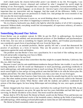Josh's death marks the clearest before/after point I can identify in my life. Pre-tragedy, I was inhibited, unambitious, forever obsessed and confined by what I imagined the world might be thinking of me. Post-tragedy, I morphed into a new person: responsible, curious,hardworking. I still had my insecurities and my baggage—as we always do—but now I gave a fuck about something more important than my insecurities and my baggage. And that made all the difference. Oddly, it was someone else's death that gave me permission to finally live. And perhaps the worst moment of my life was also the most transformational.

Death scares us. And because it scares us, we avoid thinking about it, talking about it, sometimes even acknowledging it, even when it's happening to someone close to us.

Yet, in a bizarre, backwards way, death is the light by which the shadow of all of life's meaning is measured. Without death, everything would feel inconsequential, all experience arbitrary, all metrics and values suddenly zero.

# **[Something](#page-3-6) Beyond Our Selves**

Ernest Becker was an academic outcast. In 1960, he got his Ph.D. in anthropology; his doctoral research compared the unlikely and unconventional practices of Zen Buddhism and psychoanalysis. At the time, Zen was seen as something for hippies and drug addicts, and Freudian psychoanalysis was considered a quack form of psychology left over from the Stone Age.

In his first job as an assistant professor, Becker quickly fell into a crowd that denounced the practice of psychiatry as a form of fascism. They saw the practice as an unscientific form of oppression against the weak and helpless.

The problem was that Becker's boss was a psychiatrist. So it was kind of like walking into your first job and proudly comparing your boss to Hitler.

As you can imagine, he was fired.

So Becker took his radical ideas somewhere that they might be accepted: Berkeley, California. But this, too, didn't last long.

Because it wasn't just his anti-establishment tendencies that got Becker into trouble; it was his odd teaching methods as well. He would use Shakespeare to teach psychology, psychology textbooks to teach anthropology, and anthropological data to teach sociology. He'd dress up as King Lear and do mock sword fights in class and go on long political rants that had little to do with the lesson plan. His students adored him. The other faculty loathed him. Less than a year later, he was fired again.

Becker then landed at San Francisco State University, where he actually kept his job for more than a year. But when student protests erupted over the Vietnam War, the university called in the National Guard and things got violent. When Becker sided with the students and publicly condemned the actions of the dean (again, his boss being Hitleresque and everything), he was, once again, promptly fired.

Becker changed jobs four times in six years. And before he could get fired from the fifth, he got colon cancer. The prognosis was grim. He spent the next few years bedridden and had little hope of surviving. So Becker decided to write a book. This book would be about death.

Becker died in 1974. His book *The Denial of Death,* would win the Pulitzer Prize and become one of the most influential intellectual works of the twentieth century, shaking up the fields of psychology and anthropology, while making profound philosophical claims that are still influential today.

*The Denial of Death* essentially makes two points: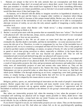1. Humans are unique in that we're the only animals that can conceptualize and think about ourselves abstractly. Dogs don't sit around and worry about their career. Cats don't think about their past mistakes or wonder what would have happened if they'd done something differently. Monkeys don't argue over future possibilities, just as fish don't sit around wondering if other fish would like them more if they had longer fins.

As humans, we're blessed with the ability to imagine ourselves in hypothetical situations, to contemplate both the past and the future, to imagine other realities or situations where things might be different. And it's because of this unique mental ability, Becker says, that we all, at some point, become aware of the inevitability of our own death. Because we're able to conceptualize alternate versions of reality, we are also the only animal capable of imagining a reality without ourselves in it.

This realization causes what Becker calls "death terror," a deep existential anxiety that underlies *everything* we think or do.

2. Becker's second point starts with the premise that we essentially have two "selves." The first self is the physical self—the one that eats, sleeps, snores, and poops. The second self is our conceptual self—our identity, or how we see ourselves.

Becker's argument is this: We are all aware on some level that our physical self will eventually die, that this death is inevitable, and that its inevitability—on some unconscious level scares the shit out of us. Therefore, in order to compensate for our fear of the inevitable loss of our physical self, we try to construct a conceptual self that will live forever. This is why people try so hard to put their names on buildings, on statues, on spines of books. It's why we feel compelled to spend so much time giving ourselves to others, especially to children, in the hopes that our influence—our conceptual self—will last way beyond our physical self. That we will be remembered and revered and idolized long after our physical self ceases to exist.

Becker called such efforts our "immortality projects," projects that allow our conceptual self to live on way past the point of our physical death. All of human civilization, he says, is basically a result of immortality projects: the cities and governments and structures and authorities in place today were all immortality projects of men and women who came before us. They are the remnants of conceptual selves that ceased to die. Names like Jesus, Muhammad, Napoleon, and Shakespeare are just as powerful today as when those men lived, if not more so. And that's the whole point. Whether it be through mastering an art form, conquering a new land, gaining great riches, or simply having a large and loving family that will live on for generations, *all the meaning in our life is shaped by this innate desire to never truly die.*

Religion, politics, sports, art, and technological innovation are the result of people's immortality projects. Becker argues that wars and revolutions and mass murder occur when one group of people's immortality projects rub up against another group's. Centuries of oppression and the bloodshed of millions have been justified as the defense of one group's immortality project against another's.

But, when our immortality projects fail, when the meaning is lost, when the prospect of our conceptual self outliving our physical self no longer seems possible or likely, death terror—that horrible, depressing anxiety—creeps back into our mind. Trauma can cause this, as can shame and social ridicule. As can, as Becker points out, mental illness.

If you haven't figured it out yet, our immortality projects are our values. They are the barometers of meaning and worth in our life. And when our values fail, so do we, psychologically speaking.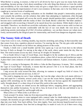What Becker is saying, in essence, is that we're all driven by fear to give way too many fucks about something, because giving a fuck about something is the only thing that distracts us from the reality and inevitability of our own death. And to truly not give a single fuck is to achieve a quasi-spiritual state of embracing the impermanence of one's own existence. In that state, one is far less likely to get caught up in various forms of entitlement.

Becker later came to a startling realization on his deathbed: that people's immortality projects were actually the problem, not the solution; that rather than attempting to implement, often through lethal force, their conceptual self across the world, people should question their conceptual self and become more comfortable with the reality of their own death. Becker called this "the bitter antidote," and struggled with reconciling it himself as he stared down his own demise. While death is bad, it is inevitable. Therefore, we should not avoid this realization, but rather come to terms with it as best we can. Because once we become comfortable with the fact of our own death—the root terror, the underlying anxiety motivating all of life's frivolous ambitions—we can then choose our values more freely, unrestrained by the illogical quest for immortality, and freed from dangerous dogmatic views.

# **The [Sunny](#page-3-7) Side of Death**

I step from rock to rock, climbing steadily, leg muscles stretching and aching. In that trancelike state that comes from slow, repetitive physical exertion, I'm nearing the top. The sky gets wide and deep. I'm alone now. My friends are far below me, taking pictures of the ocean.

Finally, I climb over a small boulder and the view opens up. I can see from here to the infinite horizon. It feels as though I'm staring at the edge of the earth, where water meets the sky, blue on blue. The wind screams across my skin. I look up. It's bright. It's beautiful.

I'm at South Africa's Cape of Good Hope, once thought to be the southern tip of Africa and the southernmost point in the world. It's a tumultuous place, a place full of storms and treacherous waters. A place that's seen centuries of trade and commerce and human endeavor. A place, ironically, of lost hopes.

There is a saying in Portuguese: *Ele dobra o Cabo da Boa Esperança.* It means, "He's rounding the Cape of Good Hope." Ironically, it means that the person's life is in its final phase, that he's incapable of accomplishing anything more.

I step across the rocks toward the blue, allowing its vastness to engulf my field of vision. I'm sweating yet cold. Excited yet nervous. *Is this it?*

The wind is slapping my ears. I hear nothing, but I see the edge: where the rock meets oblivion. I stop and stand for a moment, several yards away. I can see the ocean below, lapping and frothing against cliffs stretching out for miles to either side. The tides are furious against the impenetrable walls. Straight ahead, it's a sheer drop of at least fifty yards to the water below.

To my right, tourists are dotted across the landscape below, snapping photos and aggregating themselves into antlike formations. To my left is Asia. In front of me is the sky and behind is me is everything I've ever hoped for and brought with me.

*What if this is it? What if this is all there is?*

I look around. I'm alone. I take my first step toward the edge of the cliff.

The human body seems to come equipped with a natural radar for death-inducing situations. For example, the moment you get within about ten feet of a cliff edge, minus guardrail, a certain tension digs into your body. Your back stiffens. Your skin ripples. Your eyes become hyperfocused on every detail of your environment. Your feet feel as though they're made of rock. It's as if there were a big,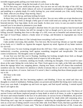invisible magnet gently pulling your body back to safety.

But I fight the magnet. I drag the feet made of rock closer to the edge.

At five feet away, your mind joins the party. You can now see not only the edge of the cliff, but *down* the cliff face itself, which induces all sorts of unwanted visualizations of tripping and falling and tumbling to a splashy death. It's really fucking far, your mind reminds you. Like, *really* fucking far. *Dude, what are you doing? Stop moving. Stop it.*

I tell my mind to shut up, and keep inching forward.

At three feet, your body goes into full-scale red alert. You are now within an errant shoelace-trip of your life ending. It feels as though a hefty gust of wind could send you sailing off into that bluebisected eternity. Your legs shake. As do your hands. As does your voice, in case you need to remind yourself you're not about to plummet to your death.

The three-foot distance is most people's absolute limit. It's just close enough to lean forward and catch a glimpse of the bottom, but still far enough to feel as though you're not at any real risk of killing yourself. Standing that close to the edge of a cliff, even one as beautiful and mesmerizing as the Cape of Good Hope, induces a heady sense of vertigo, and threatens to regurgitate any recent meal.

*Is this it? Is this all there is? Do I already know everything I will ever know?*

I take another microstep, then another. Two feet now. My forward leg vibrates as I put the weight of my body on it. I shuffle on. Against the magnet. Against my mind. Against all my better instincts for survival.

One foot now. I'm now looking straight down the cliff face. I feel a sudden urge to cry. My body instinctively crouches, protecting itself against something imagined and inexplicable. The wind comes in hailstorms. The thoughts come in right hooks.

At one foot you feel like you're floating. Anything but looking straight down feels as though you're part of the sky itself. You actually kind of expect to fall at this point.

I crouch there for a moment, catching my breath, collecting my thoughts. I force myself to stare down at the water hitting the rocks below me. Then I look again to my right, at the little ants milling about the signage below me, snapping photos, chasing tour buses, on the off chance that somebody somehow sees me. This desire for attention is wholly irrational. But so is all of this. It's impossible to make me out up here, of course. And even if it weren't, there's nothing that those distant people could say or do.

All I hear is the wind.

*Is this it?*

My body shudders, the fear becoming euphoric and blinding. I focus my mind and clear my thoughts in a kind of meditation. Nothing makes you present and mindful like being mere inches away from your own death. I straighten up and look out again, and find myself smiling. I remind myself that it's all right to die.

This willing and even exuberant interfacing with one's own mortality has ancient roots. The Stoics of ancient Greece and Rome implored people to keep death in mind at all times, in order to appreciate life more and remain humble in the face of its adversities. In various forms of Buddhism, the practice of meditation is often taught as a means of preparing oneself for death while still remaining alive. Dissolving one's ego into an expansive nothingness—achieving the enlightened state of nirvana—is seen as a trial run of letting oneself cross to the other side. Even Mark Twain, that hairy goofball who came in and left on Halley's Comet, said, "The fear of death follows from the fear of life. A man who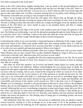lives fully is prepared to die at any time."

Back on the cliff, I bend down, slightly leaning back. I put my hands on the ground behind me and gently lower myself onto my butt. I then gradually slide one leg over the edge of the cliff. There's a small rock jutting out of the cliff side. I rest my foot on it. Then I slide my other foot off the edge and put it on the same small rock. I sit there a moment, leaning back on my palms, wind ruffling my hair. The anxiety is bearable now, as long as I stay focused on the horizon.

Then I sit up straight and look down the cliff again. Fear shoots back up through my spine, electrifying my limbs and laser-focusing my mind on the exact coordinates of every inch of my body. The fear is stifling at times. But each time it stifles me, I empty my thoughts, focus my attention on the bottom of the cliff below me, force myself to gaze at my potential doom, and then to simply acknowledge its existence.

I was now sitting on the edge of the world, at the southern-most tip of hope, the gateway to the east. The feeling was exhilarating. I can feel the adrenaline pumping through my body. Being so still, so conscious, never felt so thrilling. I listen to the wind and watch the ocean and look out upon the ends of the earth—and then I laugh with the light, all that it touches being good.

Confronting the reality of our own mortality is important because it obliterates all the crappy, fragile, superficial values in life. While most people whittle their days chasing another buck, or a little bit more fame and attention, or a little bit more assurance that they're right or loved, death confronts all of us with a far more painful and important question: What is your legacy?

How will the world be different and better when you're gone? What mark will you have made? What influence will you have caused? They say that a butterfly flapping its wings in Africa can cause a hurricane in Florida; well, what hurricanes will you leave in your wake?

As Becker pointed out, this is arguably the *only* truly important question in our life. Yet we avoid thinking about it. One, because it's hard. Two, because it's scary. Three, because we have no fucking clue what we're doing.

And when we avoid this question, we let trivial and hateful values hijack our brains and take control of our desires and ambitions. Without acknowledging the ever-present gaze of death, the superficial will appear important, and the important will appear superficial. Death is the only thing we can know with any certainty. And as such, it must be the compass by which we orient all of our other values and decisions. It is the correct answer to all of the questions we should ask but never do. The only way to be comfortable with death is to understand and see yourself as something bigger than yourself; to choose values that stretch beyond serving yourself, that are simple and immediate and controllable and tolerant of the chaotic world around you. This is the basic root of all happiness. Whether you're listening to Aristotle or the psychologists at Harvard or Jesus Christ or the goddamn Beatles, they all say that happiness comes from the same thing: caring about something greater than yourself, believing that you are a contributing component in some much larger entity, that your life is but a mere side process of some great unintelligible production. This feeling is what people go to church for; it's what they fight in wars for; it's what they raise families and save pensions and build bridges and invent cell phones for: this fleeting sense of being part of something greater and more unknowable than themselves.

And entitlement strips this away from us. The gravity of entitlement sucks all attention inward, toward ourselves, causing us to feel as though *we* are at the center of all of the problems in the universe, that *we* are the one suffering all of the injustices, that *we* are the one who deserves greatness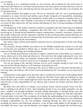over all others.

As alluring as it is, entitlement isolates us. Our curiosity and excitement for the world turns in upon itself and reflects our own biases and projections onto every person we meet and every event we experience. This feels sexy and enticing and may feel good for a while and sells a lot of tickets, but it's spiritual poison.

It's these dynamics that plague us now. We are so materially well off, yet so psychologically tormented in so many low-level and shallow ways. People relinquish all responsibility, demanding that society cater to *their* feelings and sensibilities. People hold on to arbitrary certainties and try to enforce them on others, often violently, in the name of some made-up righteous cause. People, high on a sense of false superiority, fall into inaction and lethargy for fear of trying something worthwhile and failing at it.

The pampering of the modern mind has resulted in a population that feels deserving of something without earning that something, a population that feels they have a right to something without sacrificing for it. People declare themselves experts, entrepreneurs, inventors, innovators, mavericks, and coaches without any real-life experience. And they do this not because they actually think they *are* greater than everybody else; they do it because they feel that they *need to be great* to be accepted in a world that broadcasts only the extraordinary.

Our culture today confuses great attention and great success, assuming them to be the same thing. But they are not.

You *are* great. Already. Whether you realize it or not. Whether anybody else realizes it or not. And it's not because you launched an iPhone app, or finished school a year early, or bought yourself a sweet-ass boat. These things do not define greatness.

You are already great because in the face of endless confusion and certain death, you continue to choose what to give a fuck about and what not to. This mere fact, this simple optioning for your own values in life, already makes you beautiful, already makes you successful, and already makes you loved. Even if you don't realize it. Even if you're sleeping in a gutter and starving.

You too are going to die, and that's because you too were fortunate enough to have lived. You may not feel this. But go stand on a cliff sometime, and maybe you will.

Bukowski once wrote, "We're all going to die, all of us. What a circus! That alone should make us love each other, but it doesn't. We are terrorized and flattened by life's trivialities; we are eaten up by nothing."

Looking back on that night, out by that lake, when I watched my friend Josh's body getting fished out of the lake by paramedics. I remember staring into the black Texas night and watching my ego slowly dissolve into it. Josh's death taught me much more than I initially realized. Yes, it helped me to seize the day, to take responsibility for my choices, and to pursue my dreams with less shame and inhibition.

But these were side effects of a deeper, more primary lesson. And the primary lesson was this: there is nothing to be afraid of. Ever. And reminding myself of my own death repeatedly over the years—whether it be through meditation, through reading philosophy, or through doing crazy shit like standing on a cliff in South Africa—is the only thing that has helped me hold this realization front and center in my mind. This acceptance of my death, this understanding of my own fragility, has made everything easier—untangling my addictions, identifying and confronting my own entitlement, accepting responsibility for my own problems—suffering through my fears and uncertainties, accepting my failures and embracing rejections—it has all been made lighter by the thought of my own death. The more I peer into the darkness, the brighter life gets, the quieter the world becomes,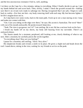and the less unconscious resistance I feel to, well, anything.

I sit there on the Cape for a few minutes, taking in everything. When I finally decide to get up, I put my hands behind me and scoot back. Then, slowly, I stand. I check the ground around me—making sure there's no errant rock ready to sabotage me. Having recognized that I am safe, I begin to walk back to reality—five feet, ten feet—my body restoring itself with each step. My feet become lighter. I let life's magnet draw me in.

As I step back over some rocks, back to the main path, I look up to see a man staring at me. I stop and make eye contact with him.

"Um. I saw you sitting on the edge over there," he says. His accent is Australian. The word "there" rolls out of his mouth awkwardly. He points toward Antarctica.

"Yeah. The view is gorgeous, isn't it?" I am smiling. He is not. He has a serious look on his face.

I brush my hands off on my shorts, my body still buzzing from my surrender. There's an awkward silence.

The Aussie stands for a moment, perplexed, still looking at me, clearly thinking of what to say next. After a moment, he carefully pieces the words together.

"Is everything okay? How are you feeling?"

I pause for a moment, still smiling. "Alive. Very alive."

His skepticism breaks and reveals a smile in its place. He gives a slight nod and heads down the trail. I stand above, taking in the view, waiting for my friends to arrive on the peak.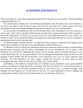# **[ACKNOWLEDGMENTS](#page-3-8)**

This book began as a big, messy thing and required more than just my own hands to chisel something comprehensible out of it.

First and foremost, thank you to my brilliant and beautiful wife, Fernanda, who never hesitates to say no to me when I need to hear it most. Not only do you make me a better person, but your unconditional love and constant feedback during the writing process were indispensable.

To my parents, for putting up with my shit all these years and continuing to love me anyway. In many ways, I don't feel as though I fully became an adult until I understood many of the concepts in this book. In that sense, it's been a joy to get to know you as an adult these past few years. And to my brother as well: I never doubt the existence of mutual love and respect between us, even if I sometimes get butt-hurt that you don't text me back.

To Philip Kemper and Drew Birnie—two big brains that conspire to make my brain appear much larger than it actually is. Your hard work and brilliance continue to floor me.

To Michael Covell, for being my intellectual stress test, especially when it comes to understanding psychological research, and for always challenging me on my assumptions. To my editor, Luke Dempsey, for mercilessly tightening the screws on my writing, and for possibly having an even fouler mouth than I do. To my agent, Mollie Glick, for helping me define the vision for the book and pushing it much farther into the world than I ever expected to see it go. To Taylor Pearson, Dan Andrews, and Jodi Ettenburg, for their support during this process; you three kept me both accountable and sane, which are the only two things every writer needs.

And finally, to the millions of people who, for whatever reason, decided to read a potty-mouthed asshole from Boston writing about life on his blog. The flood of emails I've received from those of you willing to open up the most intimate corners of your life to me, a complete stranger, both humbles me and inspires me. At this point in my life, I've spent thousands of hours reading and studying these subjects. But you all continue to be my true education. Thank you.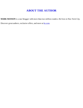# **ABOUT THE [AUTHOR](#page-3-9)**

**MARK MANSON** is a star blogger with more than two million readers. He lives in New York City. Discover great authors, exclusive offers, and more at **hc.com**.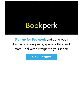# Bookperk

Sign up for Bookperk and get e-book bargains, sneak peeks, special offers, and more-delivered straight to your inbox.

**SIGN UP NOW**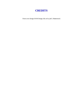# **[CREDITS](#page-3-10)**

Front cover design: M-80 Design; Ink art by pio3 | Shutterstock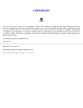# **[COPYRIGHT](#page-3-11)**



THE SUBTLE ART OF NOT GIVING A FUCK. Copyright © 2016 by Mark Manson. All rights reserved under International and Pan-American Copyright Conventions. By payment of the required fees, you have been granted the nonexclusive, nontransferable right to access and read the text of this e-book on-screen. No part of this text may be reproduced, transmitted, downloaded, decompiled, reverse-engineered, or stored in or introduced into any information storage and retrieval system, in any form or by any means, whether electronic or mechanical, now known or hereafter invented, without the express written permission of HarperCollins e-books.

First HarperOne hardcover published 2016.

FIRST EDITION

ISBN 978–0–06–245771–4

EPub Edition August 2016 ISBN 9780062457738

16 17 18 19 20 RRD 10 9 8 7 6 5 4 3 2 1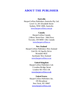# **ABOUT THE [PUBLISHER](#page-3-12)**

### **Australia**

HarperCollins Publishers Australia Pty. Ltd. Level 13, 201 Elizabeth Street Sydney, NSW 2000, Australia [www.harpercollins.com.au](http://www.harpercollins.com.au)

### **Canada**

HarperCollins Canada 2 Bloor Street East - 20th Floor Toronto, ON M4W 1A8, Canada [www.harpercollins.ca](http://www.harpercollins.ca)

#### **New Zealand**

HarperCollins Publishers New Zealand Unit D1, 63 Apollo Drive Rosedale 0632 Auckland, New Zealand [www.harpercollins.co.nz](http://www.harpercollins.co.nz)

### **United Kingdom**

HarperCollins Publishers Ltd. 1 London Bridge Street London SE1 9GF, UK [www.harpercollins.co.uk](http://www.harpercollins.co.uk)

#### **United States**

HarperCollins Publishers Inc. 195 Broadway New York, NY 10007 [www.harpercollins.com](http://www.harpercollins.com)